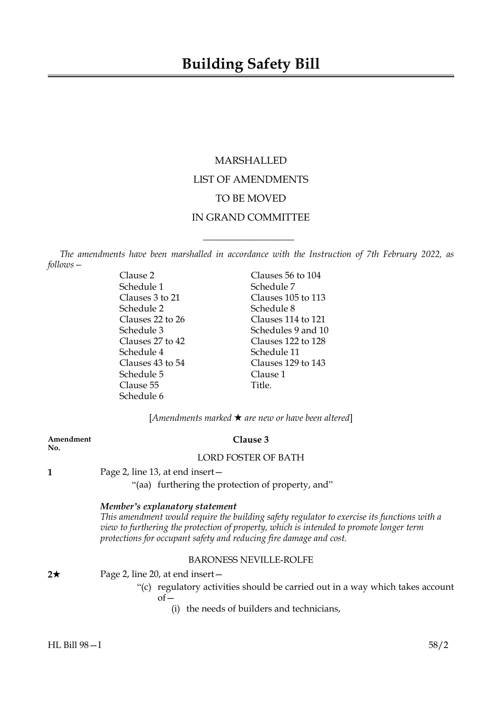# MARSHALLED LIST OF AMENDMENTS TO BE MOVED IN GRAND COMMITTEE

*The amendments have been marshalled in accordance with the Instruction of 7th February 2022, as follows—*

 $\overline{\phantom{a}}$  , where  $\overline{\phantom{a}}$ 

| Clause 2             | Clauses 56 to 104  |
|----------------------|--------------------|
| Schedule 1           | Schedule 7         |
| Clauses 3 to 21      | Clauses 105 to 113 |
| Schedule 2           | Schedule 8         |
| Clauses 22 to 26     | Clauses 114 to 121 |
| Schedule 3           | Schedules 9 and 10 |
| Clauses $27$ to $42$ | Clauses 122 to 128 |
| Schedule 4           | Schedule 11        |
| Clauses 43 to 54     | Clauses 129 to 143 |
| Schedule 5           | Clause 1           |
| Clause 55            | Title.             |
| Schedule 6           |                    |
|                      |                    |

[*Amendments marked* \* *are new or have been altered*]

| Amendment<br>No. | Clause 3                                                                                                                                                                                                                                                                                       |
|------------------|------------------------------------------------------------------------------------------------------------------------------------------------------------------------------------------------------------------------------------------------------------------------------------------------|
|                  | <b>LORD FOSTER OF BATH</b>                                                                                                                                                                                                                                                                     |
|                  | Page 2, line 13, at end insert -                                                                                                                                                                                                                                                               |
|                  | "(aa) furthering the protection of property, and"                                                                                                                                                                                                                                              |
|                  | Member's explanatory statement<br>This amendment would require the building safety regulator to exercise its functions with a<br>view to furthering the protection of property, which is intended to promote longer term<br>protections for occupant safety and reducing fire damage and cost. |
|                  | <b>BARONESS NEVILLE-ROLFE</b>                                                                                                                                                                                                                                                                  |
| 2★               | Page 2, line 20, at end insert –                                                                                                                                                                                                                                                               |
|                  | "(c) regulatory activities should be carried out in a way which takes account<br>$of-$                                                                                                                                                                                                         |
|                  | the needs of builders and technicians,<br>(1)                                                                                                                                                                                                                                                  |

**No.**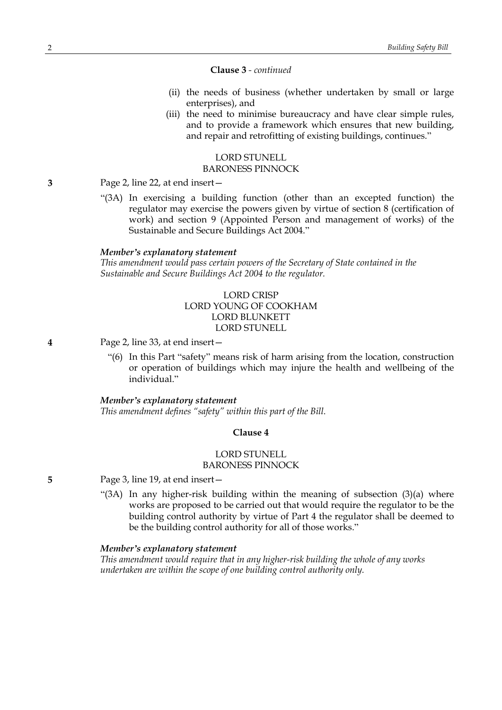#### **Clause 3** *- continued*

- (ii) the needs of business (whether undertaken by small or large enterprises), and
- (iii) the need to minimise bureaucracy and have clear simple rules, and to provide a framework which ensures that new building, and repair and retrofitting of existing buildings, continues."

# LORD STUNELL BARONESS PINNOCK

**3** Page 2, line 22, at end insert—

"(3A) In exercising a building function (other than an excepted function) the regulator may exercise the powers given by virtue of section 8 (certification of work) and section 9 (Appointed Person and management of works) of the Sustainable and Secure Buildings Act 2004."

#### *Member's explanatory statement*

*This amendment would pass certain powers of the Secretary of State contained in the Sustainable and Secure Buildings Act 2004 to the regulator.*

# LORD CRISP LORD YOUNG OF COOKHAM LORD BLUNKETT LORD STUNELL

- **4** Page 2, line 33, at end insert—
	- "(6) In this Part "safety" means risk of harm arising from the location, construction or operation of buildings which may injure the health and wellbeing of the individual."

### *Member's explanatory statement*

*This amendment defines "safety" within this part of the Bill.*

#### **Clause 4**

#### LORD STUNELL BARONESS PINNOCK

**5** Page 3, line 19, at end insert—

"(3A) In any higher-risk building within the meaning of subsection  $(3)(a)$  where works are proposed to be carried out that would require the regulator to be the building control authority by virtue of Part 4 the regulator shall be deemed to be the building control authority for all of those works."

### *Member's explanatory statement*

*This amendment would require that in any higher-risk building the whole of any works undertaken are within the scope of one building control authority only.*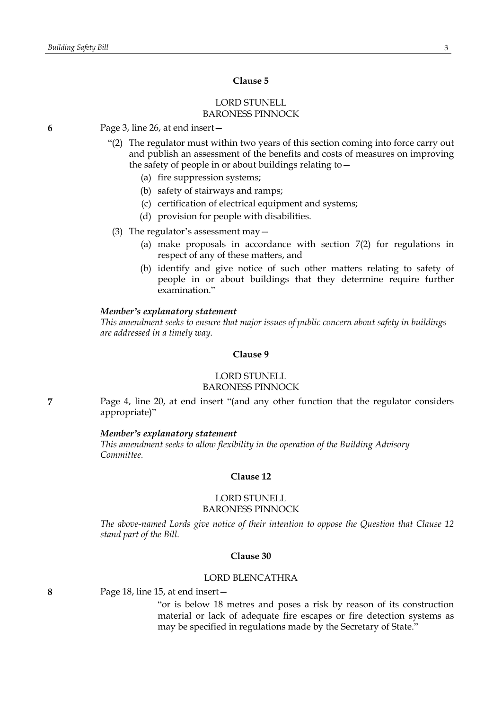# **Clause 5**

### LORD STUNELL BARONESS PINNOCK

- **6** Page 3, line 26, at end insert—
	- "(2) The regulator must within two years of this section coming into force carry out and publish an assessment of the benefits and costs of measures on improving the safety of people in or about buildings relating to—
		- (a) fire suppression systems;
		- (b) safety of stairways and ramps;
		- (c) certification of electrical equipment and systems;
		- (d) provision for people with disabilities.
	- (3) The regulator's assessment may  $-$ 
		- (a) make proposals in accordance with section 7(2) for regulations in respect of any of these matters, and
		- (b) identify and give notice of such other matters relating to safety of people in or about buildings that they determine require further examination."

#### *Member's explanatory statement*

*This amendment seeks to ensure that major issues of public concern about safety in buildings are addressed in a timely way.*

### **Clause 9**

### LORD STUNELL BARONESS PINNOCK

**7** Page 4, line 20, at end insert "(and any other function that the regulator considers appropriate)"

#### *Member's explanatory statement*

*This amendment seeks to allow flexibility in the operation of the Building Advisory Committee.*

# **Clause 12**

### LORD STUNELL BARONESS PINNOCK

*The above-named Lords give notice of their intention to oppose the Question that Clause 12 stand part of the Bill.*

#### **Clause 30**

### LORD BLENCATHRA

**8** Page 18, line 15, at end insert—

"or is below 18 metres and poses a risk by reason of its construction material or lack of adequate fire escapes or fire detection systems as may be specified in regulations made by the Secretary of State."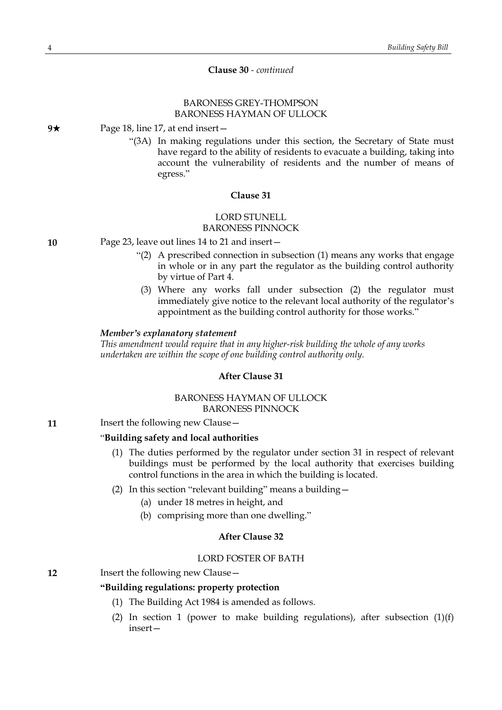**Clause 30** *- continued*

# BARONESS GREY-THOMPSON BARONESS HAYMAN OF ULLOCK

**9**★ Page 18, line 17, at end insert —

"(3A) In making regulations under this section, the Secretary of State must have regard to the ability of residents to evacuate a building, taking into account the vulnerability of residents and the number of means of egress."

## **Clause 31**

# LORD STUNELL BARONESS PINNOCK

**10** Page 23, leave out lines 14 to 21 and insert—

- "(2) A prescribed connection in subsection (1) means any works that engage in whole or in any part the regulator as the building control authority by virtue of Part 4.
- (3) Where any works fall under subsection (2) the regulator must immediately give notice to the relevant local authority of the regulator's appointment as the building control authority for those works."

#### *Member's explanatory statement*

*This amendment would require that in any higher-risk building the whole of any works undertaken are within the scope of one building control authority only.*

### **After Clause 31**

# BARONESS HAYMAN OF ULLOCK BARONESS PINNOCK

**11** Insert the following new Clause –

# "**Building safety and local authorities**

- (1) The duties performed by the regulator under section 31 in respect of relevant buildings must be performed by the local authority that exercises building control functions in the area in which the building is located.
- (2) In this section "relevant building" means a building—
	- (a) under 18 metres in height, and
	- (b) comprising more than one dwelling."

### **After Clause 32**

# LORD FOSTER OF BATH

### **12** Insert the following new Clause –

# **"Building regulations: property protection**

- (1) The Building Act 1984 is amended as follows.
- (2) In section 1 (power to make building regulations), after subsection  $(1)(f)$ insert—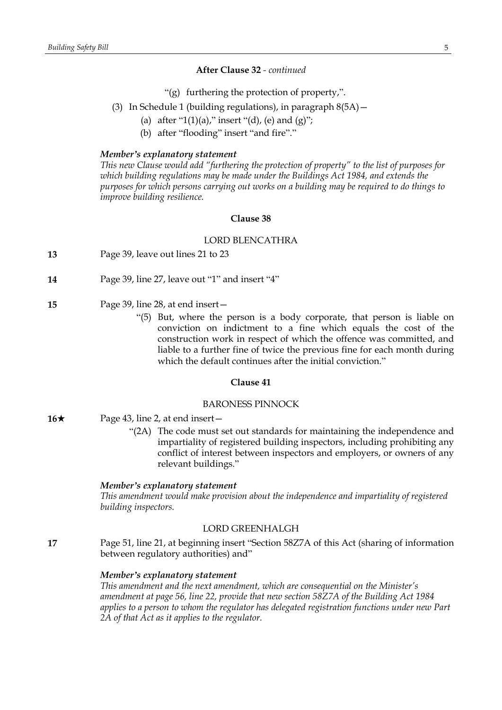# **After Clause 32** *- continued*

- "(g) furthering the protection of property,".
- (3) In Schedule 1 (building regulations), in paragraph  $8(5A)$  -
	- (a) after "1(1)(a)," insert "(d), (e) and (g)";
	- (b) after "flooding" insert "and fire"."

### *Member's explanatory statement*

*This new Clause would add "furthering the protection of property" to the list of purposes for which building regulations may be made under the Buildings Act 1984, and extends the purposes for which persons carrying out works on a building may be required to do things to improve building resilience.*

## **Clause 38**

### LORD BLENCATHRA

- **13** Page 39, leave out lines 21 to 23
- **14** Page 39, line 27, leave out "1" and insert "4"
- **15** Page 39, line 28, at end insert—
	- "(5) But, where the person is a body corporate, that person is liable on conviction on indictment to a fine which equals the cost of the construction work in respect of which the offence was committed, and liable to a further fine of twice the previous fine for each month during which the default continues after the initial conviction."

# **Clause 41**

### BARONESS PINNOCK

- **16**★ Page 43, line 2, at end insert
	- "(2A) The code must set out standards for maintaining the independence and impartiality of registered building inspectors, including prohibiting any conflict of interest between inspectors and employers, or owners of any relevant buildings."

#### *Member's explanatory statement*

*This amendment would make provision about the independence and impartiality of registered building inspectors.*

### LORD GREENHALGH

**17** Page 51, line 21, at beginning insert "Section 58Z7A of this Act (sharing of information between regulatory authorities) and"

# *Member's explanatory statement*

*This amendment and the next amendment, which are consequential on the Minister's amendment at page 56, line 22, provide that new section 58Z7A of the Building Act 1984 applies to a person to whom the regulator has delegated registration functions under new Part 2A of that Act as it applies to the regulator.*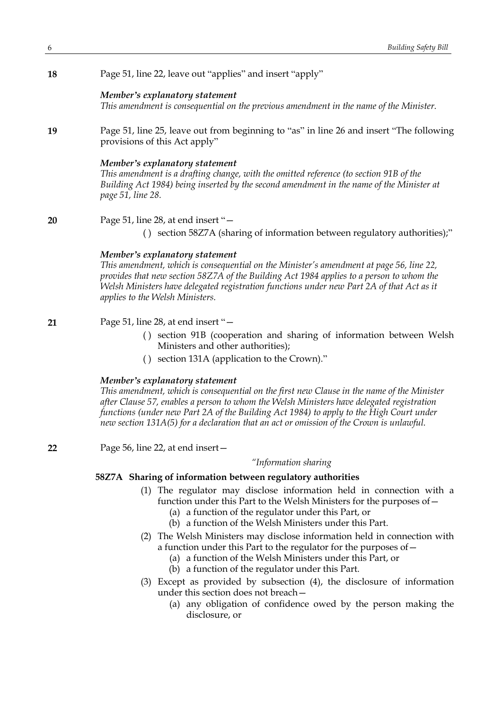| Page 51, line 22, leave out "applies" and insert "apply" |
|----------------------------------------------------------|
|----------------------------------------------------------|

# *Member's explanatory statement*

*This amendment is consequential on the previous amendment in the name of the Minister.*

**19** Page 51, line 25, leave out from beginning to "as" in line 26 and insert "The following provisions of this Act apply"

### *Member's explanatory statement*

*This amendment is a drafting change, with the omitted reference (to section 91B of the Building Act 1984) being inserted by the second amendment in the name of the Minister at page 51, line 28.*

**20** Page 51, line 28, at end insert "—

( ) section 58Z7A (sharing of information between regulatory authorities);"

# *Member's explanatory statement*

*This amendment, which is consequential on the Minister's amendment at page 56, line 22, provides that new section 58Z7A of the Building Act 1984 applies to a person to whom the Welsh Ministers have delegated registration functions under new Part 2A of that Act as it applies to the Welsh Ministers.*

**21** Page 51, line 28, at end insert "—

- () section 91B (cooperation and sharing of information between Welsh Ministers and other authorities);
- ( ) section 131A (application to the Crown)."

### *Member's explanatory statement*

*This amendment, which is consequential on the first new Clause in the name of the Minister after Clause 57, enables a person to whom the Welsh Ministers have delegated registration functions (under new Part 2A of the Building Act 1984) to apply to the High Court under new section 131A(5) for a declaration that an act or omission of the Crown is unlawful.*

**22** Page 56, line 22, at end insert—

### *"Information sharing*

# **58Z7A Sharing of information between regulatory authorities**

- (1) The regulator may disclose information held in connection with a function under this Part to the Welsh Ministers for the purposes of—
	- (a) a function of the regulator under this Part, or
	- (b) a function of the Welsh Ministers under this Part.
- (2) The Welsh Ministers may disclose information held in connection with a function under this Part to the regulator for the purposes of—
	- (a) a function of the Welsh Ministers under this Part, or
	- (b) a function of the regulator under this Part.
- (3) Except as provided by subsection (4), the disclosure of information under this section does not breach—
	- (a) any obligation of confidence owed by the person making the disclosure, or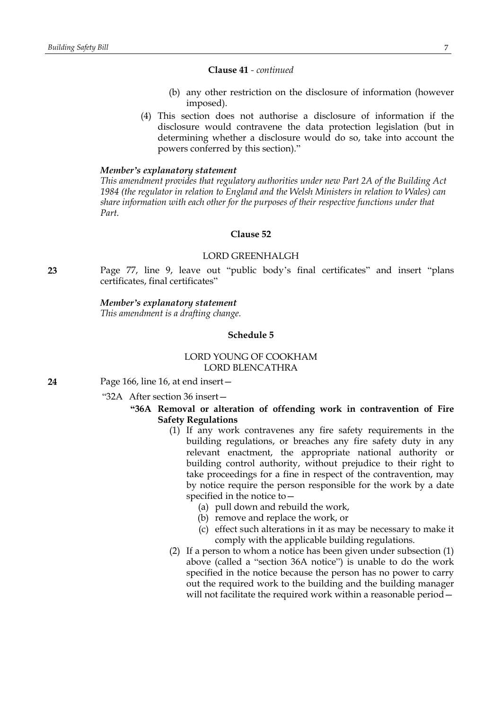#### **Clause 41** *- continued*

- (b) any other restriction on the disclosure of information (however imposed).
- (4) This section does not authorise a disclosure of information if the disclosure would contravene the data protection legislation (but in determining whether a disclosure would do so, take into account the powers conferred by this section)."

#### *Member's explanatory statement*

*This amendment provides that regulatory authorities under new Part 2A of the Building Act 1984 (the regulator in relation to England and the Welsh Ministers in relation to Wales) can share information with each other for the purposes of their respective functions under that Part.*

# **Clause 52**

### LORD GREENHALGH

**23** Page 77, line 9, leave out "public body's final certificates" and insert "plans certificates, final certificates"

### *Member's explanatory statement*

*This amendment is a drafting change.*

#### **Schedule 5**

## LORD YOUNG OF COOKHAM LORD BLENCATHRA

**24** Page 166, line 16, at end insert—

"32A After section 36 insert—

### **"36A Removal or alteration of offending work in contravention of Fire Safety Regulations**

- (1) If any work contravenes any fire safety requirements in the building regulations, or breaches any fire safety duty in any relevant enactment, the appropriate national authority or building control authority, without prejudice to their right to take proceedings for a fine in respect of the contravention, may by notice require the person responsible for the work by a date specified in the notice to—
	- (a) pull down and rebuild the work,
	- (b) remove and replace the work, or
	- (c) effect such alterations in it as may be necessary to make it comply with the applicable building regulations.
- (2) If a person to whom a notice has been given under subsection (1) above (called a "section 36A notice") is unable to do the work specified in the notice because the person has no power to carry out the required work to the building and the building manager will not facilitate the required work within a reasonable period—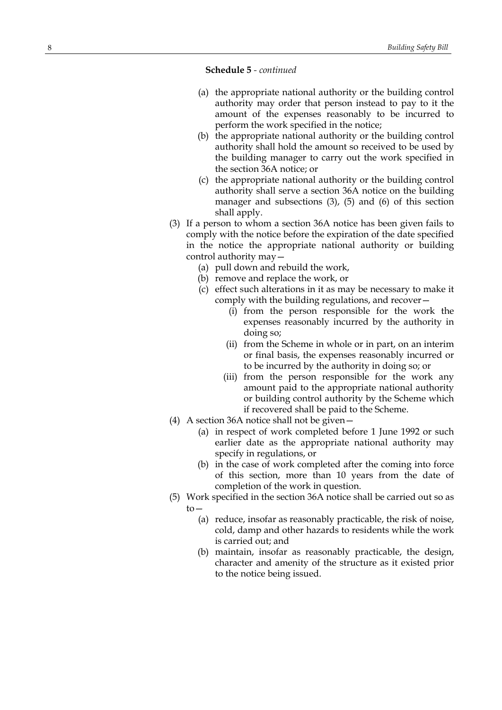- (a) the appropriate national authority or the building control authority may order that person instead to pay to it the amount of the expenses reasonably to be incurred to perform the work specified in the notice;
- (b) the appropriate national authority or the building control authority shall hold the amount so received to be used by the building manager to carry out the work specified in the section 36A notice; or
- (c) the appropriate national authority or the building control authority shall serve a section 36A notice on the building manager and subsections (3), (5) and (6) of this section shall apply.
- (3) If a person to whom a section 36A notice has been given fails to comply with the notice before the expiration of the date specified in the notice the appropriate national authority or building control authority may—
	- (a) pull down and rebuild the work,
	- (b) remove and replace the work, or
	- (c) effect such alterations in it as may be necessary to make it comply with the building regulations, and recover—
		- (i) from the person responsible for the work the expenses reasonably incurred by the authority in doing so;
		- (ii) from the Scheme in whole or in part, on an interim or final basis, the expenses reasonably incurred or to be incurred by the authority in doing so; or
		- (iii) from the person responsible for the work any amount paid to the appropriate national authority or building control authority by the Scheme which if recovered shall be paid to the Scheme.
- (4) A section 36A notice shall not be given—
	- (a) in respect of work completed before 1 June 1992 or such earlier date as the appropriate national authority may specify in regulations, or
	- (b) in the case of work completed after the coming into force of this section, more than 10 years from the date of completion of the work in question.
- (5) Work specified in the section 36A notice shall be carried out so as to—
	- (a) reduce, insofar as reasonably practicable, the risk of noise, cold, damp and other hazards to residents while the work is carried out; and
	- (b) maintain, insofar as reasonably practicable, the design, character and amenity of the structure as it existed prior to the notice being issued.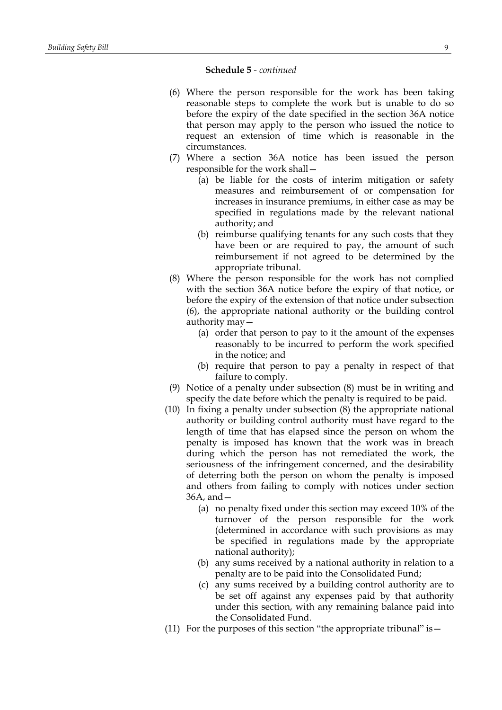- (6) Where the person responsible for the work has been taking reasonable steps to complete the work but is unable to do so before the expiry of the date specified in the section 36A notice that person may apply to the person who issued the notice to request an extension of time which is reasonable in the circumstances.
- (7) Where a section 36A notice has been issued the person responsible for the work shall—
	- (a) be liable for the costs of interim mitigation or safety measures and reimbursement of or compensation for increases in insurance premiums, in either case as may be specified in regulations made by the relevant national authority; and
	- (b) reimburse qualifying tenants for any such costs that they have been or are required to pay, the amount of such reimbursement if not agreed to be determined by the appropriate tribunal.
- (8) Where the person responsible for the work has not complied with the section 36A notice before the expiry of that notice, or before the expiry of the extension of that notice under subsection (6), the appropriate national authority or the building control authority may—
	- (a) order that person to pay to it the amount of the expenses reasonably to be incurred to perform the work specified in the notice; and
	- (b) require that person to pay a penalty in respect of that failure to comply.
- (9) Notice of a penalty under subsection (8) must be in writing and specify the date before which the penalty is required to be paid.
- (10) In fixing a penalty under subsection (8) the appropriate national authority or building control authority must have regard to the length of time that has elapsed since the person on whom the penalty is imposed has known that the work was in breach during which the person has not remediated the work, the seriousness of the infringement concerned, and the desirability of deterring both the person on whom the penalty is imposed and others from failing to comply with notices under section 36A, and—
	- (a) no penalty fixed under this section may exceed 10% of the turnover of the person responsible for the work (determined in accordance with such provisions as may be specified in regulations made by the appropriate national authority);
	- (b) any sums received by a national authority in relation to a penalty are to be paid into the Consolidated Fund;
	- (c) any sums received by a building control authority are to be set off against any expenses paid by that authority under this section, with any remaining balance paid into the Consolidated Fund.
- (11) For the purposes of this section "the appropriate tribunal" is  $-$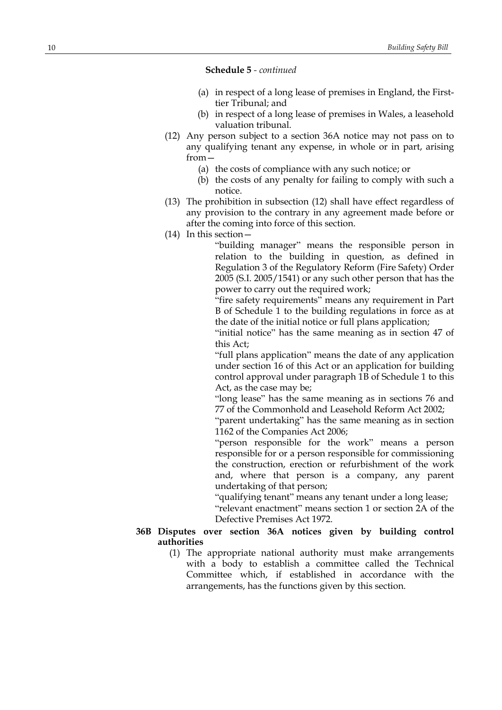- (a) in respect of a long lease of premises in England, the Firsttier Tribunal; and
- (b) in respect of a long lease of premises in Wales, a leasehold valuation tribunal.
- (12) Any person subject to a section 36A notice may not pass on to any qualifying tenant any expense, in whole or in part, arising from—
	- (a) the costs of compliance with any such notice; or
	- (b) the costs of any penalty for failing to comply with such a notice.
- (13) The prohibition in subsection (12) shall have effect regardless of any provision to the contrary in any agreement made before or after the coming into force of this section.
- (14) In this section—

"building manager" means the responsible person in relation to the building in question, as defined in Regulation 3 of the Regulatory Reform (Fire Safety) Order 2005 (S.I. 2005/1541) or any such other person that has the power to carry out the required work;

"fire safety requirements" means any requirement in Part B of Schedule 1 to the building regulations in force as at the date of the initial notice or full plans application;

"initial notice" has the same meaning as in section 47 of this Act;

"full plans application" means the date of any application under section 16 of this Act or an application for building control approval under paragraph 1B of Schedule 1 to this Act, as the case may be;

"long lease" has the same meaning as in sections 76 and 77 of the Commonhold and Leasehold Reform Act 2002;

"parent undertaking" has the same meaning as in section 1162 of the Companies Act 2006;

"person responsible for the work" means a person responsible for or a person responsible for commissioning the construction, erection or refurbishment of the work and, where that person is a company, any parent undertaking of that person;

"qualifying tenant" means any tenant under a long lease;

"relevant enactment" means section 1 or section 2A of the Defective Premises Act 1972.

### **36B Disputes over section 36A notices given by building control authorities**

(1) The appropriate national authority must make arrangements with a body to establish a committee called the Technical Committee which, if established in accordance with the arrangements, has the functions given by this section.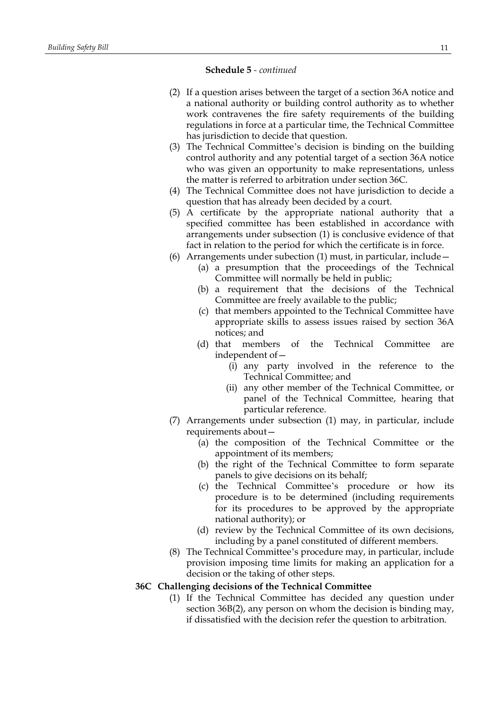- (2) If a question arises between the target of a section 36A notice and a national authority or building control authority as to whether work contravenes the fire safety requirements of the building regulations in force at a particular time, the Technical Committee has jurisdiction to decide that question.
- (3) The Technical Committee's decision is binding on the building control authority and any potential target of a section 36A notice who was given an opportunity to make representations, unless the matter is referred to arbitration under section 36C.
- (4) The Technical Committee does not have jurisdiction to decide a question that has already been decided by a court.
- (5) A certificate by the appropriate national authority that a specified committee has been established in accordance with arrangements under subsection (1) is conclusive evidence of that fact in relation to the period for which the certificate is in force.
- (6) Arrangements under subection (1) must, in particular, include—
	- (a) a presumption that the proceedings of the Technical Committee will normally be held in public;
	- (b) a requirement that the decisions of the Technical Committee are freely available to the public;
	- (c) that members appointed to the Technical Committee have appropriate skills to assess issues raised by section 36A notices; and
	- (d) that members of the Technical Committee are independent of—
		- (i) any party involved in the reference to the Technical Committee; and
		- (ii) any other member of the Technical Committee, or panel of the Technical Committee, hearing that particular reference.
- (7) Arrangements under subsection (1) may, in particular, include requirements about—
	- (a) the composition of the Technical Committee or the appointment of its members;
	- (b) the right of the Technical Committee to form separate panels to give decisions on its behalf;
	- (c) the Technical Committee's procedure or how its procedure is to be determined (including requirements for its procedures to be approved by the appropriate national authority); or
	- (d) review by the Technical Committee of its own decisions, including by a panel constituted of different members.
- (8) The Technical Committee's procedure may, in particular, include provision imposing time limits for making an application for a decision or the taking of other steps.

### **36C Challenging decisions of the Technical Committee**

(1) If the Technical Committee has decided any question under section 36B(2), any person on whom the decision is binding may, if dissatisfied with the decision refer the question to arbitration.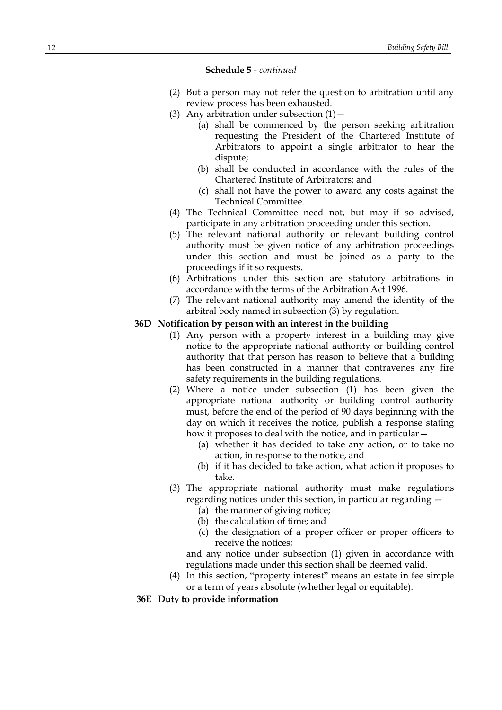- (2) But a person may not refer the question to arbitration until any review process has been exhausted.
- (3) Any arbitration under subsection  $(1)$  -
	- (a) shall be commenced by the person seeking arbitration requesting the President of the Chartered Institute of Arbitrators to appoint a single arbitrator to hear the dispute;
	- (b) shall be conducted in accordance with the rules of the Chartered Institute of Arbitrators; and
	- (c) shall not have the power to award any costs against the Technical Committee.
- (4) The Technical Committee need not, but may if so advised, participate in any arbitration proceeding under this section.
- (5) The relevant national authority or relevant building control authority must be given notice of any arbitration proceedings under this section and must be joined as a party to the proceedings if it so requests.
- (6) Arbitrations under this section are statutory arbitrations in accordance with the terms of the Arbitration Act 1996.
- (7) The relevant national authority may amend the identity of the arbitral body named in subsection (3) by regulation.

### **36D Notification by person with an interest in the building**

- (1) Any person with a property interest in a building may give notice to the appropriate national authority or building control authority that that person has reason to believe that a building has been constructed in a manner that contravenes any fire safety requirements in the building regulations.
- (2) Where a notice under subsection (1) has been given the appropriate national authority or building control authority must, before the end of the period of 90 days beginning with the day on which it receives the notice, publish a response stating how it proposes to deal with the notice, and in particular -
	- (a) whether it has decided to take any action, or to take no action, in response to the notice, and
	- (b) if it has decided to take action, what action it proposes to take.
- (3) The appropriate national authority must make regulations regarding notices under this section, in particular regarding —
	- (a) the manner of giving notice;
	- (b) the calculation of time; and
	- (c) the designation of a proper officer or proper officers to receive the notices;

and any notice under subsection (1) given in accordance with regulations made under this section shall be deemed valid.

- (4) In this section, "property interest" means an estate in fee simple or a term of years absolute (whether legal or equitable).
- **36E Duty to provide information**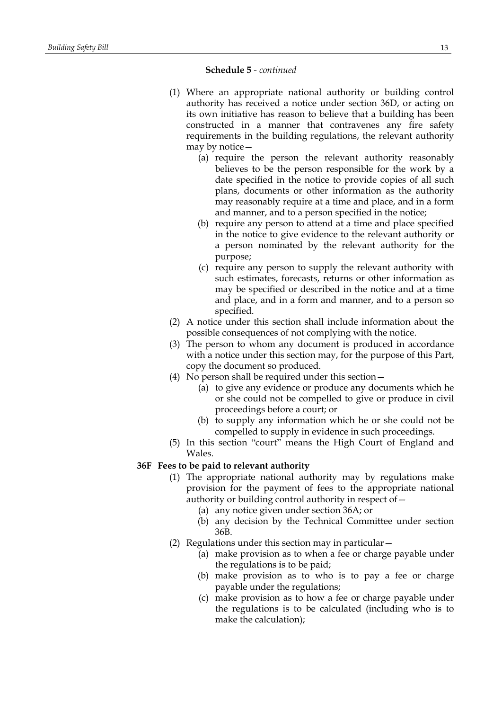- (1) Where an appropriate national authority or building control authority has received a notice under section 36D, or acting on its own initiative has reason to believe that a building has been constructed in a manner that contravenes any fire safety requirements in the building regulations, the relevant authority may by notice—
	- (a) require the person the relevant authority reasonably believes to be the person responsible for the work by a date specified in the notice to provide copies of all such plans, documents or other information as the authority may reasonably require at a time and place, and in a form and manner, and to a person specified in the notice;
	- (b) require any person to attend at a time and place specified in the notice to give evidence to the relevant authority or a person nominated by the relevant authority for the purpose;
	- (c) require any person to supply the relevant authority with such estimates, forecasts, returns or other information as may be specified or described in the notice and at a time and place, and in a form and manner, and to a person so specified.
- (2) A notice under this section shall include information about the possible consequences of not complying with the notice.
- (3) The person to whom any document is produced in accordance with a notice under this section may, for the purpose of this Part, copy the document so produced.
- (4) No person shall be required under this section—
	- (a) to give any evidence or produce any documents which he or she could not be compelled to give or produce in civil proceedings before a court; or
	- (b) to supply any information which he or she could not be compelled to supply in evidence in such proceedings.
- (5) In this section "court" means the High Court of England and Wales.

### **36F Fees to be paid to relevant authority**

- (1) The appropriate national authority may by regulations make provision for the payment of fees to the appropriate national authority or building control authority in respect of—
	- (a) any notice given under section 36A; or
	- (b) any decision by the Technical Committee under section 36B.
- (2) Regulations under this section may in particular—
	- (a) make provision as to when a fee or charge payable under the regulations is to be paid;
	- (b) make provision as to who is to pay a fee or charge payable under the regulations;
	- (c) make provision as to how a fee or charge payable under the regulations is to be calculated (including who is to make the calculation);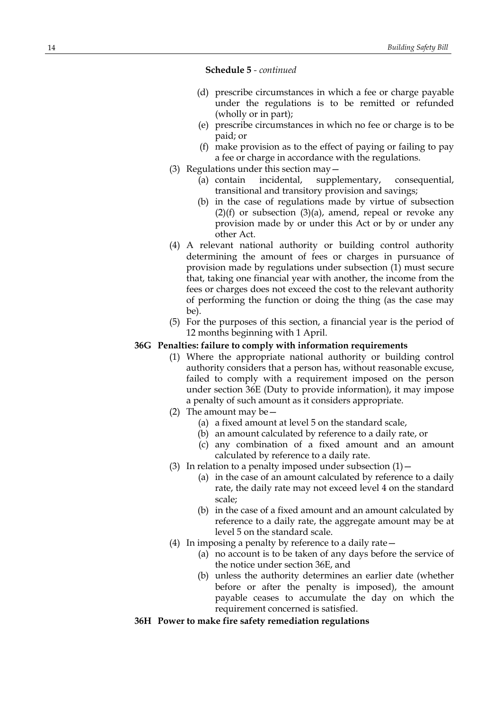- (d) prescribe circumstances in which a fee or charge payable under the regulations is to be remitted or refunded (wholly or in part);
- (e) prescribe circumstances in which no fee or charge is to be paid; or
- (f) make provision as to the effect of paying or failing to pay a fee or charge in accordance with the regulations.
- (3) Regulations under this section may—
	- (a) contain incidental, supplementary, consequential, transitional and transitory provision and savings;
	- (b) in the case of regulations made by virtue of subsection  $(2)(f)$  or subsection  $(3)(a)$ , amend, repeal or revoke any provision made by or under this Act or by or under any other Act.
- (4) A relevant national authority or building control authority determining the amount of fees or charges in pursuance of provision made by regulations under subsection (1) must secure that, taking one financial year with another, the income from the fees or charges does not exceed the cost to the relevant authority of performing the function or doing the thing (as the case may be).
- (5) For the purposes of this section, a financial year is the period of 12 months beginning with 1 April.

# **36G Penalties: failure to comply with information requirements**

- (1) Where the appropriate national authority or building control authority considers that a person has, without reasonable excuse, failed to comply with a requirement imposed on the person under section 36E (Duty to provide information), it may impose a penalty of such amount as it considers appropriate.
- (2) The amount may be  $-$ 
	- (a) a fixed amount at level 5 on the standard scale,
	- (b) an amount calculated by reference to a daily rate, or
	- (c) any combination of a fixed amount and an amount calculated by reference to a daily rate.
- (3) In relation to a penalty imposed under subsection  $(1)$ 
	- (a) in the case of an amount calculated by reference to a daily rate, the daily rate may not exceed level 4 on the standard scale;
	- (b) in the case of a fixed amount and an amount calculated by reference to a daily rate, the aggregate amount may be at level 5 on the standard scale.
- (4) In imposing a penalty by reference to a daily rate—
	- (a) no account is to be taken of any days before the service of the notice under section 36E, and
	- (b) unless the authority determines an earlier date (whether before or after the penalty is imposed), the amount payable ceases to accumulate the day on which the requirement concerned is satisfied.
- **36H Power to make fire safety remediation regulations**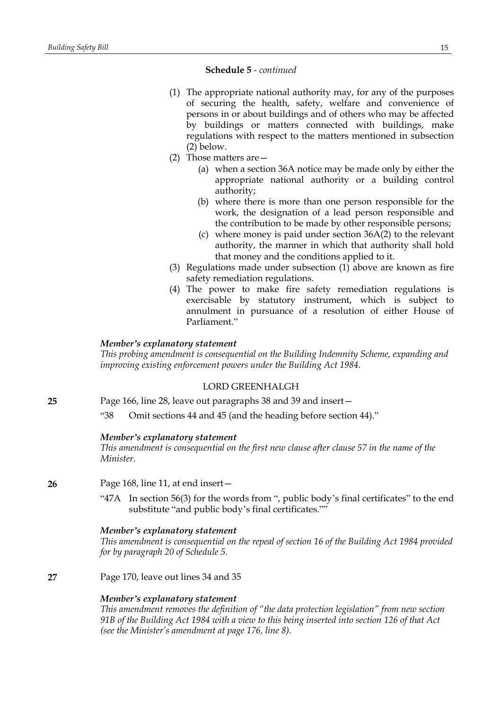- (1) The appropriate national authority may, for any of the purposes of securing the health, safety, welfare and convenience of persons in or about buildings and of others who may be affected by buildings or matters connected with buildings, make regulations with respect to the matters mentioned in subsection (2) below.
- (2) Those matters are—
	- (a) when a section 36A notice may be made only by either the appropriate national authority or a building control authority;
	- (b) where there is more than one person responsible for the work, the designation of a lead person responsible and the contribution to be made by other responsible persons;
	- (c) where money is paid under section 36A(2) to the relevant authority, the manner in which that authority shall hold that money and the conditions applied to it.
- (3) Regulations made under subsection (1) above are known as fire safety remediation regulations.
- (4) The power to make fire safety remediation regulations is exercisable by statutory instrument, which is subject to annulment in pursuance of a resolution of either House of Parliament."

# *Member's explanatory statement*

*This probing amendment is consequential on the Building Indemnity Scheme, expanding and improving existing enforcement powers under the Building Act 1984.*

# LORD GREENHALGH

**25** Page 166, line 28, leave out paragraphs 38 and 39 and insert—

"38 Omit sections 44 and 45 (and the heading before section 44)."

# *Member's explanatory statement*

*This amendment is consequential on the first new clause after clause 57 in the name of the Minister.*

# **26** Page 168, line 11, at end insert—

"47A In section 56(3) for the words from ", public body's final certificates" to the end substitute "and public body's final certificates.""

# *Member's explanatory statement*

*This amendment is consequential on the repeal of section 16 of the Building Act 1984 provided for by paragraph 20 of Schedule 5.*

**27** Page 170, leave out lines 34 and 35

# *Member's explanatory statement*

*This amendment removes the definition of "the data protection legislation" from new section* 91B of the Building Act 1984 with a view to this being inserted into section 126 of that Act *(see the Minister's amendment at page 176, line 8).*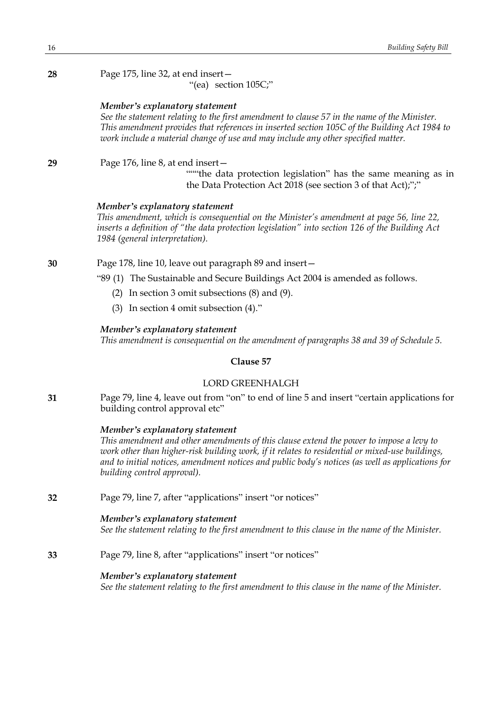| 28 | Page 175, line 32, at end insert -<br>"(ea) section 105C;"                                                                                                                                                                                                                                                                                                      |
|----|-----------------------------------------------------------------------------------------------------------------------------------------------------------------------------------------------------------------------------------------------------------------------------------------------------------------------------------------------------------------|
|    | Member's explanatory statement<br>See the statement relating to the first amendment to clause 57 in the name of the Minister.<br>This amendment provides that references in inserted section 105C of the Building Act 1984 to<br>work include a material change of use and may include any other specified matter.                                              |
| 29 | Page 176, line 8, at end insert -<br>""" the data protection legislation" has the same meaning as in<br>the Data Protection Act 2018 (see section 3 of that Act);";"                                                                                                                                                                                            |
|    | Member's explanatory statement<br>This amendment, which is consequential on the Minister's amendment at page 56, line 22,<br>inserts a definition of "the data protection legislation" into section 126 of the Building Act<br>1984 (general interpretation).                                                                                                   |
| 30 | Page 178, line 10, leave out paragraph 89 and insert -                                                                                                                                                                                                                                                                                                          |
|    | "89 (1) The Sustainable and Secure Buildings Act 2004 is amended as follows.                                                                                                                                                                                                                                                                                    |
|    | In section 3 omit subsections $(8)$ and $(9)$ .<br>(2)                                                                                                                                                                                                                                                                                                          |
|    | (3) In section 4 omit subsection $(4)$ ."                                                                                                                                                                                                                                                                                                                       |
|    | Member's explanatory statement<br>This amendment is consequential on the amendment of paragraphs 38 and 39 of Schedule 5.                                                                                                                                                                                                                                       |
|    | Clause 57                                                                                                                                                                                                                                                                                                                                                       |
|    | <b>LORD GREENHALGH</b>                                                                                                                                                                                                                                                                                                                                          |
| 31 | Page 79, line 4, leave out from "on" to end of line 5 and insert "certain applications for<br>building control approval etc"                                                                                                                                                                                                                                    |
|    | Member's explanatory statement<br>This amendment and other amendments of this clause extend the power to impose a levy to<br>work other than higher-risk building work, if it relates to residential or mixed-use buildings,<br>and to initial notices, amendment notices and public body's notices (as well as applications for<br>building control approval). |
| 32 | Page 79, line 7, after "applications" insert "or notices"                                                                                                                                                                                                                                                                                                       |
|    | Member's explanatory statement<br>See the statement relating to the first amendment to this clause in the name of the Minister.                                                                                                                                                                                                                                 |
| 33 | Page 79, line 8, after "applications" insert "or notices"                                                                                                                                                                                                                                                                                                       |
|    |                                                                                                                                                                                                                                                                                                                                                                 |

*Member's explanatory statement See the statement relating to the first amendment to this clause in the name of the Minister.*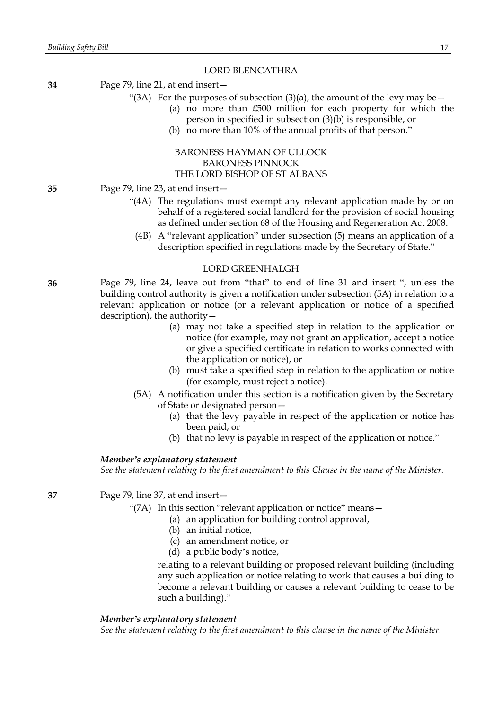### LORD BLENCATHRA

- **34** Page 79, line 21, at end insert—
	- "(3A) For the purposes of subsection (3)(a), the amount of the levy may be  $-$ 
		- (a) no more than £500 million for each property for which the person in specified in subsection (3)(b) is responsible, or
		- (b) no more than 10% of the annual profits of that person."

# BARONESS HAYMAN OF ULLOCK BARONESS PINNOCK THE LORD BISHOP OF ST ALBANS

### **35** Page 79, line 23, at end insert—

- "(4A) The regulations must exempt any relevant application made by or on behalf of a registered social landlord for the provision of social housing as defined under section 68 of the Housing and Regeneration Act 2008.
	- (4B) A "relevant application" under subsection (5) means an application of a description specified in regulations made by the Secretary of State."

#### LORD GREENHALGH

- **36** Page 79, line 24, leave out from "that" to end of line 31 and insert ", unless the building control authority is given a notification under subsection (5A) in relation to a relevant application or notice (or a relevant application or notice of a specified description), the authority—
	- (a) may not take a specified step in relation to the application or notice (for example, may not grant an application, accept a notice or give a specified certificate in relation to works connected with the application or notice), or
	- (b) must take a specified step in relation to the application or notice (for example, must reject a notice).
	- (5A) A notification under this section is a notification given by the Secretary of State or designated person—
		- (a) that the levy payable in respect of the application or notice has been paid, or
		- (b) that no levy is payable in respect of the application or notice."

### *Member's explanatory statement*

*See the statement relating to the first amendment to this Clause in the name of the Minister.*

**37** Page 79, line 37, at end insert—

- "(7A) In this section "relevant application or notice" means—
	- (a) an application for building control approval,
	- (b) an initial notice,
	- (c) an amendment notice, or
	- (d) a public body's notice,

relating to a relevant building or proposed relevant building (including any such application or notice relating to work that causes a building to become a relevant building or causes a relevant building to cease to be such a building)."

#### *Member's explanatory statement*

*See the statement relating to the first amendment to this clause in the name of the Minister.*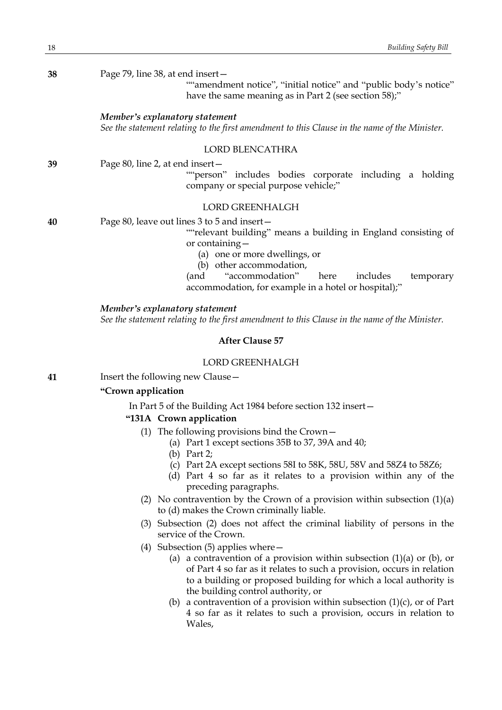| 38 | Page 79, line 38, at end insert-<br>""amendment notice", "initial notice" and "public body's notice"<br>have the same meaning as in Part 2 (see section 58);"                                                                                                                                                    |
|----|------------------------------------------------------------------------------------------------------------------------------------------------------------------------------------------------------------------------------------------------------------------------------------------------------------------|
|    | Member's explanatory statement<br>See the statement relating to the first amendment to this Clause in the name of the Minister.                                                                                                                                                                                  |
|    | LORD BLENCATHRA                                                                                                                                                                                                                                                                                                  |
| 39 | Page 80, line 2, at end insert-<br>""person" includes bodies corporate including a holding<br>company or special purpose vehicle;"                                                                                                                                                                               |
|    | <b>LORD GREENHALGH</b>                                                                                                                                                                                                                                                                                           |
| 40 | Page 80, leave out lines 3 to 5 and insert-<br>""relevant building" means a building in England consisting of<br>or containing-<br>(a) one or more dwellings, or<br>(b) other accommodation,<br>"accommodation"<br>here<br>includes<br>(and<br>temporary<br>accommodation, for example in a hotel or hospital);" |
|    | Member's explanatory statement<br>See the statement relating to the first amendment to this Clause in the name of the Minister.                                                                                                                                                                                  |
|    | <b>After Clause 57</b>                                                                                                                                                                                                                                                                                           |
|    | <b>LORD GREENHALGH</b>                                                                                                                                                                                                                                                                                           |
| 41 | Insert the following new Clause -                                                                                                                                                                                                                                                                                |
|    | "Crown application                                                                                                                                                                                                                                                                                               |
|    | In Part 5 of the Building Act 1984 before section 132 insert-                                                                                                                                                                                                                                                    |
|    | "131A Crown application                                                                                                                                                                                                                                                                                          |
|    | (1) The following provisions bind the Crown $-$<br>(a) Part 1 except sections 35B to 37, 39A and 40;<br>(b) Part $2$ ;<br>(c) Part 2A except sections 58I to 58K, 58U, 58V and 58Z4 to 58Z6;<br>(d) Part 4 so far as it relates to a provision within any of the                                                 |
|    | preceding paragraphs.<br>(2) No contravertion by the Crown of a provision within subsection $(1)(3)$                                                                                                                                                                                                             |

- (2) No contravention by the Crown of a provision within subsection (1)(a) to (d) makes the Crown criminally liable.
- (3) Subsection (2) does not affect the criminal liability of persons in the service of the Crown.
- (4) Subsection (5) applies where—
	- (a) a contravention of a provision within subsection  $(1)(a)$  or  $(b)$ , or of Part 4 so far as it relates to such a provision, occurs in relation to a building or proposed building for which a local authority is the building control authority, or
	- (b) a contravention of a provision within subsection  $(1)(c)$ , or of Part 4 so far as it relates to such a provision, occurs in relation to Wales,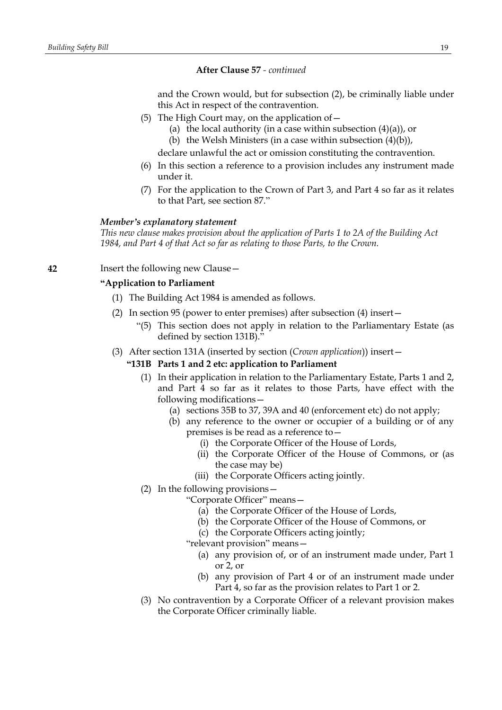### **After Clause 57** *- continued*

and the Crown would, but for subsection (2), be criminally liable under this Act in respect of the contravention.

- (5) The High Court may, on the application of  $-$ 
	- (a) the local authority (in a case within subsection  $(4)(a)$ ), or
	- (b) the Welsh Ministers (in a case within subsection  $(4)(b)$ ),

declare unlawful the act or omission constituting the contravention.

- (6) In this section a reference to a provision includes any instrument made under it.
- (7) For the application to the Crown of Part 3, and Part 4 so far as it relates to that Part, see section 87."

#### *Member's explanatory statement*

*This new clause makes provision about the application of Parts 1 to 2A of the Building Act 1984, and Part 4 of that Act so far as relating to those Parts, to the Crown.*

**42** Insert the following new Clause—

### **"Application to Parliament**

- (1) The Building Act 1984 is amended as follows.
- (2) In section 95 (power to enter premises) after subsection (4) insert—
	- "(5) This section does not apply in relation to the Parliamentary Estate (as defined by section 131B)."
- (3) After section 131A (inserted by section (*Crown application*)) insert—

#### **"131B Parts 1 and 2 etc: application to Parliament**

- (1) In their application in relation to the Parliamentary Estate, Parts 1 and 2, and Part 4 so far as it relates to those Parts, have effect with the following modifications—
	- (a) sections 35B to 37, 39A and 40 (enforcement etc) do not apply;
	- (b) any reference to the owner or occupier of a building or of any premises is be read as a reference to—
		- (i) the Corporate Officer of the House of Lords,
		- (ii) the Corporate Officer of the House of Commons, or (as the case may be)
		- (iii) the Corporate Officers acting jointly.
- (2) In the following provisions—
	- "Corporate Officer" means—
		- (a) the Corporate Officer of the House of Lords,
		- (b) the Corporate Officer of the House of Commons, or
		- (c) the Corporate Officers acting jointly;
	- "relevant provision" means—
		- (a) any provision of, or of an instrument made under, Part 1 or 2, or
		- (b) any provision of Part 4 or of an instrument made under Part 4, so far as the provision relates to Part 1 or 2.
- (3) No contravention by a Corporate Officer of a relevant provision makes the Corporate Officer criminally liable.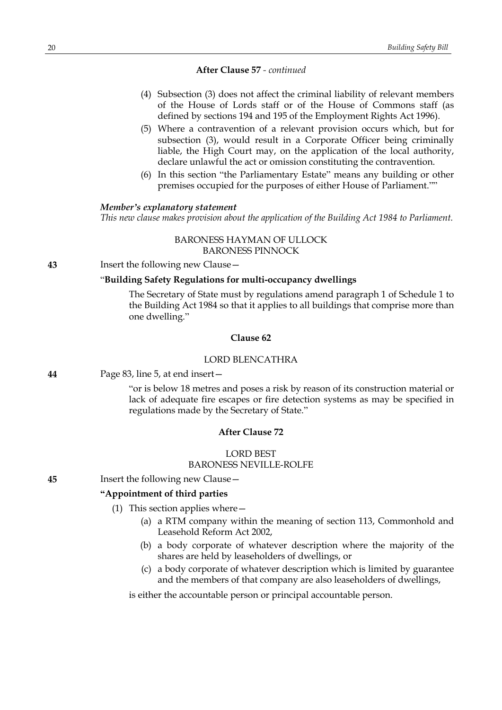#### **After Clause 57** *- continued*

- (4) Subsection (3) does not affect the criminal liability of relevant members of the House of Lords staff or of the House of Commons staff (as defined by sections 194 and 195 of the Employment Rights Act 1996).
- (5) Where a contravention of a relevant provision occurs which, but for subsection (3), would result in a Corporate Officer being criminally liable, the High Court may, on the application of the local authority, declare unlawful the act or omission constituting the contravention.
- (6) In this section "the Parliamentary Estate" means any building or other premises occupied for the purposes of either House of Parliament.""

#### *Member's explanatory statement*

*This new clause makes provision about the application of the Building Act 1984 to Parliament.*

# BARONESS HAYMAN OF ULLOCK BARONESS PINNOCK

#### **43** Insert the following new Clause—

### "**Building Safety Regulations for multi-occupancy dwellings**

The Secretary of State must by regulations amend paragraph 1 of Schedule 1 to the Building Act 1984 so that it applies to all buildings that comprise more than one dwelling."

### **Clause 62**

### LORD BLENCATHRA

**44** Page 83, line 5, at end insert—

"or is below 18 metres and poses a risk by reason of its construction material or lack of adequate fire escapes or fire detection systems as may be specified in regulations made by the Secretary of State."

# **After Clause 72**

# LORD BEST BARONESS NEVILLE-ROLFE

**45** Insert the following new Clause—

# **"Appointment of third parties**

- (1) This section applies where—
	- (a) a RTM company within the meaning of section 113, Commonhold and Leasehold Reform Act 2002,
	- (b) a body corporate of whatever description where the majority of the shares are held by leaseholders of dwellings, or
	- (c) a body corporate of whatever description which is limited by guarantee and the members of that company are also leaseholders of dwellings,

is either the accountable person or principal accountable person.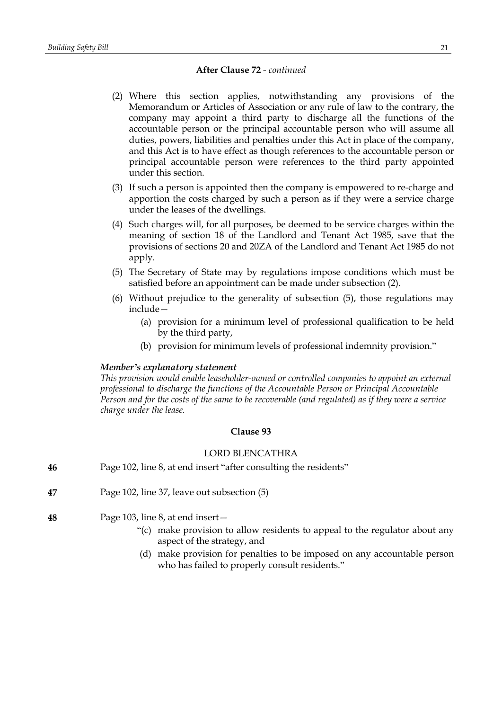# **After Clause 72** *- continued*

- (2) Where this section applies, notwithstanding any provisions of the Memorandum or Articles of Association or any rule of law to the contrary, the company may appoint a third party to discharge all the functions of the accountable person or the principal accountable person who will assume all duties, powers, liabilities and penalties under this Act in place of the company, and this Act is to have effect as though references to the accountable person or principal accountable person were references to the third party appointed under this section.
- (3) If such a person is appointed then the company is empowered to re-charge and apportion the costs charged by such a person as if they were a service charge under the leases of the dwellings.
- (4) Such charges will, for all purposes, be deemed to be service charges within the meaning of section 18 of the Landlord and Tenant Act 1985, save that the provisions of sections 20 and 20ZA of the Landlord and Tenant Act 1985 do not apply.
- (5) The Secretary of State may by regulations impose conditions which must be satisfied before an appointment can be made under subsection (2).
- (6) Without prejudice to the generality of subsection (5), those regulations may include—
	- (a) provision for a minimum level of professional qualification to be held by the third party,
	- (b) provision for minimum levels of professional indemnity provision."

# *Member's explanatory statement*

*This provision would enable leaseholder-owned or controlled companies to appoint an external professional to discharge the functions of the Accountable Person or Principal Accountable* Person and for the costs of the same to be recoverable (and regulated) as if they were a service *charge under the lease.*

# **Clause 93**

# LORD BLENCATHRA

| 46 |  | Page 102, line 8, at end insert "after consulting the residents" |
|----|--|------------------------------------------------------------------|
|----|--|------------------------------------------------------------------|

- **47** Page 102, line 37, leave out subsection (5)
- **48** Page 103, line 8, at end insert—
	- "(c) make provision to allow residents to appeal to the regulator about any aspect of the strategy, and
		- (d) make provision for penalties to be imposed on any accountable person who has failed to properly consult residents."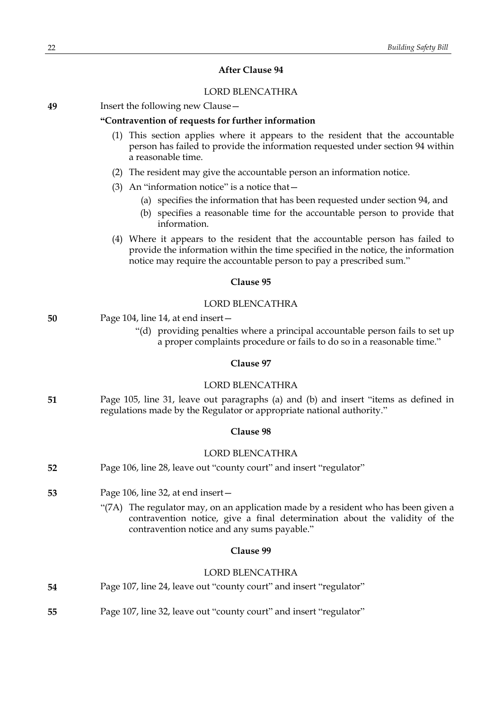### **After Clause 94**

### LORD BLENCATHRA

| 49 | Insert the following new Clause - |  |
|----|-----------------------------------|--|
|----|-----------------------------------|--|

### **"Contravention of requests for further information**

- (1) This section applies where it appears to the resident that the accountable person has failed to provide the information requested under section 94 within a reasonable time.
- (2) The resident may give the accountable person an information notice.
- (3) An "information notice" is a notice that—
	- (a) specifies the information that has been requested under section 94, and
	- (b) specifies a reasonable time for the accountable person to provide that information.
- (4) Where it appears to the resident that the accountable person has failed to provide the information within the time specified in the notice, the information notice may require the accountable person to pay a prescribed sum."

### **Clause 95**

### LORD BLENCATHRA

| 50 | Page 104, line 14, at end insert $-$ |
|----|--------------------------------------|
|----|--------------------------------------|

"(d) providing penalties where a principal accountable person fails to set up a proper complaints procedure or fails to do so in a reasonable time."

### **Clause 97**

### LORD BLENCATHRA

**51** Page 105, line 31, leave out paragraphs (a) and (b) and insert "items as defined in regulations made by the Regulator or appropriate national authority."

### **Clause 98**

### LORD BLENCATHRA

- **52** Page 106, line 28, leave out "county court" and insert "regulator"
- **53** Page 106, line 32, at end insert—
	- "(7A) The regulator may, on an application made by a resident who has been given a contravention notice, give a final determination about the validity of the contravention notice and any sums payable."

### **Clause 99**

#### LORD BLENCATHRA

| 54 | Page 107, line 24, leave out "county court" and insert "regulator" |  |  |
|----|--------------------------------------------------------------------|--|--|
|----|--------------------------------------------------------------------|--|--|

**55** Page 107, line 32, leave out "county court" and insert "regulator"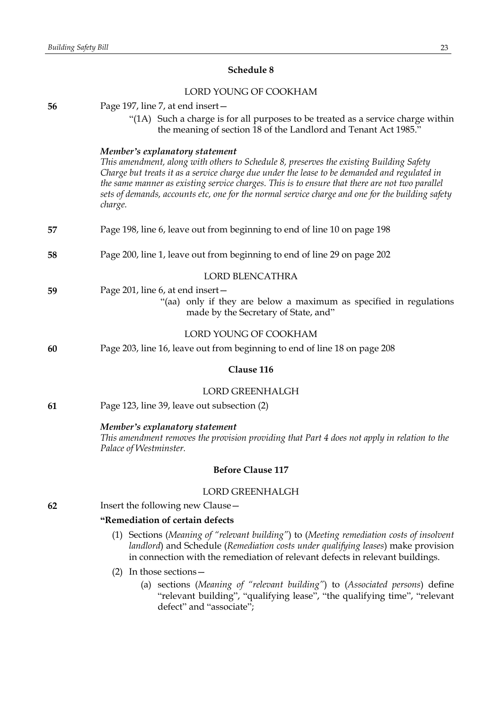# **Schedule 8**

# LORD YOUNG OF COOKHAM

| 56 | Page 197, line 7, at end insert -                                                                                                                                                                                                                                                                                                                                                                                                          |
|----|--------------------------------------------------------------------------------------------------------------------------------------------------------------------------------------------------------------------------------------------------------------------------------------------------------------------------------------------------------------------------------------------------------------------------------------------|
|    | "(1A) Such a charge is for all purposes to be treated as a service charge within<br>the meaning of section 18 of the Landlord and Tenant Act 1985."                                                                                                                                                                                                                                                                                        |
|    | Member's explanatory statement<br>This amendment, along with others to Schedule 8, preserves the existing Building Safety<br>Charge but treats it as a service charge due under the lease to be demanded and regulated in<br>the same manner as existing service charges. This is to ensure that there are not two parallel<br>sets of demands, accounts etc, one for the normal service charge and one for the building safety<br>charge. |
| 57 | Page 198, line 6, leave out from beginning to end of line 10 on page 198                                                                                                                                                                                                                                                                                                                                                                   |
| 58 | Page 200, line 1, leave out from beginning to end of line 29 on page 202                                                                                                                                                                                                                                                                                                                                                                   |
|    | <b>LORD BLENCATHRA</b>                                                                                                                                                                                                                                                                                                                                                                                                                     |
| 59 | Page 201, line 6, at end insert -<br>"(aa) only if they are below a maximum as specified in regulations<br>made by the Secretary of State, and"                                                                                                                                                                                                                                                                                            |
|    | LORD YOUNG OF COOKHAM                                                                                                                                                                                                                                                                                                                                                                                                                      |
| 60 | Page 203, line 16, leave out from beginning to end of line 18 on page 208                                                                                                                                                                                                                                                                                                                                                                  |
|    | Clause 116                                                                                                                                                                                                                                                                                                                                                                                                                                 |
|    | <b>LORD GREENHALGH</b>                                                                                                                                                                                                                                                                                                                                                                                                                     |
| 61 | Page 123, line 39, leave out subsection (2)                                                                                                                                                                                                                                                                                                                                                                                                |
|    | Member's explanatory statement<br>This amendment removes the provision providing that Part 4 does not apply in relation to the<br>Palace of Westminster.                                                                                                                                                                                                                                                                                   |
|    | <b>Before Clause 117</b>                                                                                                                                                                                                                                                                                                                                                                                                                   |
|    | <b>LORD GREENHALGH</b>                                                                                                                                                                                                                                                                                                                                                                                                                     |
| 62 | Insert the following new Clause -                                                                                                                                                                                                                                                                                                                                                                                                          |
|    | "Remediation of certain defects                                                                                                                                                                                                                                                                                                                                                                                                            |
|    | (1) Sections (Meaning of "relevant building") to (Meeting remediation costs of insolvent<br>landlord) and Schedule (Remediation costs under qualifying leases) make provision<br>in connection with the remediation of relevant defects in relevant buildings.                                                                                                                                                                             |
|    | $(2)$ In those sections –                                                                                                                                                                                                                                                                                                                                                                                                                  |
|    | (a) sections (Meaning of "relevant building") to (Associated persons) define<br>"relevant building", "qualifying lease", "the qualifying time", "relevant<br>defect" and "associate";                                                                                                                                                                                                                                                      |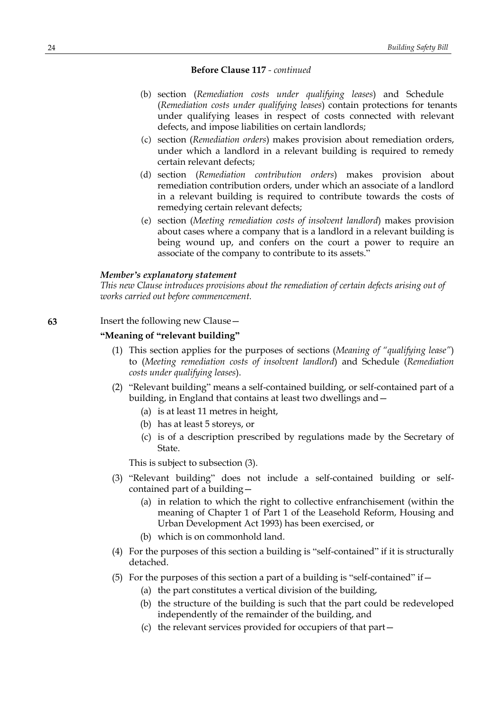- (b) section (*Remediation costs under qualifying leases*) and Schedule (*Remediation costs under qualifying leases*) contain protections for tenants under qualifying leases in respect of costs connected with relevant defects, and impose liabilities on certain landlords;
- (c) section (*Remediation orders*) makes provision about remediation orders, under which a landlord in a relevant building is required to remedy certain relevant defects;
- (d) section (*Remediation contribution orders*) makes provision about remediation contribution orders, under which an associate of a landlord in a relevant building is required to contribute towards the costs of remedying certain relevant defects;
- (e) section (*Meeting remediation costs of insolvent landlord*) makes provision about cases where a company that is a landlord in a relevant building is being wound up, and confers on the court a power to require an associate of the company to contribute to its assets."

#### *Member's explanatory statement*

*This new Clause introduces provisions about the remediation of certain defects arising out of works carried out before commencement.*

# **63** Insert the following new Clause—

# **"Meaning of "relevant building"**

- (1) This section applies for the purposes of sections (*Meaning of "qualifying lease"*) to (*Meeting remediation costs of insolvent landlord*) and Schedule (*Remediation costs under qualifying leases*).
- (2) "Relevant building" means a self-contained building, or self-contained part of a building, in England that contains at least two dwellings and—
	- (a) is at least 11 metres in height,
	- (b) has at least 5 storeys, or
	- (c) is of a description prescribed by regulations made by the Secretary of State.

This is subject to subsection (3).

- (3) "Relevant building" does not include a self-contained building or selfcontained part of a building—
	- (a) in relation to which the right to collective enfranchisement (within the meaning of Chapter 1 of Part 1 of the Leasehold Reform, Housing and Urban Development Act 1993) has been exercised, or
	- (b) which is on commonhold land.
- (4) For the purposes of this section a building is "self-contained" if it is structurally detached.
- (5) For the purposes of this section a part of a building is "self-contained" if  $-$ 
	- (a) the part constitutes a vertical division of the building,
	- (b) the structure of the building is such that the part could be redeveloped independently of the remainder of the building, and
	- (c) the relevant services provided for occupiers of that part—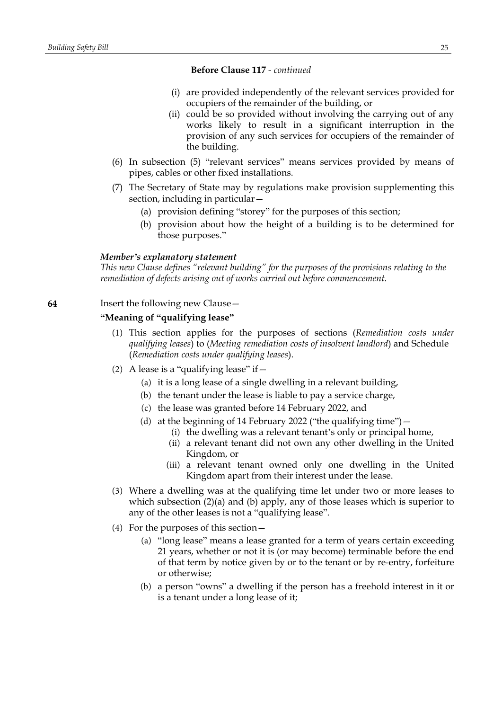- (i) are provided independently of the relevant services provided for occupiers of the remainder of the building, or
- (ii) could be so provided without involving the carrying out of any works likely to result in a significant interruption in the provision of any such services for occupiers of the remainder of the building.
- (6) In subsection (5) "relevant services" means services provided by means of pipes, cables or other fixed installations.
- (7) The Secretary of State may by regulations make provision supplementing this section, including in particular—
	- (a) provision defining "storey" for the purposes of this section;
	- (b) provision about how the height of a building is to be determined for those purposes."

#### *Member's explanatory statement*

*This new Clause defines "relevant building" for the purposes of the provisions relating to the remediation of defects arising out of works carried out before commencement.*

### **64** Insert the following new Clause—

### **"Meaning of "qualifying lease"**

- (1) This section applies for the purposes of sections (*Remediation costs under qualifying leases*) to (*Meeting remediation costs of insolvent landlord*) and Schedule (*Remediation costs under qualifying leases*).
- (2) A lease is a "qualifying lease" if  $-$ 
	- (a) it is a long lease of a single dwelling in a relevant building,
	- (b) the tenant under the lease is liable to pay a service charge,
	- (c) the lease was granted before 14 February 2022, and
	- (d) at the beginning of 14 February 2022 ("the qualifying time")—
		- (i) the dwelling was a relevant tenant's only or principal home,
		- (ii) a relevant tenant did not own any other dwelling in the United Kingdom, or
		- (iii) a relevant tenant owned only one dwelling in the United Kingdom apart from their interest under the lease.
- (3) Where a dwelling was at the qualifying time let under two or more leases to which subsection (2)(a) and (b) apply, any of those leases which is superior to any of the other leases is not a "qualifying lease".
- (4) For the purposes of this section—
	- (a) "long lease" means a lease granted for a term of years certain exceeding 21 years, whether or not it is (or may become) terminable before the end of that term by notice given by or to the tenant or by re-entry, forfeiture or otherwise;
	- (b) a person "owns" a dwelling if the person has a freehold interest in it or is a tenant under a long lease of it;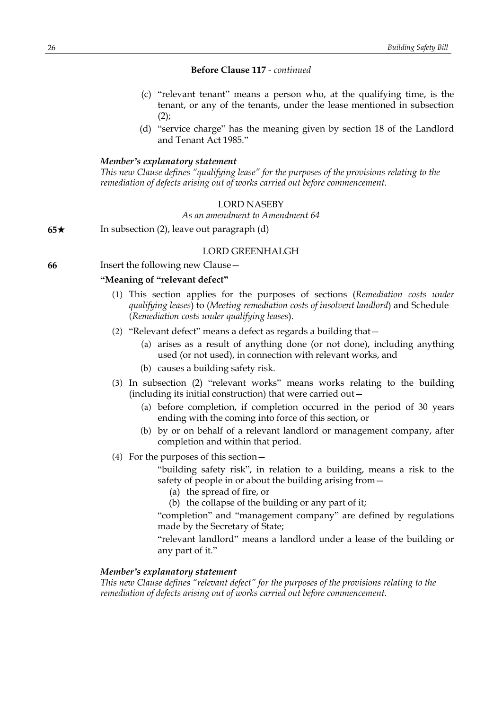- (c) "relevant tenant" means a person who, at the qualifying time, is the tenant, or any of the tenants, under the lease mentioned in subsection  $(2)$ ;
- (d) "service charge" has the meaning given by section 18 of the Landlord and Tenant Act 1985."

# *Member's explanatory statement*

*This new Clause defines "qualifying lease" for the purposes of the provisions relating to the remediation of defects arising out of works carried out before commencement.*

#### LORD NASEBY

*As an amendment to Amendment 64*

**65**\* In subsection (2), leave out paragraph (d)

### LORD GREENHALGH

**66** Insert the following new Clause—

### **"Meaning of "relevant defect"**

- (1) This section applies for the purposes of sections (*Remediation costs under qualifying leases*) to (*Meeting remediation costs of insolvent landlord*) and Schedule (*Remediation costs under qualifying leases*).
- (2) "Relevant defect" means a defect as regards a building that—
	- (a) arises as a result of anything done (or not done), including anything used (or not used), in connection with relevant works, and
	- (b) causes a building safety risk.
- (3) In subsection (2) "relevant works" means works relating to the building (including its initial construction) that were carried out—
	- (a) before completion, if completion occurred in the period of 30 years ending with the coming into force of this section, or
	- (b) by or on behalf of a relevant landlord or management company, after completion and within that period.
- (4) For the purposes of this section—

"building safety risk", in relation to a building, means a risk to the safety of people in or about the building arising from—

- (a) the spread of fire, or
- (b) the collapse of the building or any part of it;

"completion" and "management company" are defined by regulations made by the Secretary of State;

"relevant landlord" means a landlord under a lease of the building or any part of it."

# *Member's explanatory statement*

*This new Clause defines "relevant defect" for the purposes of the provisions relating to the remediation of defects arising out of works carried out before commencement.*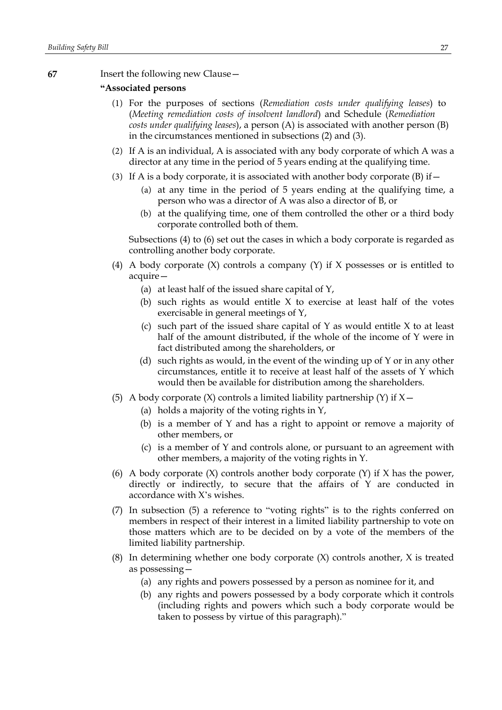### **67** Insert the following new Clause—

### **"Associated persons**

- (1) For the purposes of sections (*Remediation costs under qualifying leases*) to (*Meeting remediation costs of insolvent landlord*) and Schedule (*Remediation costs under qualifying leases*), a person (A) is associated with another person (B) in the circumstances mentioned in subsections (2) and (3).
- (2) If A is an individual, A is associated with any body corporate of which A was a director at any time in the period of 5 years ending at the qualifying time.
- (3) If A is a body corporate, it is associated with another body corporate  $(B)$  if  $-$ 
	- (a) at any time in the period of 5 years ending at the qualifying time, a person who was a director of A was also a director of B, or
	- (b) at the qualifying time, one of them controlled the other or a third body corporate controlled both of them.

Subsections (4) to (6) set out the cases in which a body corporate is regarded as controlling another body corporate.

- (4) A body corporate  $(X)$  controls a company  $(Y)$  if X possesses or is entitled to acquire—
	- (a) at least half of the issued share capital of Y,
	- (b) such rights as would entitle X to exercise at least half of the votes exercisable in general meetings of Y,
	- (c) such part of the issued share capital of  $Y$  as would entitle  $X$  to at least half of the amount distributed, if the whole of the income of Y were in fact distributed among the shareholders, or
	- (d) such rights as would, in the event of the winding up of Y or in any other circumstances, entitle it to receive at least half of the assets of Y which would then be available for distribution among the shareholders.
- (5) A body corporate  $(X)$  controls a limited liability partnership  $(Y)$  if  $X$  -
	- (a) holds a majority of the voting rights in Y,
	- (b) is a member of Y and has a right to appoint or remove a majority of other members, or
	- (c) is a member of Y and controls alone, or pursuant to an agreement with other members, a majority of the voting rights in Y.
- (6) A body corporate (X) controls another body corporate (Y) if X has the power, directly or indirectly, to secure that the affairs of Y are conducted in accordance with X's wishes.
- (7) In subsection (5) a reference to "voting rights" is to the rights conferred on members in respect of their interest in a limited liability partnership to vote on those matters which are to be decided on by a vote of the members of the limited liability partnership.
- (8) In determining whether one body corporate (X) controls another, X is treated as possessing—
	- (a) any rights and powers possessed by a person as nominee for it, and
	- (b) any rights and powers possessed by a body corporate which it controls (including rights and powers which such a body corporate would be taken to possess by virtue of this paragraph)."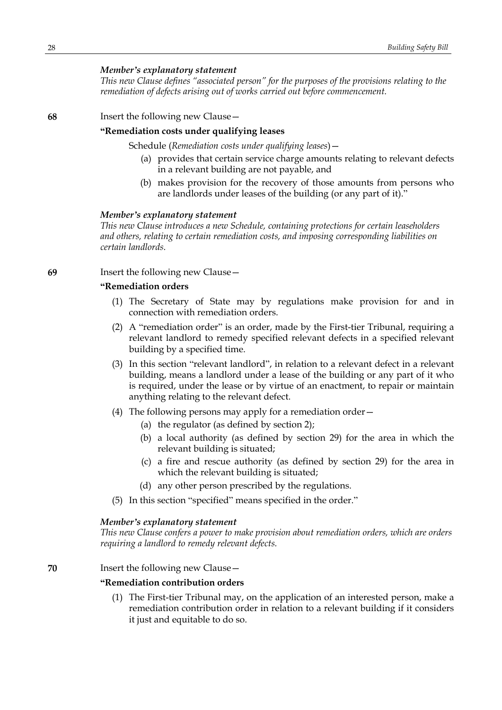### *Member's explanatory statement*

*This new Clause defines "associated person" for the purposes of the provisions relating to the remediation of defects arising out of works carried out before commencement.*

#### **68** Insert the following new Clause—

# **"Remediation costs under qualifying leases**

Schedule (*Remediation costs under qualifying leases*)—

- (a) provides that certain service charge amounts relating to relevant defects in a relevant building are not payable, and
- (b) makes provision for the recovery of those amounts from persons who are landlords under leases of the building (or any part of it)."

#### *Member's explanatory statement*

*This new Clause introduces a new Schedule, containing protections for certain leaseholders and others, relating to certain remediation costs, and imposing corresponding liabilities on certain landlords.*

**69** Insert the following new Clause—

### **"Remediation orders**

- (1) The Secretary of State may by regulations make provision for and in connection with remediation orders.
- (2) A "remediation order" is an order, made by the First-tier Tribunal, requiring a relevant landlord to remedy specified relevant defects in a specified relevant building by a specified time.
- (3) In this section "relevant landlord", in relation to a relevant defect in a relevant building, means a landlord under a lease of the building or any part of it who is required, under the lease or by virtue of an enactment, to repair or maintain anything relating to the relevant defect.
- (4) The following persons may apply for a remediation order—
	- (a) the regulator (as defined by section 2);
	- (b) a local authority (as defined by section 29) for the area in which the relevant building is situated;
	- (c) a fire and rescue authority (as defined by section 29) for the area in which the relevant building is situated;
	- (d) any other person prescribed by the regulations.
- (5) In this section "specified" means specified in the order."

#### *Member's explanatory statement*

*This new Clause confers a power to make provision about remediation orders, which are orders requiring a landlord to remedy relevant defects.*

**70** Insert the following new Clause—

### **"Remediation contribution orders**

(1) The First-tier Tribunal may, on the application of an interested person, make a remediation contribution order in relation to a relevant building if it considers it just and equitable to do so.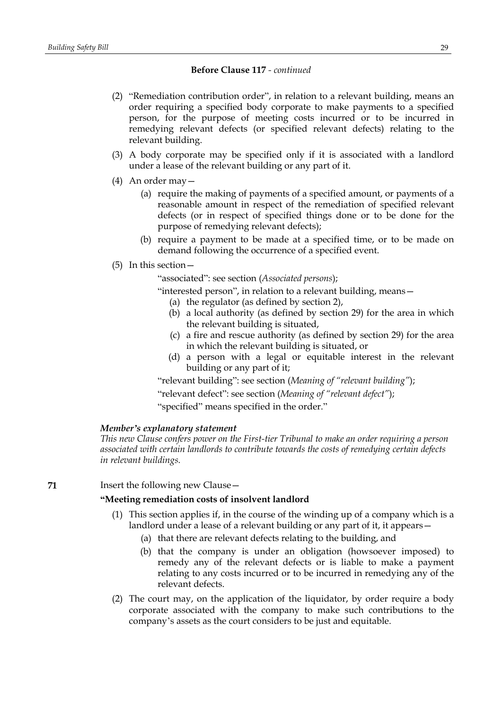- (2) "Remediation contribution order", in relation to a relevant building, means an order requiring a specified body corporate to make payments to a specified person, for the purpose of meeting costs incurred or to be incurred in remedying relevant defects (or specified relevant defects) relating to the relevant building.
- (3) A body corporate may be specified only if it is associated with a landlord under a lease of the relevant building or any part of it.
- (4) An order may—
	- (a) require the making of payments of a specified amount, or payments of a reasonable amount in respect of the remediation of specified relevant defects (or in respect of specified things done or to be done for the purpose of remedying relevant defects);
	- (b) require a payment to be made at a specified time, or to be made on demand following the occurrence of a specified event.
- (5) In this section—

"associated": see section (*Associated persons*);

"interested person", in relation to a relevant building, means—

- (a) the regulator (as defined by section 2),
- (b) a local authority (as defined by section 29) for the area in which the relevant building is situated,
- (c) a fire and rescue authority (as defined by section 29) for the area in which the relevant building is situated, or
- (d) a person with a legal or equitable interest in the relevant building or any part of it;

"relevant building": see section (*Meaning of "relevant building"*);

"relevant defect": see section (*Meaning of "relevant defect"*);

"specified" means specified in the order."

# *Member's explanatory statement*

*This new Clause confers power on the First-tier Tribunal to make an order requiring a person associated with certain landlords to contribute towards the costs of remedying certain defects in relevant buildings.*

### **71** Insert the following new Clause—

### **"Meeting remediation costs of insolvent landlord**

- (1) This section applies if, in the course of the winding up of a company which is a landlord under a lease of a relevant building or any part of it, it appears—
	- (a) that there are relevant defects relating to the building, and
	- (b) that the company is under an obligation (howsoever imposed) to remedy any of the relevant defects or is liable to make a payment relating to any costs incurred or to be incurred in remedying any of the relevant defects.
- (2) The court may, on the application of the liquidator, by order require a body corporate associated with the company to make such contributions to the company's assets as the court considers to be just and equitable.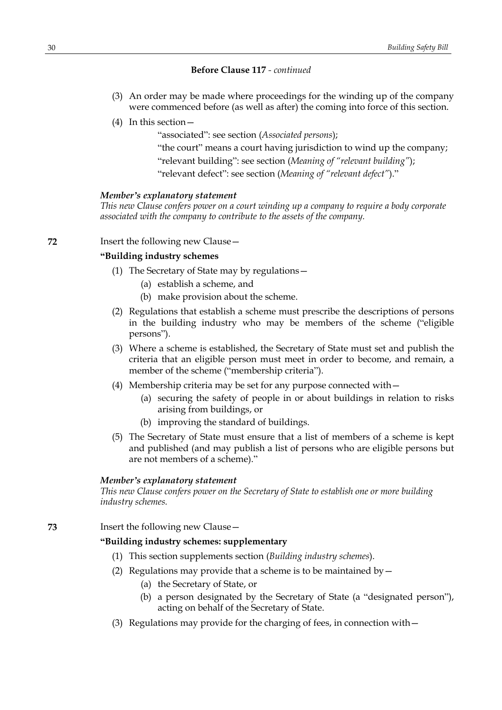- (3) An order may be made where proceedings for the winding up of the company were commenced before (as well as after) the coming into force of this section.
- (4) In this section—

"associated": see section (*Associated persons*);

"the court" means a court having jurisdiction to wind up the company;

"relevant building": see section (*Meaning of "relevant building"*);

"relevant defect": see section (*Meaning of "relevant defect"*)."

#### *Member's explanatory statement*

*This new Clause confers power on a court winding up a company to require a body corporate associated with the company to contribute to the assets of the company.*

### **72** Insert the following new Clause—

# **"Building industry schemes**

- (1) The Secretary of State may by regulations—
	- (a) establish a scheme, and
	- (b) make provision about the scheme.
- (2) Regulations that establish a scheme must prescribe the descriptions of persons in the building industry who may be members of the scheme ("eligible persons").
- (3) Where a scheme is established, the Secretary of State must set and publish the criteria that an eligible person must meet in order to become, and remain, a member of the scheme ("membership criteria").
- (4) Membership criteria may be set for any purpose connected with—
	- (a) securing the safety of people in or about buildings in relation to risks arising from buildings, or
	- (b) improving the standard of buildings.
- (5) The Secretary of State must ensure that a list of members of a scheme is kept and published (and may publish a list of persons who are eligible persons but are not members of a scheme)."

### *Member's explanatory statement*

*This new Clause confers power on the Secretary of State to establish one or more building industry schemes.*

**73** Insert the following new Clause—

# **"Building industry schemes: supplementary**

- (1) This section supplements section (*Building industry schemes*).
- (2) Regulations may provide that a scheme is to be maintained by  $-$ 
	- (a) the Secretary of State, or
	- (b) a person designated by the Secretary of State (a "designated person"), acting on behalf of the Secretary of State.
- (3) Regulations may provide for the charging of fees, in connection with—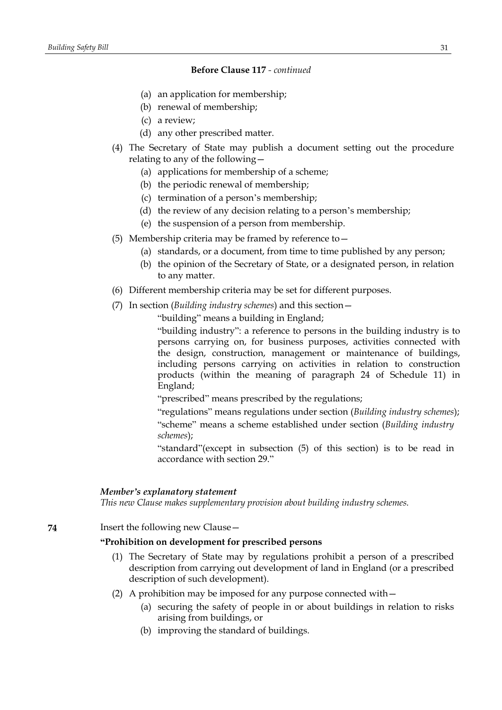- (a) an application for membership;
- (b) renewal of membership;
- (c) a review;
- (d) any other prescribed matter.
- (4) The Secretary of State may publish a document setting out the procedure relating to any of the following—
	- (a) applications for membership of a scheme;
	- (b) the periodic renewal of membership;
	- (c) termination of a person's membership;
	- (d) the review of any decision relating to a person's membership;
	- (e) the suspension of a person from membership.
- (5) Membership criteria may be framed by reference to—
	- (a) standards, or a document, from time to time published by any person;
	- (b) the opinion of the Secretary of State, or a designated person, in relation to any matter.
- (6) Different membership criteria may be set for different purposes.
- (7) In section (*Building industry schemes*) and this section—

"building" means a building in England;

"building industry": a reference to persons in the building industry is to persons carrying on, for business purposes, activities connected with the design, construction, management or maintenance of buildings, including persons carrying on activities in relation to construction products (within the meaning of paragraph 24 of Schedule 11) in England;

"prescribed" means prescribed by the regulations;

"regulations" means regulations under section (*Building industry schemes*); "scheme" means a scheme established under section (*Building industry schemes*);

"standard"(except in subsection (5) of this section) is to be read in accordance with section 29."

#### *Member's explanatory statement*

*This new Clause makes supplementary provision about building industry schemes.*

**74** Insert the following new Clause—

### **"Prohibition on development for prescribed persons**

- (1) The Secretary of State may by regulations prohibit a person of a prescribed description from carrying out development of land in England (or a prescribed description of such development).
- (2) A prohibition may be imposed for any purpose connected with—
	- (a) securing the safety of people in or about buildings in relation to risks arising from buildings, or
	- (b) improving the standard of buildings.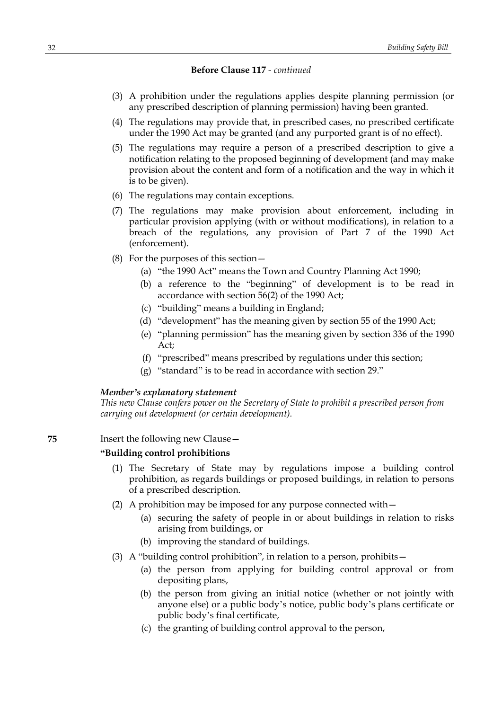- (3) A prohibition under the regulations applies despite planning permission (or any prescribed description of planning permission) having been granted.
- (4) The regulations may provide that, in prescribed cases, no prescribed certificate under the 1990 Act may be granted (and any purported grant is of no effect).
- (5) The regulations may require a person of a prescribed description to give a notification relating to the proposed beginning of development (and may make provision about the content and form of a notification and the way in which it is to be given).
- (6) The regulations may contain exceptions.
- (7) The regulations may make provision about enforcement, including in particular provision applying (with or without modifications), in relation to a breach of the regulations, any provision of Part 7 of the 1990 Act (enforcement).
- (8) For the purposes of this section—
	- (a) "the 1990 Act" means the Town and Country Planning Act 1990;
	- (b) a reference to the "beginning" of development is to be read in accordance with section 56(2) of the 1990 Act;
	- (c) "building" means a building in England;
	- (d) "development" has the meaning given by section 55 of the 1990 Act;
	- (e) "planning permission" has the meaning given by section 336 of the 1990 Act;
	- (f) "prescribed" means prescribed by regulations under this section;
	- (g) "standard" is to be read in accordance with section 29."

### *Member's explanatory statement*

*This new Clause confers power on the Secretary of State to prohibit a prescribed person from carrying out development (or certain development).*

# **75** Insert the following new Clause—

# **"Building control prohibitions**

- (1) The Secretary of State may by regulations impose a building control prohibition, as regards buildings or proposed buildings, in relation to persons of a prescribed description.
- (2) A prohibition may be imposed for any purpose connected with—
	- (a) securing the safety of people in or about buildings in relation to risks arising from buildings, or
	- (b) improving the standard of buildings.
- (3) A "building control prohibition", in relation to a person, prohibits—
	- (a) the person from applying for building control approval or from depositing plans,
	- (b) the person from giving an initial notice (whether or not jointly with anyone else) or a public body's notice, public body's plans certificate or public body's final certificate,
	- (c) the granting of building control approval to the person,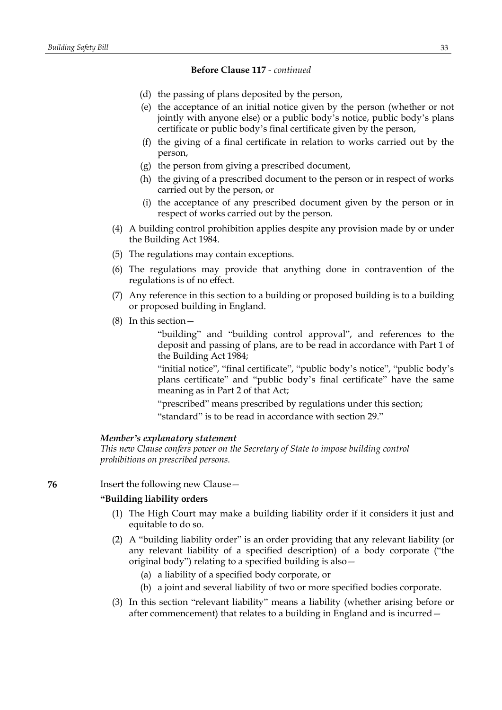- (d) the passing of plans deposited by the person,
- (e) the acceptance of an initial notice given by the person (whether or not jointly with anyone else) or a public body's notice, public body's plans certificate or public body's final certificate given by the person,
- (f) the giving of a final certificate in relation to works carried out by the person,
- (g) the person from giving a prescribed document,
- (h) the giving of a prescribed document to the person or in respect of works carried out by the person, or
- (i) the acceptance of any prescribed document given by the person or in respect of works carried out by the person.
- (4) A building control prohibition applies despite any provision made by or under the Building Act 1984.
- (5) The regulations may contain exceptions.
- (6) The regulations may provide that anything done in contravention of the regulations is of no effect.
- (7) Any reference in this section to a building or proposed building is to a building or proposed building in England.
- (8) In this section—

"building" and "building control approval", and references to the deposit and passing of plans, are to be read in accordance with Part 1 of the Building Act 1984;

"initial notice", "final certificate", "public body's notice", "public body's plans certificate" and "public body's final certificate" have the same meaning as in Part 2 of that Act;

"prescribed" means prescribed by regulations under this section;

"standard" is to be read in accordance with section 29."

### *Member's explanatory statement*

*This new Clause confers power on the Secretary of State to impose building control prohibitions on prescribed persons.*

**76** Insert the following new Clause -

### **"Building liability orders**

- (1) The High Court may make a building liability order if it considers it just and equitable to do so.
- (2) A "building liability order" is an order providing that any relevant liability (or any relevant liability of a specified description) of a body corporate ("the original body") relating to a specified building is also—
	- (a) a liability of a specified body corporate, or
	- (b) a joint and several liability of two or more specified bodies corporate.
- (3) In this section "relevant liability" means a liability (whether arising before or after commencement) that relates to a building in England and is incurred—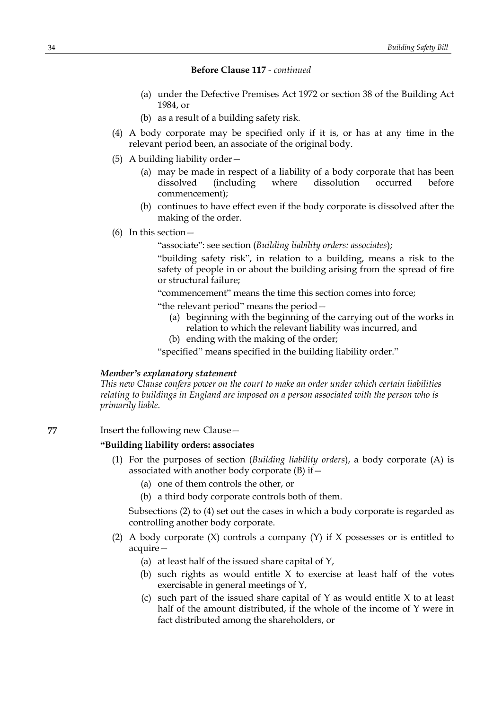- (a) under the Defective Premises Act 1972 or section 38 of the Building Act 1984, or
- (b) as a result of a building safety risk.
- (4) A body corporate may be specified only if it is, or has at any time in the relevant period been, an associate of the original body.
- (5) A building liability order—
	- (a) may be made in respect of a liability of a body corporate that has been dissolved (including where dissolution occurred before commencement);
	- (b) continues to have effect even if the body corporate is dissolved after the making of the order.
- (6) In this section—
	- "associate": see section (*Building liability orders: associates*);

"building safety risk", in relation to a building, means a risk to the safety of people in or about the building arising from the spread of fire or structural failure;

"commencement" means the time this section comes into force;

- "the relevant period" means the period—
	- (a) beginning with the beginning of the carrying out of the works in relation to which the relevant liability was incurred, and
	- (b) ending with the making of the order;

"specified" means specified in the building liability order."

#### *Member's explanatory statement*

*This new Clause confers power on the court to make an order under which certain liabilities relating to buildings in England are imposed on a person associated with the person who is primarily liable.*

**77** Insert the following new Clause—

#### **"Building liability orders: associates**

- (1) For the purposes of section (*Building liability orders*), a body corporate (A) is associated with another body corporate  $(B)$  if  $-$ 
	- (a) one of them controls the other, or
	- (b) a third body corporate controls both of them.

Subsections (2) to (4) set out the cases in which a body corporate is regarded as controlling another body corporate.

- (2) A body corporate  $(X)$  controls a company  $(Y)$  if X possesses or is entitled to acquire—
	- (a) at least half of the issued share capital of Y,
	- (b) such rights as would entitle  $X$  to exercise at least half of the votes exercisable in general meetings of Y,
	- (c) such part of the issued share capital of  $Y$  as would entitle  $X$  to at least half of the amount distributed, if the whole of the income of Y were in fact distributed among the shareholders, or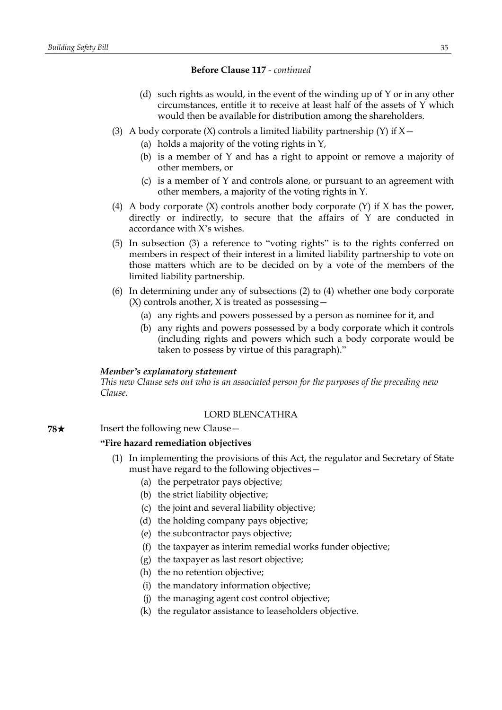- (d) such rights as would, in the event of the winding up of Y or in any other circumstances, entitle it to receive at least half of the assets of Y which would then be available for distribution among the shareholders.
- (3) A body corporate  $(X)$  controls a limited liability partnership  $(Y)$  if  $X$  -
	- (a) holds a majority of the voting rights in Y,
	- (b) is a member of Y and has a right to appoint or remove a majority of other members, or
	- (c) is a member of Y and controls alone, or pursuant to an agreement with other members, a majority of the voting rights in Y.
- (4) A body corporate (X) controls another body corporate (Y) if X has the power, directly or indirectly, to secure that the affairs of Y are conducted in accordance with X's wishes.
- (5) In subsection (3) a reference to "voting rights" is to the rights conferred on members in respect of their interest in a limited liability partnership to vote on those matters which are to be decided on by a vote of the members of the limited liability partnership.
- (6) In determining under any of subsections (2) to (4) whether one body corporate  $(X)$  controls another, X is treated as possessing  $-$ 
	- (a) any rights and powers possessed by a person as nominee for it, and
	- (b) any rights and powers possessed by a body corporate which it controls (including rights and powers which such a body corporate would be taken to possess by virtue of this paragraph)."

#### *Member's explanatory statement*

*This new Clause sets out who is an associated person for the purposes of the preceding new Clause.*

### LORD BLENCATHRA

**78**★ Insert the following new Clause —

### **"Fire hazard remediation objectives**

- (1) In implementing the provisions of this Act, the regulator and Secretary of State must have regard to the following objectives—
	- (a) the perpetrator pays objective;
	- (b) the strict liability objective;
	- (c) the joint and several liability objective;
	- (d) the holding company pays objective;
	- (e) the subcontractor pays objective;
	- (f) the taxpayer as interim remedial works funder objective;
	- (g) the taxpayer as last resort objective;
	- (h) the no retention objective;
	- (i) the mandatory information objective;
	- (j) the managing agent cost control objective;
	- (k) the regulator assistance to leaseholders objective.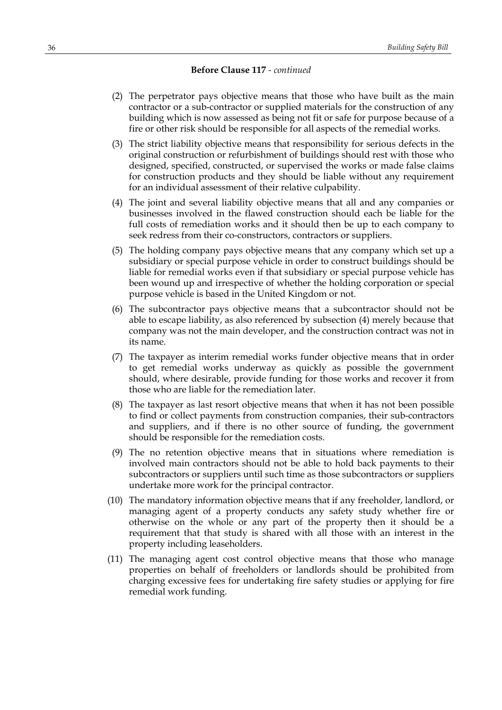- (2) The perpetrator pays objective means that those who have built as the main contractor or a sub-contractor or supplied materials for the construction of any building which is now assessed as being not fit or safe for purpose because of a fire or other risk should be responsible for all aspects of the remedial works.
- (3) The strict liability objective means that responsibility for serious defects in the original construction or refurbishment of buildings should rest with those who designed, specified, constructed, or supervised the works or made false claims for construction products and they should be liable without any requirement for an individual assessment of their relative culpability.
- (4) The joint and several liability objective means that all and any companies or businesses involved in the flawed construction should each be liable for the full costs of remediation works and it should then be up to each company to seek redress from their co-constructors, contractors or suppliers.
- (5) The holding company pays objective means that any company which set up a subsidiary or special purpose vehicle in order to construct buildings should be liable for remedial works even if that subsidiary or special purpose vehicle has been wound up and irrespective of whether the holding corporation or special purpose vehicle is based in the United Kingdom or not.
- (6) The subcontractor pays objective means that a subcontractor should not be able to escape liability, as also referenced by subsection (4) merely because that company was not the main developer, and the construction contract was not in its name.
- (7) The taxpayer as interim remedial works funder objective means that in order to get remedial works underway as quickly as possible the government should, where desirable, provide funding for those works and recover it from those who are liable for the remediation later.
- (8) The taxpayer as last resort objective means that when it has not been possible to find or collect payments from construction companies, their sub-contractors and suppliers, and if there is no other source of funding, the government should be responsible for the remediation costs.
- (9) The no retention objective means that in situations where remediation is involved main contractors should not be able to hold back payments to their subcontractors or suppliers until such time as those subcontractors or suppliers undertake more work for the principal contractor.
- (10) The mandatory information objective means that if any freeholder, landlord, or managing agent of a property conducts any safety study whether fire or otherwise on the whole or any part of the property then it should be a requirement that that study is shared with all those with an interest in the property including leaseholders.
- (11) The managing agent cost control objective means that those who manage properties on behalf of freeholders or landlords should be prohibited from charging excessive fees for undertaking fire safety studies or applying for fire remedial work funding.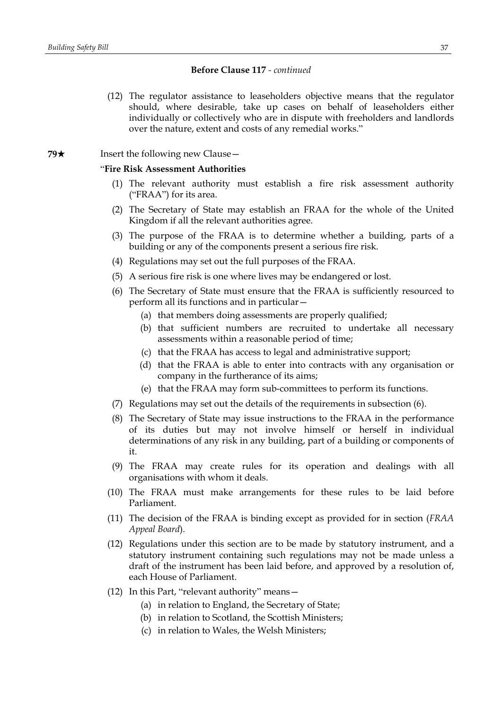(12) The regulator assistance to leaseholders objective means that the regulator should, where desirable, take up cases on behalf of leaseholders either individually or collectively who are in dispute with freeholders and landlords over the nature, extent and costs of any remedial works."

## **79**★ Insert the following new Clause

# "**Fire Risk Assessment Authorities**

- (1) The relevant authority must establish a fire risk assessment authority ("FRAA") for its area.
- (2) The Secretary of State may establish an FRAA for the whole of the United Kingdom if all the relevant authorities agree.
- (3) The purpose of the FRAA is to determine whether a building, parts of a building or any of the components present a serious fire risk.
- (4) Regulations may set out the full purposes of the FRAA.
- (5) A serious fire risk is one where lives may be endangered or lost.
- (6) The Secretary of State must ensure that the FRAA is sufficiently resourced to perform all its functions and in particular—
	- (a) that members doing assessments are properly qualified;
	- (b) that sufficient numbers are recruited to undertake all necessary assessments within a reasonable period of time;
	- (c) that the FRAA has access to legal and administrative support;
	- (d) that the FRAA is able to enter into contracts with any organisation or company in the furtherance of its aims;
	- (e) that the FRAA may form sub-committees to perform its functions.
- (7) Regulations may set out the details of the requirements in subsection (6).
- (8) The Secretary of State may issue instructions to the FRAA in the performance of its duties but may not involve himself or herself in individual determinations of any risk in any building, part of a building or components of it.
- (9) The FRAA may create rules for its operation and dealings with all organisations with whom it deals.
- (10) The FRAA must make arrangements for these rules to be laid before Parliament.
- (11) The decision of the FRAA is binding except as provided for in section (*FRAA Appeal Board*).
- (12) Regulations under this section are to be made by statutory instrument, and a statutory instrument containing such regulations may not be made unless a draft of the instrument has been laid before, and approved by a resolution of, each House of Parliament.
- (12) In this Part, "relevant authority" means—
	- (a) in relation to England, the Secretary of State;
	- (b) in relation to Scotland, the Scottish Ministers;
	- (c) in relation to Wales, the Welsh Ministers;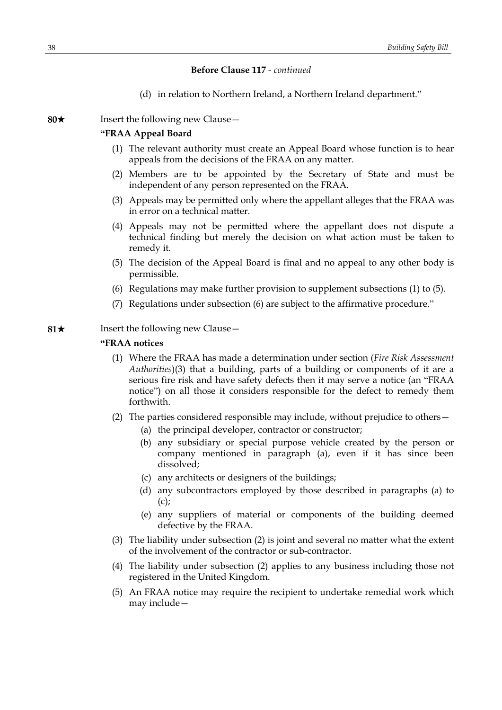(d) in relation to Northern Ireland, a Northern Ireland department."

**80**★ Insert the following new Clause —

## **"FRAA Appeal Board**

- (1) The relevant authority must create an Appeal Board whose function is to hear appeals from the decisions of the FRAA on any matter.
- (2) Members are to be appointed by the Secretary of State and must be independent of any person represented on the FRAA.
- (3) Appeals may be permitted only where the appellant alleges that the FRAA was in error on a technical matter.
- (4) Appeals may not be permitted where the appellant does not dispute a technical finding but merely the decision on what action must be taken to remedy it.
- (5) The decision of the Appeal Board is final and no appeal to any other body is permissible.
- (6) Regulations may make further provision to supplement subsections (1) to (5).
- (7) Regulations under subsection (6) are subject to the affirmative procedure."

## **81**★ Insert the following new Clause —

## **"FRAA notices**

- (1) Where the FRAA has made a determination under section (*Fire Risk Assessment Authorities*)(3) that a building, parts of a building or components of it are a serious fire risk and have safety defects then it may serve a notice (an "FRAA notice") on all those it considers responsible for the defect to remedy them forthwith.
- (2) The parties considered responsible may include, without prejudice to others—
	- (a) the principal developer, contractor or constructor;
	- (b) any subsidiary or special purpose vehicle created by the person or company mentioned in paragraph (a), even if it has since been dissolved;
	- (c) any architects or designers of the buildings;
	- (d) any subcontractors employed by those described in paragraphs (a) to  $(c)$ ;
	- (e) any suppliers of material or components of the building deemed defective by the FRAA.
- (3) The liability under subsection (2) is joint and several no matter what the extent of the involvement of the contractor or sub-contractor.
- (4) The liability under subsection (2) applies to any business including those not registered in the United Kingdom.
- (5) An FRAA notice may require the recipient to undertake remedial work which may include—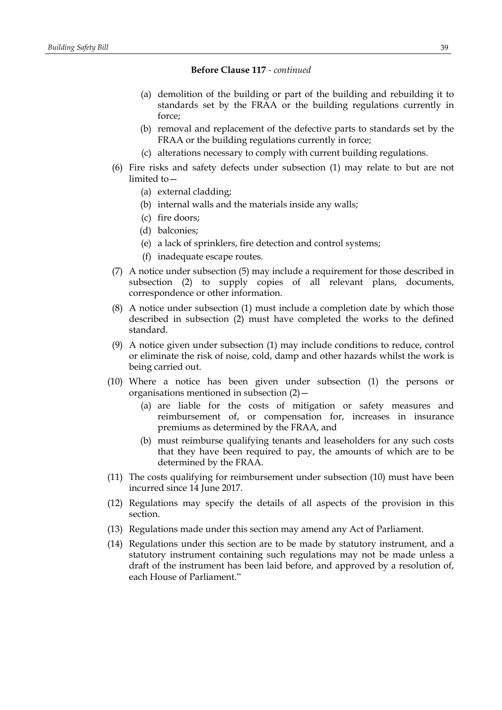- (a) demolition of the building or part of the building and rebuilding it to standards set by the FRAA or the building regulations currently in force;
- (b) removal and replacement of the defective parts to standards set by the FRAA or the building regulations currently in force;
- (c) alterations necessary to comply with current building regulations.
- (6) Fire risks and safety defects under subsection (1) may relate to but are not limited to—
	- (a) external cladding;
	- (b) internal walls and the materials inside any walls;
	- (c) fire doors;
	- (d) balconies;
	- (e) a lack of sprinklers, fire detection and control systems;
	- (f) inadequate escape routes.
- (7) A notice under subsection (5) may include a requirement for those described in subsection (2) to supply copies of all relevant plans, documents, correspondence or other information.
- (8) A notice under subsection (1) must include a completion date by which those described in subsection (2) must have completed the works to the defined standard.
- (9) A notice given under subsection (1) may include conditions to reduce, control or eliminate the risk of noise, cold, damp and other hazards whilst the work is being carried out.
- (10) Where a notice has been given under subsection (1) the persons or organisations mentioned in subsection (2)—
	- (a) are liable for the costs of mitigation or safety measures and reimbursement of, or compensation for, increases in insurance premiums as determined by the FRAA, and
	- (b) must reimburse qualifying tenants and leaseholders for any such costs that they have been required to pay, the amounts of which are to be determined by the FRAA.
- (11) The costs qualifying for reimbursement under subsection (10) must have been incurred since 14 June 2017.
- (12) Regulations may specify the details of all aspects of the provision in this section.
- (13) Regulations made under this section may amend any Act of Parliament.
- (14) Regulations under this section are to be made by statutory instrument, and a statutory instrument containing such regulations may not be made unless a draft of the instrument has been laid before, and approved by a resolution of, each House of Parliament."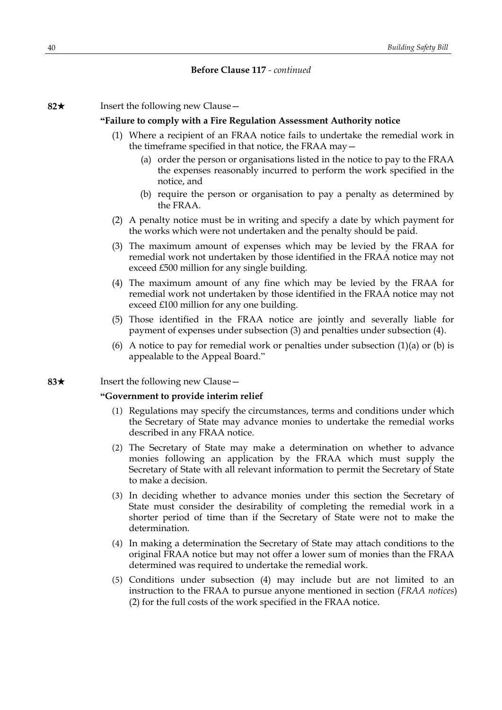**82**\* Insert the following new Clause—

#### **"Failure to comply with a Fire Regulation Assessment Authority notice**

- (1) Where a recipient of an FRAA notice fails to undertake the remedial work in the timeframe specified in that notice, the FRAA may—
	- (a) order the person or organisations listed in the notice to pay to the FRAA the expenses reasonably incurred to perform the work specified in the notice, and
	- (b) require the person or organisation to pay a penalty as determined by the FRAA.
- (2) A penalty notice must be in writing and specify a date by which payment for the works which were not undertaken and the penalty should be paid.
- (3) The maximum amount of expenses which may be levied by the FRAA for remedial work not undertaken by those identified in the FRAA notice may not exceed £500 million for any single building.
- (4) The maximum amount of any fine which may be levied by the FRAA for remedial work not undertaken by those identified in the FRAA notice may not exceed £100 million for any one building.
- (5) Those identified in the FRAA notice are jointly and severally liable for payment of expenses under subsection (3) and penalties under subsection (4).
- (6) A notice to pay for remedial work or penalties under subsection  $(1)(a)$  or  $(b)$  is appealable to the Appeal Board."

## **83**★ Insert the following new Clause —

### **"Government to provide interim relief**

- (1) Regulations may specify the circumstances, terms and conditions under which the Secretary of State may advance monies to undertake the remedial works described in any FRAA notice.
- (2) The Secretary of State may make a determination on whether to advance monies following an application by the FRAA which must supply the Secretary of State with all relevant information to permit the Secretary of State to make a decision.
- (3) In deciding whether to advance monies under this section the Secretary of State must consider the desirability of completing the remedial work in a shorter period of time than if the Secretary of State were not to make the determination.
- (4) In making a determination the Secretary of State may attach conditions to the original FRAA notice but may not offer a lower sum of monies than the FRAA determined was required to undertake the remedial work.
- (5) Conditions under subsection (4) may include but are not limited to an instruction to the FRAA to pursue anyone mentioned in section (*FRAA notices*) (2) for the full costs of the work specified in the FRAA notice.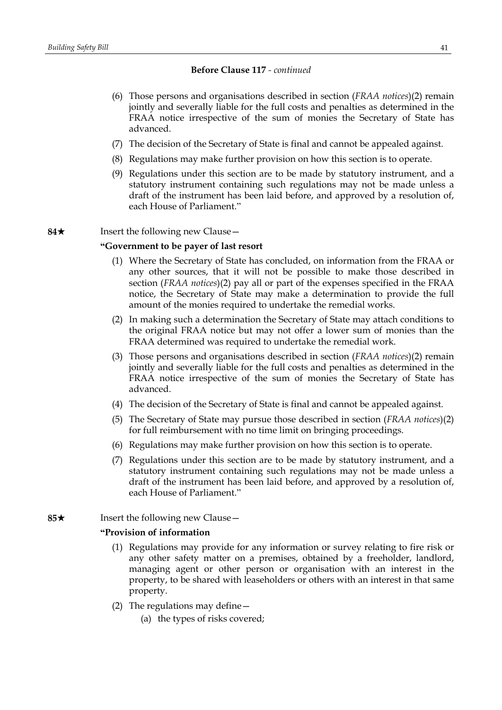- (6) Those persons and organisations described in section (*FRAA notices*)(2) remain jointly and severally liable for the full costs and penalties as determined in the FRAA notice irrespective of the sum of monies the Secretary of State has advanced.
- (7) The decision of the Secretary of State is final and cannot be appealed against.
- (8) Regulations may make further provision on how this section is to operate.
- (9) Regulations under this section are to be made by statutory instrument, and a statutory instrument containing such regulations may not be made unless a draft of the instrument has been laid before, and approved by a resolution of, each House of Parliament."

**84**★ Insert the following new Clause —

## **"Government to be payer of last resort**

- (1) Where the Secretary of State has concluded, on information from the FRAA or any other sources, that it will not be possible to make those described in section (*FRAA notices*)(2) pay all or part of the expenses specified in the FRAA notice, the Secretary of State may make a determination to provide the full amount of the monies required to undertake the remedial works.
- (2) In making such a determination the Secretary of State may attach conditions to the original FRAA notice but may not offer a lower sum of monies than the FRAA determined was required to undertake the remedial work.
- (3) Those persons and organisations described in section (*FRAA notices*)(2) remain jointly and severally liable for the full costs and penalties as determined in the FRAA notice irrespective of the sum of monies the Secretary of State has advanced.
- (4) The decision of the Secretary of State is final and cannot be appealed against.
- (5) The Secretary of State may pursue those described in section (*FRAA notices*)(2) for full reimbursement with no time limit on bringing proceedings.
- (6) Regulations may make further provision on how this section is to operate.
- (7) Regulations under this section are to be made by statutory instrument, and a statutory instrument containing such regulations may not be made unless a draft of the instrument has been laid before, and approved by a resolution of, each House of Parliament."
- **85**★ Insert the following new Clause —

## **"Provision of information**

- (1) Regulations may provide for any information or survey relating to fire risk or any other safety matter on a premises, obtained by a freeholder, landlord, managing agent or other person or organisation with an interest in the property, to be shared with leaseholders or others with an interest in that same property.
- (2) The regulations may define—
	- (a) the types of risks covered;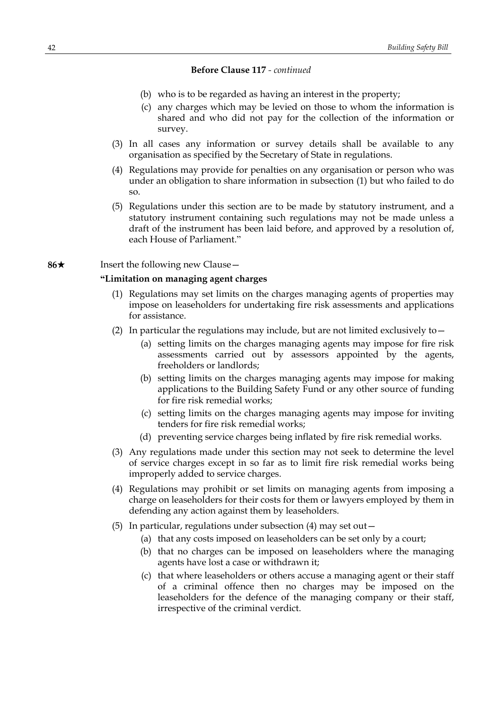- (b) who is to be regarded as having an interest in the property;
- (c) any charges which may be levied on those to whom the information is shared and who did not pay for the collection of the information or survey.
- (3) In all cases any information or survey details shall be available to any organisation as specified by the Secretary of State in regulations.
- (4) Regulations may provide for penalties on any organisation or person who was under an obligation to share information in subsection (1) but who failed to do so.
- (5) Regulations under this section are to be made by statutory instrument, and a statutory instrument containing such regulations may not be made unless a draft of the instrument has been laid before, and approved by a resolution of, each House of Parliament."

## **86**★ Insert the following new Clause

### **"Limitation on managing agent charges**

- (1) Regulations may set limits on the charges managing agents of properties may impose on leaseholders for undertaking fire risk assessments and applications for assistance.
- (2) In particular the regulations may include, but are not limited exclusively to  $-$ 
	- (a) setting limits on the charges managing agents may impose for fire risk assessments carried out by assessors appointed by the agents, freeholders or landlords;
	- (b) setting limits on the charges managing agents may impose for making applications to the Building Safety Fund or any other source of funding for fire risk remedial works;
	- (c) setting limits on the charges managing agents may impose for inviting tenders for fire risk remedial works;
	- (d) preventing service charges being inflated by fire risk remedial works.
- (3) Any regulations made under this section may not seek to determine the level of service charges except in so far as to limit fire risk remedial works being improperly added to service charges.
- (4) Regulations may prohibit or set limits on managing agents from imposing a charge on leaseholders for their costs for them or lawyers employed by them in defending any action against them by leaseholders.
- (5) In particular, regulations under subsection (4) may set out—
	- (a) that any costs imposed on leaseholders can be set only by a court;
	- (b) that no charges can be imposed on leaseholders where the managing agents have lost a case or withdrawn it;
	- (c) that where leaseholders or others accuse a managing agent or their staff of a criminal offence then no charges may be imposed on the leaseholders for the defence of the managing company or their staff, irrespective of the criminal verdict.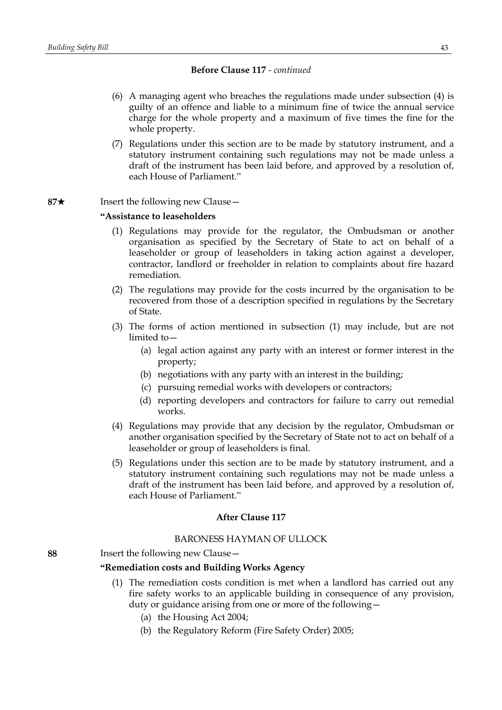- (6) A managing agent who breaches the regulations made under subsection (4) is guilty of an offence and liable to a minimum fine of twice the annual service charge for the whole property and a maximum of five times the fine for the whole property.
- (7) Regulations under this section are to be made by statutory instrument, and a statutory instrument containing such regulations may not be made unless a draft of the instrument has been laid before, and approved by a resolution of, each House of Parliament."
- **87**★ Insert the following new Clause

## **"Assistance to leaseholders**

- (1) Regulations may provide for the regulator, the Ombudsman or another organisation as specified by the Secretary of State to act on behalf of a leaseholder or group of leaseholders in taking action against a developer, contractor, landlord or freeholder in relation to complaints about fire hazard remediation.
- (2) The regulations may provide for the costs incurred by the organisation to be recovered from those of a description specified in regulations by the Secretary of State.
- (3) The forms of action mentioned in subsection (1) may include, but are not limited to—
	- (a) legal action against any party with an interest or former interest in the property;
	- (b) negotiations with any party with an interest in the building;
	- (c) pursuing remedial works with developers or contractors;
	- (d) reporting developers and contractors for failure to carry out remedial works.
- (4) Regulations may provide that any decision by the regulator, Ombudsman or another organisation specified by the Secretary of State not to act on behalf of a leaseholder or group of leaseholders is final.
- (5) Regulations under this section are to be made by statutory instrument, and a statutory instrument containing such regulations may not be made unless a draft of the instrument has been laid before, and approved by a resolution of, each House of Parliament."

### **After Clause 117**

## BARONESS HAYMAN OF ULLOCK

**88** Insert the following new Clause—

## **"Remediation costs and Building Works Agency**

- (1) The remediation costs condition is met when a landlord has carried out any fire safety works to an applicable building in consequence of any provision, duty or guidance arising from one or more of the following—
	- (a) the Housing Act 2004;
	- (b) the Regulatory Reform (Fire Safety Order) 2005;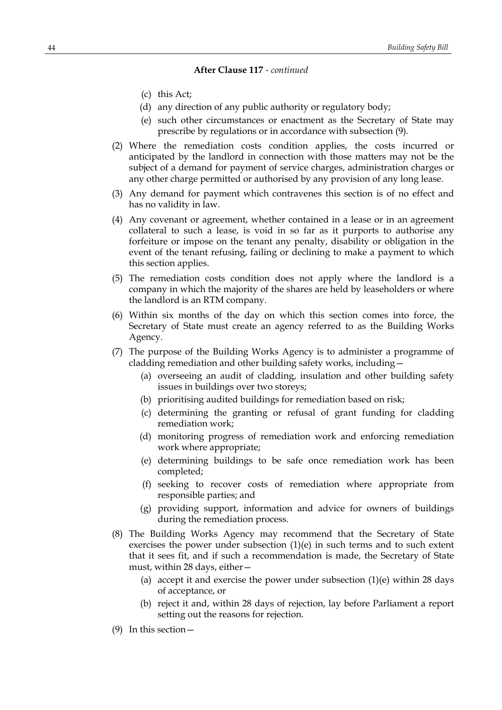- (c) this Act;
- (d) any direction of any public authority or regulatory body;
- (e) such other circumstances or enactment as the Secretary of State may prescribe by regulations or in accordance with subsection (9).
- (2) Where the remediation costs condition applies, the costs incurred or anticipated by the landlord in connection with those matters may not be the subject of a demand for payment of service charges, administration charges or any other charge permitted or authorised by any provision of any long lease.
- (3) Any demand for payment which contravenes this section is of no effect and has no validity in law.
- (4) Any covenant or agreement, whether contained in a lease or in an agreement collateral to such a lease, is void in so far as it purports to authorise any forfeiture or impose on the tenant any penalty, disability or obligation in the event of the tenant refusing, failing or declining to make a payment to which this section applies.
- (5) The remediation costs condition does not apply where the landlord is a company in which the majority of the shares are held by leaseholders or where the landlord is an RTM company.
- (6) Within six months of the day on which this section comes into force, the Secretary of State must create an agency referred to as the Building Works Agency.
- (7) The purpose of the Building Works Agency is to administer a programme of cladding remediation and other building safety works, including—
	- (a) overseeing an audit of cladding, insulation and other building safety issues in buildings over two storeys;
	- (b) prioritising audited buildings for remediation based on risk;
	- (c) determining the granting or refusal of grant funding for cladding remediation work;
	- (d) monitoring progress of remediation work and enforcing remediation work where appropriate;
	- (e) determining buildings to be safe once remediation work has been completed;
	- (f) seeking to recover costs of remediation where appropriate from responsible parties; and
	- (g) providing support, information and advice for owners of buildings during the remediation process.
- (8) The Building Works Agency may recommend that the Secretary of State exercises the power under subsection  $(1)(e)$  in such terms and to such extent that it sees fit, and if such a recommendation is made, the Secretary of State must, within 28 days, either—
	- (a) accept it and exercise the power under subsection (1)(e) within 28 days of acceptance, or
	- (b) reject it and, within 28 days of rejection, lay before Parliament a report setting out the reasons for rejection.
- (9) In this section—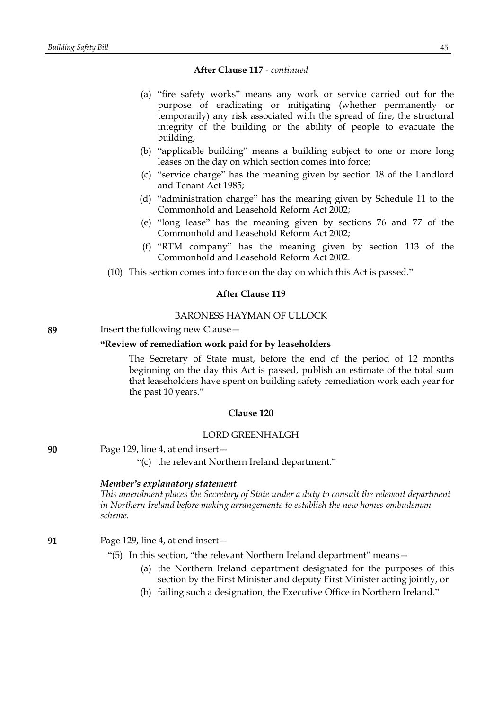- (a) "fire safety works" means any work or service carried out for the purpose of eradicating or mitigating (whether permanently or temporarily) any risk associated with the spread of fire, the structural integrity of the building or the ability of people to evacuate the building;
- (b) "applicable building" means a building subject to one or more long leases on the day on which section comes into force;
- (c) "service charge" has the meaning given by section 18 of the Landlord and Tenant Act 1985;
- (d) "administration charge" has the meaning given by Schedule 11 to the Commonhold and Leasehold Reform Act 2002;
- (e) "long lease" has the meaning given by sections 76 and 77 of the Commonhold and Leasehold Reform Act 2002;
- (f) "RTM company" has the meaning given by section 113 of the Commonhold and Leasehold Reform Act 2002.
- (10) This section comes into force on the day on which this Act is passed."

## **After Clause 119**

## BARONESS HAYMAN OF ULLOCK

# **89** Insert the following new Clause—

### **"Review of remediation work paid for by leaseholders**

The Secretary of State must, before the end of the period of 12 months beginning on the day this Act is passed, publish an estimate of the total sum that leaseholders have spent on building safety remediation work each year for the past 10 years."

### **Clause 120**

## LORD GREENHALGH

**90** Page 129, line 4, at end insert—

"(c) the relevant Northern Ireland department."

### *Member's explanatory statement*

*This amendment places the Secretary of State under a duty to consult the relevant department in Northern Ireland before making arrangements to establish the new homes ombudsman scheme.*

**91** Page 129, line 4, at end insert—

- "(5) In this section, "the relevant Northern Ireland department" means—
	- (a) the Northern Ireland department designated for the purposes of this section by the First Minister and deputy First Minister acting jointly, or
	- (b) failing such a designation, the Executive Office in Northern Ireland."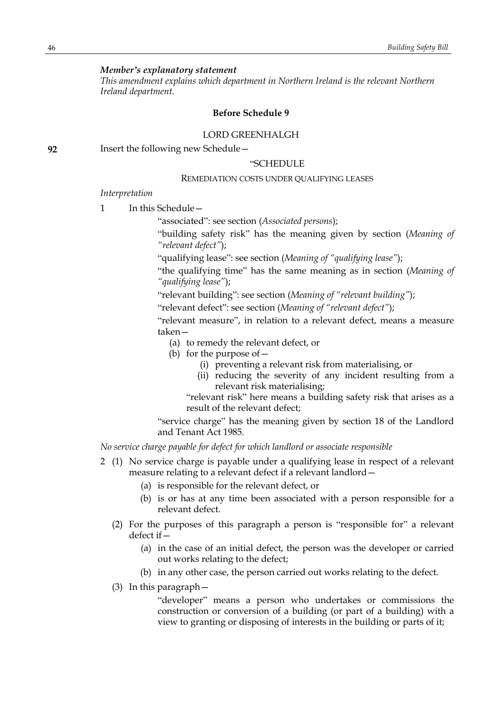## *Member's explanatory statement*

*This amendment explains which department in Northern Ireland is the relevant Northern Ireland department.*

### **Before Schedule 9**

## LORD GREENHALGH

**92** Insert the following new Schedule—

## "SCHEDULE

## REMEDIATION COSTS UNDER QUALIFYING LEASES

### *Interpretation*

1 In this Schedule-

"associated": see section (*Associated persons*);

"building safety risk" has the meaning given by section (*Meaning of "relevant defect"*);

"qualifying lease": see section (*Meaning of "qualifying lease"*);

"the qualifying time" has the same meaning as in section (*Meaning of "qualifying lease"*);

"relevant building": see section (*Meaning of "relevant building"*);

"relevant defect": see section (*Meaning of "relevant defect"*);

"relevant measure", in relation to a relevant defect, means a measure taken—

- (a) to remedy the relevant defect, or
- (b) for the purpose of  $-$ 
	- (i) preventing a relevant risk from materialising, or
	- (ii) reducing the severity of any incident resulting from a relevant risk materialising;

"relevant risk" here means a building safety risk that arises as a result of the relevant defect;

"service charge" has the meaning given by section 18 of the Landlord and Tenant Act 1985.

*No service charge payable for defect for which landlord or associate responsible*

- 2 (1) No service charge is payable under a qualifying lease in respect of a relevant measure relating to a relevant defect if a relevant landlord—
	- (a) is responsible for the relevant defect, or
	- (b) is or has at any time been associated with a person responsible for a relevant defect.
	- (2) For the purposes of this paragraph a person is "responsible for" a relevant defect if—
		- (a) in the case of an initial defect, the person was the developer or carried out works relating to the defect;
		- (b) in any other case, the person carried out works relating to the defect.
	- (3) In this paragraph—

"developer" means a person who undertakes or commissions the construction or conversion of a building (or part of a building) with a view to granting or disposing of interests in the building or parts of it;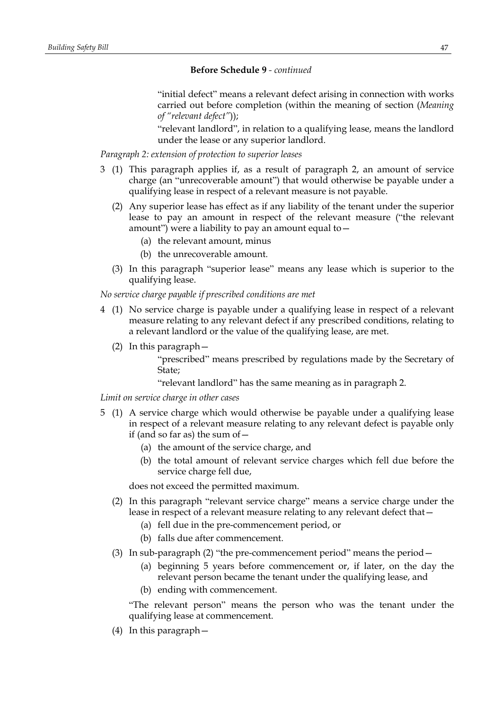"initial defect" means a relevant defect arising in connection with works carried out before completion (within the meaning of section (*Meaning of "relevant defect"*));

"relevant landlord", in relation to a qualifying lease, means the landlord under the lease or any superior landlord.

*Paragraph 2: extension of protection to superior leases*

- 3 (1) This paragraph applies if, as a result of paragraph 2, an amount of service charge (an "unrecoverable amount") that would otherwise be payable under a qualifying lease in respect of a relevant measure is not payable.
	- (2) Any superior lease has effect as if any liability of the tenant under the superior lease to pay an amount in respect of the relevant measure ("the relevant amount") were a liability to pay an amount equal to  $-$ 
		- (a) the relevant amount, minus
		- (b) the unrecoverable amount.
	- (3) In this paragraph "superior lease" means any lease which is superior to the qualifying lease.

*No service charge payable if prescribed conditions are met*

- 4 (1) No service charge is payable under a qualifying lease in respect of a relevant measure relating to any relevant defect if any prescribed conditions, relating to a relevant landlord or the value of the qualifying lease, are met.
	- (2) In this paragraph—

"prescribed" means prescribed by regulations made by the Secretary of State;

"relevant landlord" has the same meaning as in paragraph 2.

*Limit on service charge in other cases*

- 5 (1) A service charge which would otherwise be payable under a qualifying lease in respect of a relevant measure relating to any relevant defect is payable only if (and so far as) the sum of  $-$ 
	- (a) the amount of the service charge, and
	- (b) the total amount of relevant service charges which fell due before the service charge fell due,

does not exceed the permitted maximum.

- (2) In this paragraph "relevant service charge" means a service charge under the lease in respect of a relevant measure relating to any relevant defect that—
	- (a) fell due in the pre-commencement period, or
	- (b) falls due after commencement.
- (3) In sub-paragraph (2) "the pre-commencement period" means the period  $-$ 
	- (a) beginning 5 years before commencement or, if later, on the day the relevant person became the tenant under the qualifying lease, and
	- (b) ending with commencement.

"The relevant person" means the person who was the tenant under the qualifying lease at commencement.

(4) In this paragraph—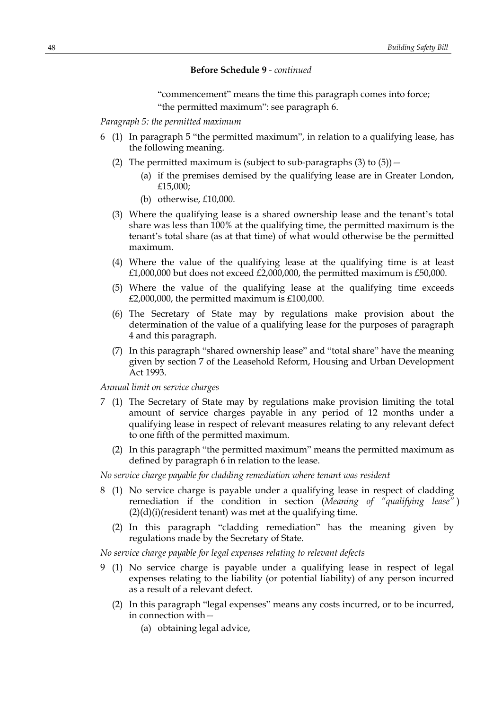"commencement" means the time this paragraph comes into force; "the permitted maximum": see paragraph 6.

*Paragraph 5: the permitted maximum*

- 6 (1) In paragraph 5 "the permitted maximum", in relation to a qualifying lease, has the following meaning.
	- (2) The permitted maximum is (subject to sub-paragraphs  $(3)$  to  $(5)$ )
		- (a) if the premises demised by the qualifying lease are in Greater London, £15,000;
		- (b) otherwise, £10,000.
	- (3) Where the qualifying lease is a shared ownership lease and the tenant's total share was less than 100% at the qualifying time, the permitted maximum is the tenant's total share (as at that time) of what would otherwise be the permitted maximum.
	- (4) Where the value of the qualifying lease at the qualifying time is at least  $£1,000,000$  but does not exceed  $£2,000,000$ , the permitted maximum is £50,000.
	- (5) Where the value of the qualifying lease at the qualifying time exceeds  $£2,000,000$ , the permitted maximum is £100,000.
	- (6) The Secretary of State may by regulations make provision about the determination of the value of a qualifying lease for the purposes of paragraph 4 and this paragraph.
	- (7) In this paragraph "shared ownership lease" and "total share" have the meaning given by section 7 of the Leasehold Reform, Housing and Urban Development Act 1993.

*Annual limit on service charges*

- 7 (1) The Secretary of State may by regulations make provision limiting the total amount of service charges payable in any period of 12 months under a qualifying lease in respect of relevant measures relating to any relevant defect to one fifth of the permitted maximum.
	- (2) In this paragraph "the permitted maximum" means the permitted maximum as defined by paragraph 6 in relation to the lease.

*No service charge payable for cladding remediation where tenant was resident*

- 8 (1) No service charge is payable under a qualifying lease in respect of cladding remediation if the condition in section (*Meaning of "qualifying lease"* )  $(2)(d)(i)$ (resident tenant) was met at the qualifying time.
	- (2) In this paragraph "cladding remediation" has the meaning given by regulations made by the Secretary of State.

*No service charge payable for legal expenses relating to relevant defects*

- 9 (1) No service charge is payable under a qualifying lease in respect of legal expenses relating to the liability (or potential liability) of any person incurred as a result of a relevant defect.
	- (2) In this paragraph "legal expenses" means any costs incurred, or to be incurred, in connection with—
		- (a) obtaining legal advice,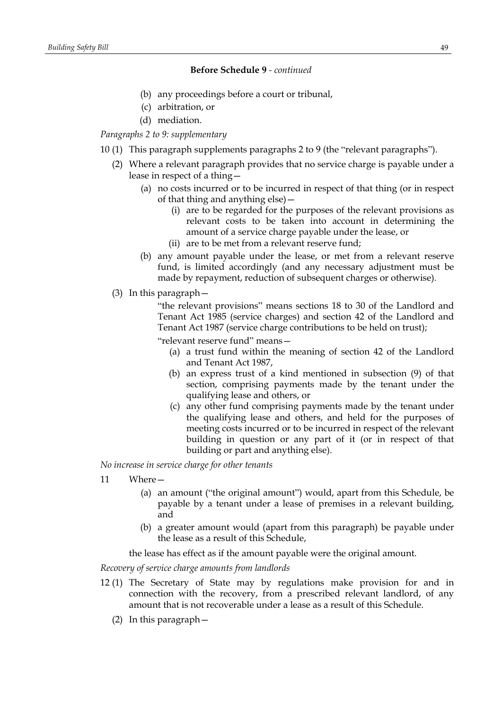- (b) any proceedings before a court or tribunal,
- (c) arbitration, or
- (d) mediation.

# *Paragraphs 2 to 9: supplementary*

- 10 (1) This paragraph supplements paragraphs 2 to 9 (the "relevant paragraphs").
	- (2) Where a relevant paragraph provides that no service charge is payable under a lease in respect of a thing—
		- (a) no costs incurred or to be incurred in respect of that thing (or in respect of that thing and anything else)—
			- (i) are to be regarded for the purposes of the relevant provisions as relevant costs to be taken into account in determining the amount of a service charge payable under the lease, or
			- (ii) are to be met from a relevant reserve fund;
		- (b) any amount payable under the lease, or met from a relevant reserve fund, is limited accordingly (and any necessary adjustment must be made by repayment, reduction of subsequent charges or otherwise).
	- (3) In this paragraph—

"the relevant provisions" means sections 18 to 30 of the Landlord and Tenant Act 1985 (service charges) and section 42 of the Landlord and Tenant Act 1987 (service charge contributions to be held on trust);

"relevant reserve fund" means—

- (a) a trust fund within the meaning of section 42 of the Landlord and Tenant Act 1987,
- (b) an express trust of a kind mentioned in subsection (9) of that section, comprising payments made by the tenant under the qualifying lease and others, or
- (c) any other fund comprising payments made by the tenant under the qualifying lease and others, and held for the purposes of meeting costs incurred or to be incurred in respect of the relevant building in question or any part of it (or in respect of that building or part and anything else).

*No increase in service charge for other tenants*

- 11 Where—
	- (a) an amount ("the original amount") would, apart from this Schedule, be payable by a tenant under a lease of premises in a relevant building, and
	- (b) a greater amount would (apart from this paragraph) be payable under the lease as a result of this Schedule,

the lease has effect as if the amount payable were the original amount.

*Recovery of service charge amounts from landlords*

- 12 (1) The Secretary of State may by regulations make provision for and in connection with the recovery, from a prescribed relevant landlord, of any amount that is not recoverable under a lease as a result of this Schedule.
	- (2) In this paragraph—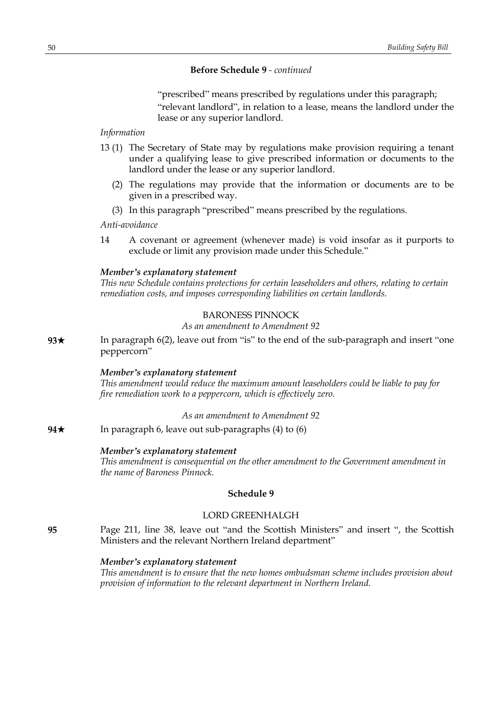"prescribed" means prescribed by regulations under this paragraph; "relevant landlord", in relation to a lease, means the landlord under the lease or any superior landlord.

## *Information*

- 13 (1) The Secretary of State may by regulations make provision requiring a tenant under a qualifying lease to give prescribed information or documents to the landlord under the lease or any superior landlord.
	- (2) The regulations may provide that the information or documents are to be given in a prescribed way.
	- (3) In this paragraph "prescribed" means prescribed by the regulations.

*Anti-avoidance*

14 A covenant or agreement (whenever made) is void insofar as it purports to exclude or limit any provision made under this Schedule."

## *Member's explanatory statement*

*This new Schedule contains protections for certain leaseholders and others, relating to certain remediation costs, and imposes corresponding liabilities on certain landlords.*

# BARONESS PINNOCK

*As an amendment to Amendment 92*

**93**★ In paragraph 6(2), leave out from "is" to the end of the sub-paragraph and insert "one peppercorn"

#### *Member's explanatory statement*

*This amendment would reduce the maximum amount leaseholders could be liable to pay for fire remediation work to a peppercorn, which is effectively zero.*

#### *As an amendment to Amendment 92*

**94**★ In paragraph 6, leave out sub-paragraphs (4) to (6)

#### *Member's explanatory statement*

*This amendment is consequential on the other amendment to the Government amendment in the name of Baroness Pinnock.*

## **Schedule 9**

## LORD GREENHALGH

**95** Page 211, line 38, leave out "and the Scottish Ministers" and insert ", the Scottish Ministers and the relevant Northern Ireland department"

## *Member's explanatory statement*

*This amendment is to ensure that the new homes ombudsman scheme includes provision about provision of information to the relevant department in Northern Ireland.*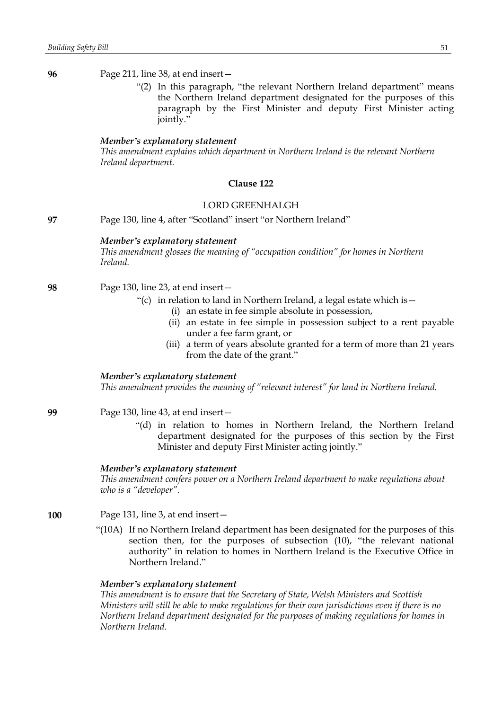"(2) In this paragraph, "the relevant Northern Ireland department" means the Northern Ireland department designated for the purposes of this paragraph by the First Minister and deputy First Minister acting jointly."

#### *Member's explanatory statement*

*This amendment explains which department in Northern Ireland is the relevant Northern Ireland department.*

## **Clause 122**

### LORD GREENHALGH

**97** Page 130, line 4, after "Scotland" insert "or Northern Ireland"

#### *Member's explanatory statement*

*This amendment glosses the meaning of "occupation condition" for homes in Northern Ireland.*

- **98** Page 130, line 23, at end insert—
	- "(c) in relation to land in Northern Ireland, a legal estate which is  $-$ 
		- (i) an estate in fee simple absolute in possession,
		- (ii) an estate in fee simple in possession subject to a rent payable under a fee farm grant, or
		- (iii) a term of years absolute granted for a term of more than 21 years from the date of the grant."

#### *Member's explanatory statement*

*This amendment provides the meaning of "relevant interest" for land in Northern Ireland.*

- **99** Page 130, line 43, at end insert—
	- "(d) in relation to homes in Northern Ireland, the Northern Ireland department designated for the purposes of this section by the First Minister and deputy First Minister acting jointly."

## *Member's explanatory statement*

*This amendment confers power on a Northern Ireland department to make regulations about who is a "developer".*

- **100** Page 131, line 3, at end insert—
	- "(10A) If no Northern Ireland department has been designated for the purposes of this section then, for the purposes of subsection (10), "the relevant national authority" in relation to homes in Northern Ireland is the Executive Office in Northern Ireland."

#### *Member's explanatory statement*

*This amendment is to ensure that the Secretary of State, Welsh Ministers and Scottish Ministers will still be able to make regulations for their own jurisdictions even if there is no Northern Ireland department designated for the purposes of making regulations for homes in Northern Ireland.*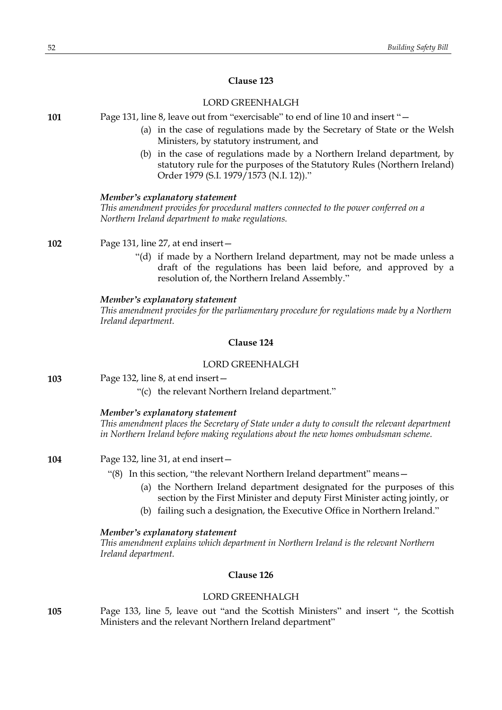## **Clause 123**

## LORD GREENHALGH

**101** Page 131, line 8, leave out from "exercisable" to end of line 10 and insert "—

- (a) in the case of regulations made by the Secretary of State or the Welsh Ministers, by statutory instrument, and
- (b) in the case of regulations made by a Northern Ireland department, by statutory rule for the purposes of the Statutory Rules (Northern Ireland) Order 1979 (S.I. 1979/1573 (N.I. 12))."

#### *Member's explanatory statement*

*This amendment provides for procedural matters connected to the power conferred on a Northern Ireland department to make regulations.*

**102** Page 131, line 27, at end insert—

"(d) if made by a Northern Ireland department, may not be made unless a draft of the regulations has been laid before, and approved by a resolution of, the Northern Ireland Assembly."

#### *Member's explanatory statement*

*This amendment provides for the parliamentary procedure for regulations made by a Northern Ireland department.*

## **Clause 124**

## LORD GREENHALGH

**103** Page 132, line 8, at end insert—

"(c) the relevant Northern Ireland department."

### *Member's explanatory statement*

*This amendment places the Secretary of State under a duty to consult the relevant department in Northern Ireland before making regulations about the new homes ombudsman scheme.*

#### **104** Page 132, line 31, at end insert—

- "(8) In this section, "the relevant Northern Ireland department" means—
	- (a) the Northern Ireland department designated for the purposes of this section by the First Minister and deputy First Minister acting jointly, or
	- (b) failing such a designation, the Executive Office in Northern Ireland."

*Member's explanatory statement This amendment explains which department in Northern Ireland is the relevant Northern Ireland department.*

### **Clause 126**

## LORD GREENHALGH

**105** Page 133, line 5, leave out "and the Scottish Ministers" and insert ", the Scottish Ministers and the relevant Northern Ireland department"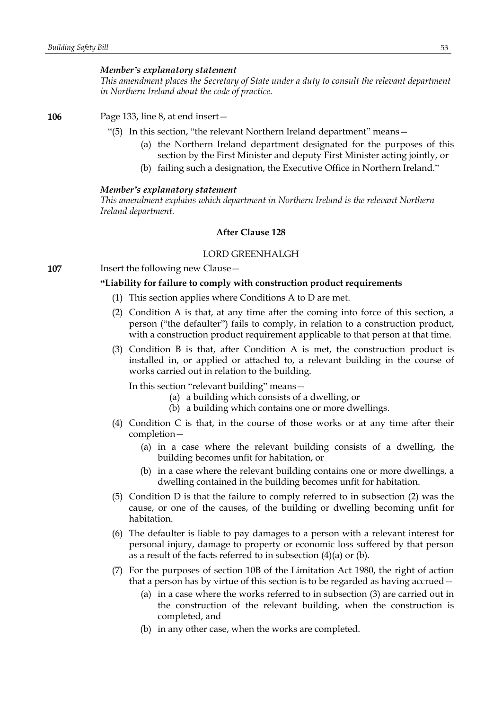#### *Member's explanatory statement*

*This amendment places the Secretary of State under a duty to consult the relevant department in Northern Ireland about the code of practice.*

**106** Page 133, line 8, at end insert—

- "(5) In this section, "the relevant Northern Ireland department" means—
	- (a) the Northern Ireland department designated for the purposes of this section by the First Minister and deputy First Minister acting jointly, or
	- (b) failing such a designation, the Executive Office in Northern Ireland."

#### *Member's explanatory statement*

*This amendment explains which department in Northern Ireland is the relevant Northern Ireland department.*

### **After Clause 128**

## LORD GREENHALGH

**107** Insert the following new Clause –

### **"Liability for failure to comply with construction product requirements**

- (1) This section applies where Conditions A to D are met.
- (2) Condition A is that, at any time after the coming into force of this section, a person ("the defaulter") fails to comply, in relation to a construction product, with a construction product requirement applicable to that person at that time.
- (3) Condition B is that, after Condition A is met, the construction product is installed in, or applied or attached to, a relevant building in the course of works carried out in relation to the building.

In this section "relevant building" means—

- (a) a building which consists of a dwelling, or
- (b) a building which contains one or more dwellings.
- (4) Condition C is that, in the course of those works or at any time after their completion—
	- (a) in a case where the relevant building consists of a dwelling, the building becomes unfit for habitation, or
	- (b) in a case where the relevant building contains one or more dwellings, a dwelling contained in the building becomes unfit for habitation.
- (5) Condition D is that the failure to comply referred to in subsection (2) was the cause, or one of the causes, of the building or dwelling becoming unfit for habitation.
- (6) The defaulter is liable to pay damages to a person with a relevant interest for personal injury, damage to property or economic loss suffered by that person as a result of the facts referred to in subsection (4)(a) or (b).
- (7) For the purposes of section 10B of the Limitation Act 1980, the right of action that a person has by virtue of this section is to be regarded as having accrued—
	- (a) in a case where the works referred to in subsection (3) are carried out in the construction of the relevant building, when the construction is completed, and
	- (b) in any other case, when the works are completed.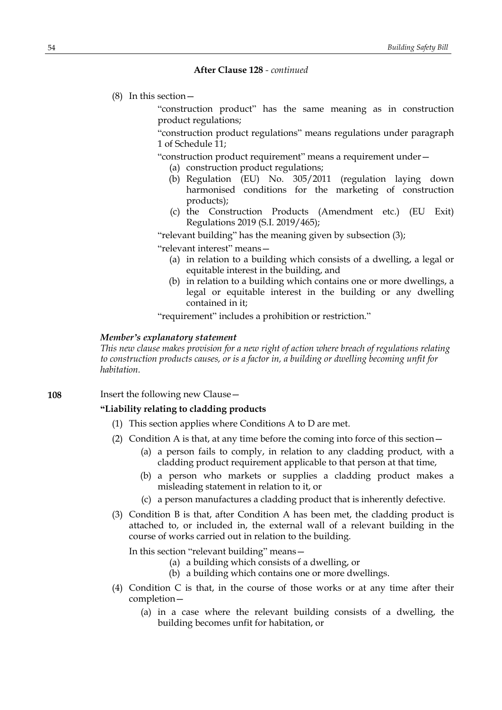(8) In this section—

"construction product" has the same meaning as in construction product regulations;

"construction product regulations" means regulations under paragraph 1 of Schedule 11;

"construction product requirement" means a requirement under—

- (a) construction product regulations;
- (b) Regulation (EU) No. 305/2011 (regulation laying down harmonised conditions for the marketing of construction products);
- (c) the Construction Products (Amendment etc.) (EU Exit) Regulations 2019 (S.I. 2019/465);

"relevant building" has the meaning given by subsection (3);

"relevant interest" means—

- (a) in relation to a building which consists of a dwelling, a legal or equitable interest in the building, and
- (b) in relation to a building which contains one or more dwellings, a legal or equitable interest in the building or any dwelling contained in it;

"requirement" includes a prohibition or restriction."

#### *Member's explanatory statement*

*This new clause makes provision for a new right of action where breach of regulations relating to construction products causes, or is a factor in, a building or dwelling becoming unfit for habitation.*

**108** Insert the following new Clause—

## **"Liability relating to cladding products**

- (1) This section applies where Conditions A to D are met.
- (2) Condition A is that, at any time before the coming into force of this section—
	- (a) a person fails to comply, in relation to any cladding product, with a cladding product requirement applicable to that person at that time,
	- (b) a person who markets or supplies a cladding product makes a misleading statement in relation to it, or
	- (c) a person manufactures a cladding product that is inherently defective.
- (3) Condition B is that, after Condition A has been met, the cladding product is attached to, or included in, the external wall of a relevant building in the course of works carried out in relation to the building.

In this section "relevant building" means—

- (a) a building which consists of a dwelling, or
- (b) a building which contains one or more dwellings.
- (4) Condition C is that, in the course of those works or at any time after their completion—
	- (a) in a case where the relevant building consists of a dwelling, the building becomes unfit for habitation, or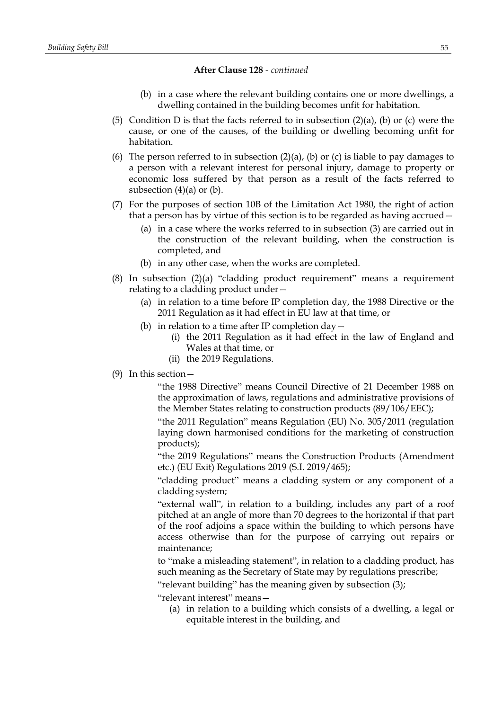- (b) in a case where the relevant building contains one or more dwellings, a dwelling contained in the building becomes unfit for habitation.
- (5) Condition D is that the facts referred to in subsection  $(2)(a)$ , (b) or (c) were the cause, or one of the causes, of the building or dwelling becoming unfit for habitation.
- (6) The person referred to in subsection  $(2)(a)$ ,  $(b)$  or  $(c)$  is liable to pay damages to a person with a relevant interest for personal injury, damage to property or economic loss suffered by that person as a result of the facts referred to subsection  $(4)(a)$  or  $(b)$ .
- (7) For the purposes of section 10B of the Limitation Act 1980, the right of action that a person has by virtue of this section is to be regarded as having accrued—
	- (a) in a case where the works referred to in subsection (3) are carried out in the construction of the relevant building, when the construction is completed, and
	- (b) in any other case, when the works are completed.
- (8) In subsection (2)(a) "cladding product requirement" means a requirement relating to a cladding product under—
	- (a) in relation to a time before IP completion day, the 1988 Directive or the 2011 Regulation as it had effect in EU law at that time, or
	- (b) in relation to a time after IP completion  $day -$ 
		- (i) the 2011 Regulation as it had effect in the law of England and Wales at that time, or
		- (ii) the 2019 Regulations.
- (9) In this section—

"the 1988 Directive" means Council Directive of 21 December 1988 on the approximation of laws, regulations and administrative provisions of the Member States relating to construction products (89/106/EEC);

"the 2011 Regulation" means Regulation (EU) No. 305/2011 (regulation laying down harmonised conditions for the marketing of construction products);

"the 2019 Regulations" means the Construction Products (Amendment etc.) (EU Exit) Regulations 2019 (S.I. 2019/465);

"cladding product" means a cladding system or any component of a cladding system;

"external wall", in relation to a building, includes any part of a roof pitched at an angle of more than 70 degrees to the horizontal if that part of the roof adjoins a space within the building to which persons have access otherwise than for the purpose of carrying out repairs or maintenance;

to "make a misleading statement", in relation to a cladding product, has such meaning as the Secretary of State may by regulations prescribe;

"relevant building" has the meaning given by subsection (3);

"relevant interest" means—

(a) in relation to a building which consists of a dwelling, a legal or equitable interest in the building, and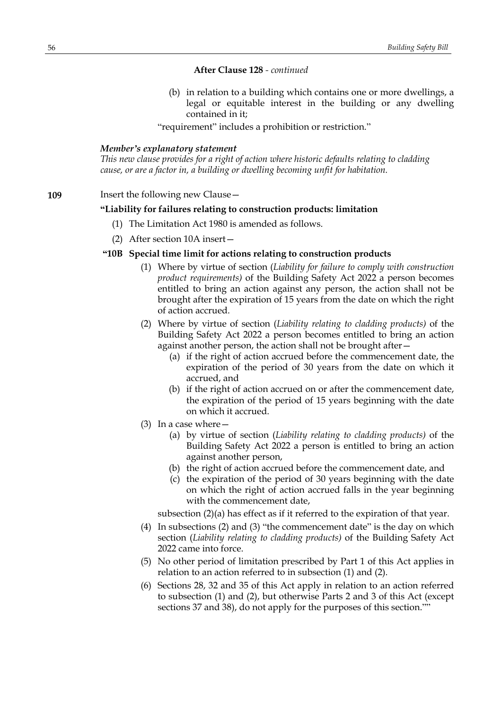(b) in relation to a building which contains one or more dwellings, a legal or equitable interest in the building or any dwelling contained in it;

"requirement" includes a prohibition or restriction."

#### *Member's explanatory statement*

*This new clause provides for a right of action where historic defaults relating to cladding cause, or are a factor in, a building or dwelling becoming unfit for habitation.*

#### **109** Insert the following new Clause—

### **"Liability for failures relating to construction products: limitation**

- (1) The Limitation Act 1980 is amended as follows.
- (2) After section 10A insert—

## **"10B Special time limit for actions relating to construction products**

- (1) Where by virtue of section (*Liability for failure to comply with construction product requirements)* of the Building Safety Act 2022 a person becomes entitled to bring an action against any person, the action shall not be brought after the expiration of 15 years from the date on which the right of action accrued.
- (2) Where by virtue of section (*Liability relating to cladding products)* of the Building Safety Act 2022 a person becomes entitled to bring an action against another person, the action shall not be brought after—
	- (a) if the right of action accrued before the commencement date, the expiration of the period of 30 years from the date on which it accrued, and
	- (b) if the right of action accrued on or after the commencement date, the expiration of the period of 15 years beginning with the date on which it accrued.
- (3) In a case where—
	- (a) by virtue of section (*Liability relating to cladding products)* of the Building Safety Act 2022 a person is entitled to bring an action against another person,
	- (b) the right of action accrued before the commencement date, and
	- (c) the expiration of the period of 30 years beginning with the date on which the right of action accrued falls in the year beginning with the commencement date,

subsection (2)(a) has effect as if it referred to the expiration of that year.

- (4) In subsections (2) and (3) "the commencement date" is the day on which section (*Liability relating to cladding products)* of the Building Safety Act 2022 came into force.
- (5) No other period of limitation prescribed by Part 1 of this Act applies in relation to an action referred to in subsection (1) and (2).
- (6) Sections 28, 32 and 35 of this Act apply in relation to an action referred to subsection (1) and (2), but otherwise Parts 2 and 3 of this Act (except sections 37 and 38), do not apply for the purposes of this section.""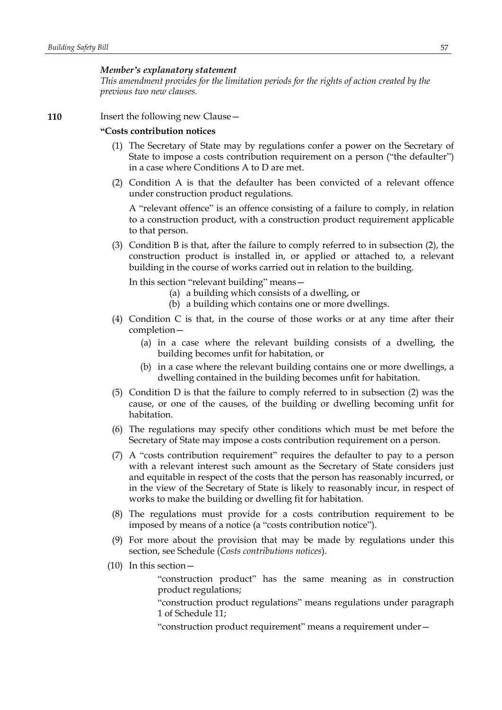#### *Member's explanatory statement*

*This amendment provides for the limitation periods for the rights of action created by the previous two new clauses.*

### **110** Insert the following new Clause -

### **"Costs contribution notices**

- (1) The Secretary of State may by regulations confer a power on the Secretary of State to impose a costs contribution requirement on a person ("the defaulter") in a case where Conditions A to D are met.
- (2) Condition A is that the defaulter has been convicted of a relevant offence under construction product regulations.

A "relevant offence" is an offence consisting of a failure to comply, in relation to a construction product, with a construction product requirement applicable to that person.

(3) Condition B is that, after the failure to comply referred to in subsection (2), the construction product is installed in, or applied or attached to, a relevant building in the course of works carried out in relation to the building.

In this section "relevant building" means—

- (a) a building which consists of a dwelling, or
- (b) a building which contains one or more dwellings.
- (4) Condition C is that, in the course of those works or at any time after their completion—
	- (a) in a case where the relevant building consists of a dwelling, the building becomes unfit for habitation, or
	- (b) in a case where the relevant building contains one or more dwellings, a dwelling contained in the building becomes unfit for habitation.
- (5) Condition D is that the failure to comply referred to in subsection (2) was the cause, or one of the causes, of the building or dwelling becoming unfit for habitation.
- (6) The regulations may specify other conditions which must be met before the Secretary of State may impose a costs contribution requirement on a person.
- (7) A "costs contribution requirement" requires the defaulter to pay to a person with a relevant interest such amount as the Secretary of State considers just and equitable in respect of the costs that the person has reasonably incurred, or in the view of the Secretary of State is likely to reasonably incur, in respect of works to make the building or dwelling fit for habitation.
- (8) The regulations must provide for a costs contribution requirement to be imposed by means of a notice (a "costs contribution notice").
- (9) For more about the provision that may be made by regulations under this section, see Schedule (*Costs contributions notices*).
- (10) In this section—

"construction product" has the same meaning as in construction product regulations;

"construction product regulations" means regulations under paragraph 1 of Schedule 11;

"construction product requirement" means a requirement under—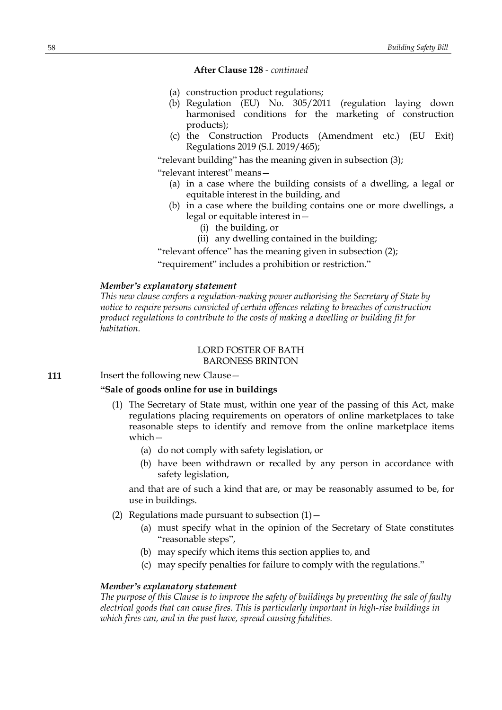- (a) construction product regulations;
- (b) Regulation (EU) No. 305/2011 (regulation laying down harmonised conditions for the marketing of construction products);
- (c) the Construction Products (Amendment etc.) (EU Exit) Regulations 2019 (S.I. 2019/465);

"relevant building" has the meaning given in subsection (3);

"relevant interest" means—

- (a) in a case where the building consists of a dwelling, a legal or equitable interest in the building, and
- (b) in a case where the building contains one or more dwellings, a legal or equitable interest in—
	- (i) the building, or
	- (ii) any dwelling contained in the building;

"relevant offence" has the meaning given in subsection (2);

"requirement" includes a prohibition or restriction."

#### *Member's explanatory statement*

*This new clause confers a regulation-making power authorising the Secretary of State by notice to require persons convicted of certain offences relating to breaches of construction product regulations to contribute to the costs of making a dwelling or building fit for habitation.*

#### LORD FOSTER OF BATH BARONESS BRINTON

**111** Insert the following new Clause -

# **"Sale of goods online for use in buildings**

- (1) The Secretary of State must, within one year of the passing of this Act, make regulations placing requirements on operators of online marketplaces to take reasonable steps to identify and remove from the online marketplace items which—
	- (a) do not comply with safety legislation, or
	- (b) have been withdrawn or recalled by any person in accordance with safety legislation,

and that are of such a kind that are, or may be reasonably assumed to be, for use in buildings.

- (2) Regulations made pursuant to subsection  $(1)$ 
	- (a) must specify what in the opinion of the Secretary of State constitutes "reasonable steps",
	- (b) may specify which items this section applies to, and
	- (c) may specify penalties for failure to comply with the regulations."

### *Member's explanatory statement*

*The purpose of this Clause is to improve the safety of buildings by preventing the sale of faulty electrical goods that can cause fires. This is particularly important in high-rise buildings in which fires can, and in the past have, spread causing fatalities.*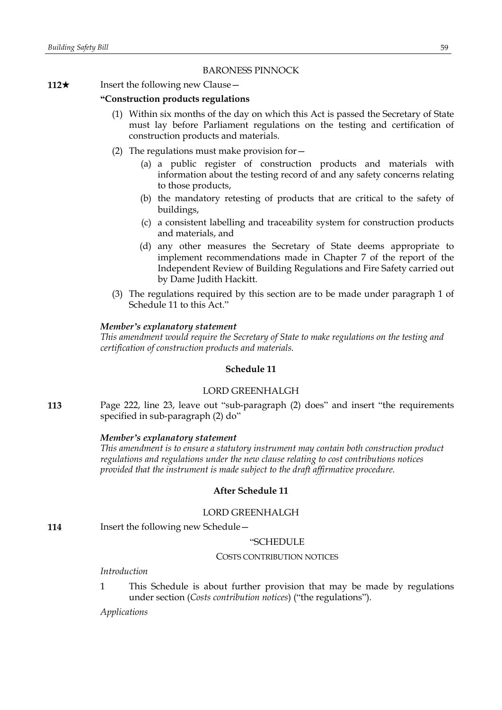## BARONESS PINNOCK

#### **112**★ Insert the following new Clause —

#### **"Construction products regulations**

- (1) Within six months of the day on which this Act is passed the Secretary of State must lay before Parliament regulations on the testing and certification of construction products and materials.
- (2) The regulations must make provision for—
	- (a) a public register of construction products and materials with information about the testing record of and any safety concerns relating to those products,
	- (b) the mandatory retesting of products that are critical to the safety of buildings,
	- (c) a consistent labelling and traceability system for construction products and materials, and
	- (d) any other measures the Secretary of State deems appropriate to implement recommendations made in Chapter 7 of the report of the Independent Review of Building Regulations and Fire Safety carried out by Dame Judith Hackitt.
- (3) The regulations required by this section are to be made under paragraph 1 of Schedule 11 to this Act."

### *Member's explanatory statement*

*This amendment would require the Secretary of State to make regulations on the testing and certification of construction products and materials.*

### **Schedule 11**

## LORD GREENHALGH

**113** Page 222, line 23, leave out "sub-paragraph (2) does" and insert "the requirements specified in sub-paragraph (2) do"

## *Member's explanatory statement*

*This amendment is to ensure a statutory instrument may contain both construction product regulations and regulations under the new clause relating to cost contributions notices provided that the instrument is made subject to the draft affirmative procedure.*

## **After Schedule 11**

## LORD GREENHALGH

**114** Insert the following new Schedule —

### "SCHEDULE

#### COSTS CONTRIBUTION NOTICES

### *Introduction*

1 This Schedule is about further provision that may be made by regulations under section (*Costs contribution notices*) ("the regulations").

*Applications*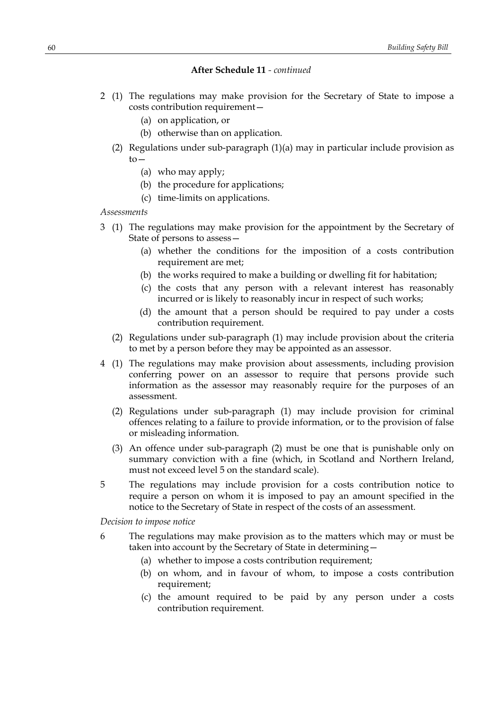- 2 (1) The regulations may make provision for the Secretary of State to impose a costs contribution requirement—
	- (a) on application, or
	- (b) otherwise than on application.
	- (2) Regulations under sub-paragraph (1)(a) may in particular include provision as to—
		- (a) who may apply;
		- (b) the procedure for applications;
		- (c) time-limits on applications.

#### *Assessments*

- 3 (1) The regulations may make provision for the appointment by the Secretary of State of persons to assess—
	- (a) whether the conditions for the imposition of a costs contribution requirement are met;
	- (b) the works required to make a building or dwelling fit for habitation;
	- (c) the costs that any person with a relevant interest has reasonably incurred or is likely to reasonably incur in respect of such works;
	- (d) the amount that a person should be required to pay under a costs contribution requirement.
	- (2) Regulations under sub-paragraph (1) may include provision about the criteria to met by a person before they may be appointed as an assessor.
- 4 (1) The regulations may make provision about assessments, including provision conferring power on an assessor to require that persons provide such information as the assessor may reasonably require for the purposes of an assessment.
	- (2) Regulations under sub-paragraph (1) may include provision for criminal offences relating to a failure to provide information, or to the provision of false or misleading information.
	- (3) An offence under sub-paragraph (2) must be one that is punishable only on summary conviction with a fine (which, in Scotland and Northern Ireland, must not exceed level 5 on the standard scale).
- 5 The regulations may include provision for a costs contribution notice to require a person on whom it is imposed to pay an amount specified in the notice to the Secretary of State in respect of the costs of an assessment.

*Decision to impose notice*

- 6 The regulations may make provision as to the matters which may or must be taken into account by the Secretary of State in determining—
	- (a) whether to impose a costs contribution requirement;
	- (b) on whom, and in favour of whom, to impose a costs contribution requirement;
	- (c) the amount required to be paid by any person under a costs contribution requirement.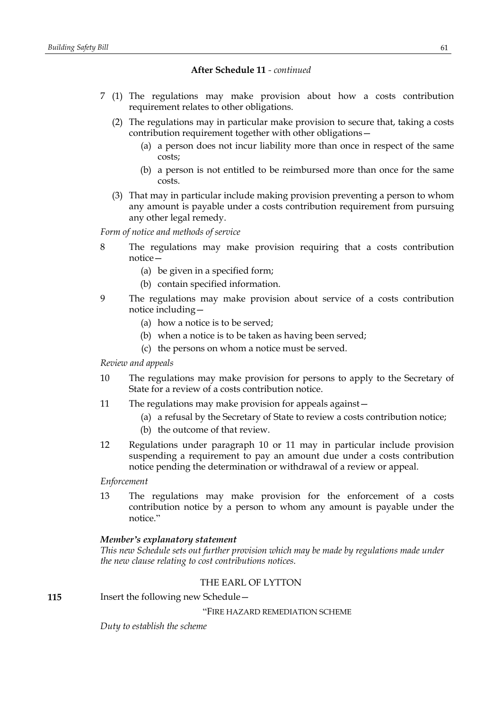- 7 (1) The regulations may make provision about how a costs contribution requirement relates to other obligations.
	- (2) The regulations may in particular make provision to secure that, taking a costs contribution requirement together with other obligations—
		- (a) a person does not incur liability more than once in respect of the same costs;
		- (b) a person is not entitled to be reimbursed more than once for the same costs.
	- (3) That may in particular include making provision preventing a person to whom any amount is payable under a costs contribution requirement from pursuing any other legal remedy.

*Form of notice and methods of service*

- 8 The regulations may make provision requiring that a costs contribution notice—
	- (a) be given in a specified form;
	- (b) contain specified information.
- 9 The regulations may make provision about service of a costs contribution notice including—
	- (a) how a notice is to be served;
	- (b) when a notice is to be taken as having been served;
	- (c) the persons on whom a notice must be served.

### *Review and appeals*

- 10 The regulations may make provision for persons to apply to the Secretary of State for a review of a costs contribution notice.
- 11 The regulations may make provision for appeals against—
	- (a) a refusal by the Secretary of State to review a costs contribution notice;
	- (b) the outcome of that review.
- 12 Regulations under paragraph 10 or 11 may in particular include provision suspending a requirement to pay an amount due under a costs contribution notice pending the determination or withdrawal of a review or appeal.

*Enforcement*

13 The regulations may make provision for the enforcement of a costs contribution notice by a person to whom any amount is payable under the notice."

### *Member's explanatory statement*

*This new Schedule sets out further provision which may be made by regulations made under the new clause relating to cost contributions notices.*

## THE EARL OF LYTTON

**115** Insert the following new Schedule -

"FIRE HAZARD REMEDIATION SCHEME

*Duty to establish the scheme*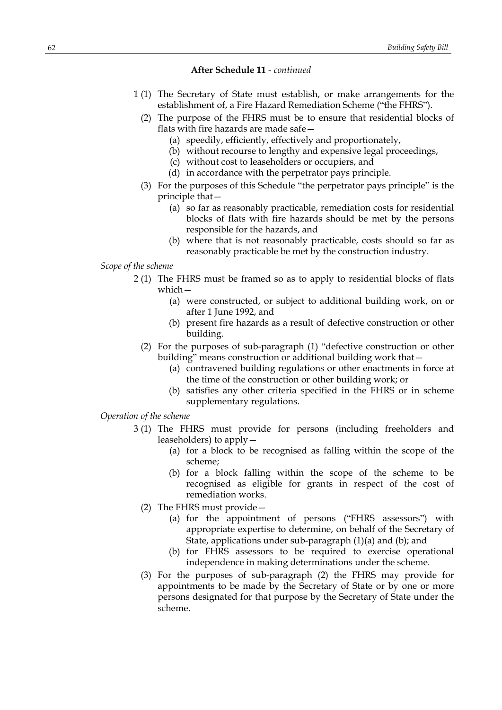- 1 (1) The Secretary of State must establish, or make arrangements for the establishment of, a Fire Hazard Remediation Scheme ("the FHRS").
	- (2) The purpose of the FHRS must be to ensure that residential blocks of flats with fire hazards are made safe—
		- (a) speedily, efficiently, effectively and proportionately,
		- (b) without recourse to lengthy and expensive legal proceedings,
		- (c) without cost to leaseholders or occupiers, and
		- (d) in accordance with the perpetrator pays principle.
	- (3) For the purposes of this Schedule "the perpetrator pays principle" is the principle that—
		- (a) so far as reasonably practicable, remediation costs for residential blocks of flats with fire hazards should be met by the persons responsible for the hazards, and
		- (b) where that is not reasonably practicable, costs should so far as reasonably practicable be met by the construction industry.
- *Scope of the scheme*
	- 2 (1) The FHRS must be framed so as to apply to residential blocks of flats which—
		- (a) were constructed, or subject to additional building work, on or after 1 June 1992, and
		- (b) present fire hazards as a result of defective construction or other building.
		- (2) For the purposes of sub-paragraph (1) "defective construction or other building" means construction or additional building work that—
			- (a) contravened building regulations or other enactments in force at the time of the construction or other building work; or
			- (b) satisfies any other criteria specified in the FHRS or in scheme supplementary regulations.
- *Operation of the scheme*
	- 3 (1) The FHRS must provide for persons (including freeholders and leaseholders) to apply—
		- (a) for a block to be recognised as falling within the scope of the scheme;
		- (b) for a block falling within the scope of the scheme to be recognised as eligible for grants in respect of the cost of remediation works.
		- (2) The FHRS must provide—
			- (a) for the appointment of persons ("FHRS assessors") with appropriate expertise to determine, on behalf of the Secretary of State, applications under sub-paragraph (1)(a) and (b); and
			- (b) for FHRS assessors to be required to exercise operational independence in making determinations under the scheme.
		- (3) For the purposes of sub-paragraph (2) the FHRS may provide for appointments to be made by the Secretary of State or by one or more persons designated for that purpose by the Secretary of State under the scheme.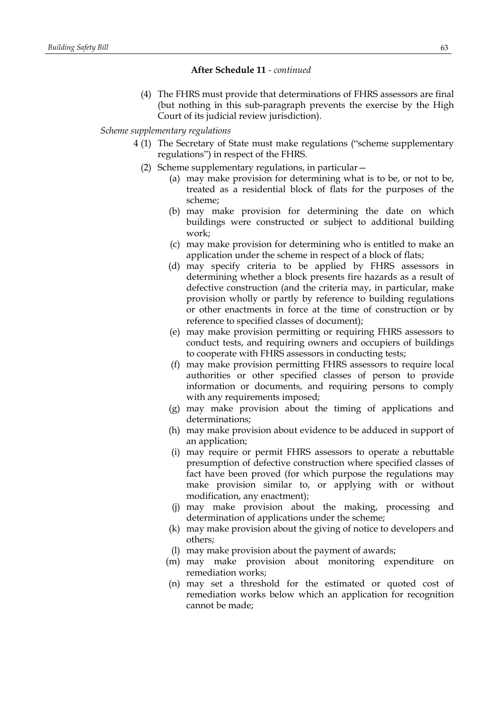(4) The FHRS must provide that determinations of FHRS assessors are final (but nothing in this sub-paragraph prevents the exercise by the High Court of its judicial review jurisdiction).

#### *Scheme supplementary regulations*

- 4 (1) The Secretary of State must make regulations ("scheme supplementary regulations") in respect of the FHRS.
	- (2) Scheme supplementary regulations, in particular—
		- (a) may make provision for determining what is to be, or not to be, treated as a residential block of flats for the purposes of the scheme;
		- (b) may make provision for determining the date on which buildings were constructed or subject to additional building work;
		- (c) may make provision for determining who is entitled to make an application under the scheme in respect of a block of flats;
		- (d) may specify criteria to be applied by FHRS assessors in determining whether a block presents fire hazards as a result of defective construction (and the criteria may, in particular, make provision wholly or partly by reference to building regulations or other enactments in force at the time of construction or by reference to specified classes of document);
		- (e) may make provision permitting or requiring FHRS assessors to conduct tests, and requiring owners and occupiers of buildings to cooperate with FHRS assessors in conducting tests;
		- (f) may make provision permitting FHRS assessors to require local authorities or other specified classes of person to provide information or documents, and requiring persons to comply with any requirements imposed;
		- (g) may make provision about the timing of applications and determinations;
		- (h) may make provision about evidence to be adduced in support of an application;
		- (i) may require or permit FHRS assessors to operate a rebuttable presumption of defective construction where specified classes of fact have been proved (for which purpose the regulations may make provision similar to, or applying with or without modification, any enactment);
		- (j) may make provision about the making, processing and determination of applications under the scheme;
		- (k) may make provision about the giving of notice to developers and others;
		- (l) may make provision about the payment of awards;
		- (m) may make provision about monitoring expenditure on remediation works;
		- (n) may set a threshold for the estimated or quoted cost of remediation works below which an application for recognition cannot be made;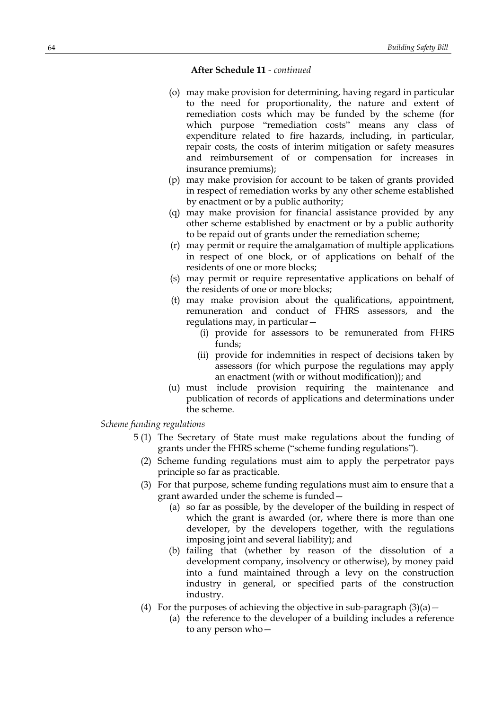- (o) may make provision for determining, having regard in particular to the need for proportionality, the nature and extent of remediation costs which may be funded by the scheme (for which purpose "remediation costs" means any class of expenditure related to fire hazards, including, in particular, repair costs, the costs of interim mitigation or safety measures and reimbursement of or compensation for increases in insurance premiums);
- (p) may make provision for account to be taken of grants provided in respect of remediation works by any other scheme established by enactment or by a public authority;
- (q) may make provision for financial assistance provided by any other scheme established by enactment or by a public authority to be repaid out of grants under the remediation scheme;
- (r) may permit or require the amalgamation of multiple applications in respect of one block, or of applications on behalf of the residents of one or more blocks;
- (s) may permit or require representative applications on behalf of the residents of one or more blocks;
- (t) may make provision about the qualifications, appointment, remuneration and conduct of FHRS assessors, and the regulations may, in particular—
	- (i) provide for assessors to be remunerated from FHRS funds;
	- (ii) provide for indemnities in respect of decisions taken by assessors (for which purpose the regulations may apply an enactment (with or without modification)); and
- (u) must include provision requiring the maintenance and publication of records of applications and determinations under the scheme.

*Scheme funding regulations*

- 5 (1) The Secretary of State must make regulations about the funding of grants under the FHRS scheme ("scheme funding regulations").
	- (2) Scheme funding regulations must aim to apply the perpetrator pays principle so far as practicable.
	- (3) For that purpose, scheme funding regulations must aim to ensure that a grant awarded under the scheme is funded—
		- (a) so far as possible, by the developer of the building in respect of which the grant is awarded (or, where there is more than one developer, by the developers together, with the regulations imposing joint and several liability); and
		- (b) failing that (whether by reason of the dissolution of a development company, insolvency or otherwise), by money paid into a fund maintained through a levy on the construction industry in general, or specified parts of the construction industry.
	- (4) For the purposes of achieving the objective in sub-paragraph  $(3)(a)$  -
		- (a) the reference to the developer of a building includes a reference to any person who—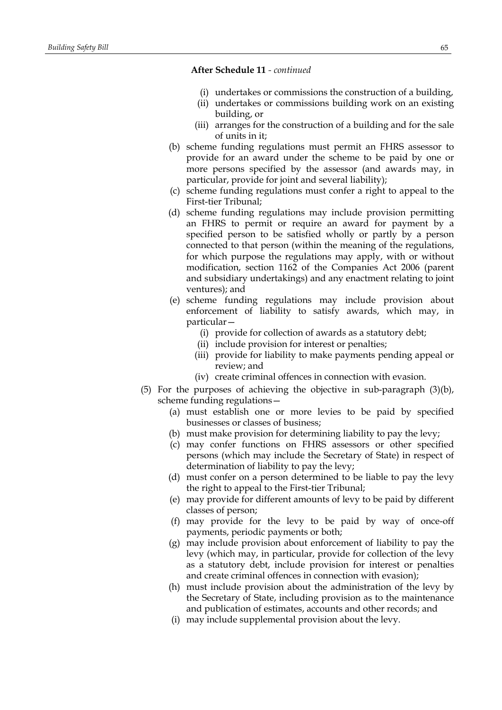- (i) undertakes or commissions the construction of a building,
- (ii) undertakes or commissions building work on an existing building, or
- (iii) arranges for the construction of a building and for the sale of units in it;
- (b) scheme funding regulations must permit an FHRS assessor to provide for an award under the scheme to be paid by one or more persons specified by the assessor (and awards may, in particular, provide for joint and several liability);
- (c) scheme funding regulations must confer a right to appeal to the First-tier Tribunal;
- (d) scheme funding regulations may include provision permitting an FHRS to permit or require an award for payment by a specified person to be satisfied wholly or partly by a person connected to that person (within the meaning of the regulations, for which purpose the regulations may apply, with or without modification, section 1162 of the Companies Act 2006 (parent and subsidiary undertakings) and any enactment relating to joint ventures); and
- (e) scheme funding regulations may include provision about enforcement of liability to satisfy awards, which may, in particular—
	- (i) provide for collection of awards as a statutory debt;
	- (ii) include provision for interest or penalties;
	- (iii) provide for liability to make payments pending appeal or review; and
	- (iv) create criminal offences in connection with evasion.
- (5) For the purposes of achieving the objective in sub-paragraph (3)(b), scheme funding regulations—
	- (a) must establish one or more levies to be paid by specified businesses or classes of business;
	- (b) must make provision for determining liability to pay the levy;
	- (c) may confer functions on FHRS assessors or other specified persons (which may include the Secretary of State) in respect of determination of liability to pay the levy;
	- (d) must confer on a person determined to be liable to pay the levy the right to appeal to the First-tier Tribunal;
	- (e) may provide for different amounts of levy to be paid by different classes of person;
	- (f) may provide for the levy to be paid by way of once-off payments, periodic payments or both;
	- (g) may include provision about enforcement of liability to pay the levy (which may, in particular, provide for collection of the levy as a statutory debt, include provision for interest or penalties and create criminal offences in connection with evasion);
	- (h) must include provision about the administration of the levy by the Secretary of State, including provision as to the maintenance and publication of estimates, accounts and other records; and
	- (i) may include supplemental provision about the levy.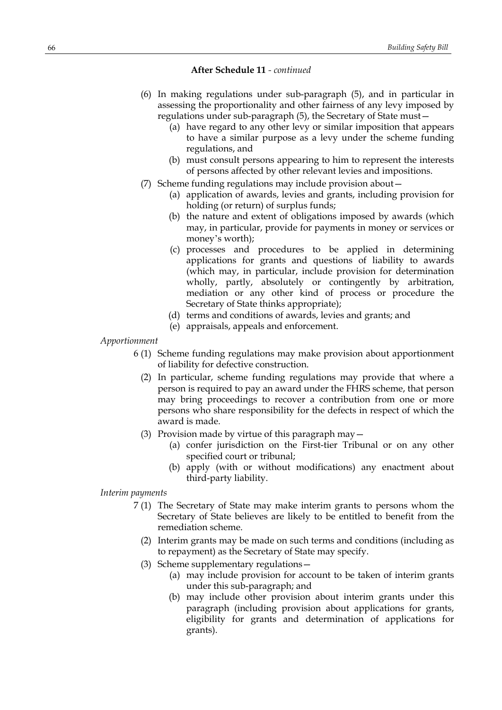- (6) In making regulations under sub-paragraph (5), and in particular in assessing the proportionality and other fairness of any levy imposed by regulations under sub-paragraph (5), the Secretary of State must—
	- (a) have regard to any other levy or similar imposition that appears to have a similar purpose as a levy under the scheme funding regulations, and
	- (b) must consult persons appearing to him to represent the interests of persons affected by other relevant levies and impositions.
- (7) Scheme funding regulations may include provision about—
	- (a) application of awards, levies and grants, including provision for holding (or return) of surplus funds;
	- (b) the nature and extent of obligations imposed by awards (which may, in particular, provide for payments in money or services or money's worth);
	- (c) processes and procedures to be applied in determining applications for grants and questions of liability to awards (which may, in particular, include provision for determination wholly, partly, absolutely or contingently by arbitration, mediation or any other kind of process or procedure the Secretary of State thinks appropriate);
	- (d) terms and conditions of awards, levies and grants; and
	- (e) appraisals, appeals and enforcement.

## *Apportionment*

- 6 (1) Scheme funding regulations may make provision about apportionment of liability for defective construction.
	- (2) In particular, scheme funding regulations may provide that where a person is required to pay an award under the FHRS scheme, that person may bring proceedings to recover a contribution from one or more persons who share responsibility for the defects in respect of which the award is made.
	- (3) Provision made by virtue of this paragraph may—
		- (a) confer jurisdiction on the First-tier Tribunal or on any other specified court or tribunal;
		- (b) apply (with or without modifications) any enactment about third-party liability.

## *Interim payments*

- 7 (1) The Secretary of State may make interim grants to persons whom the Secretary of State believes are likely to be entitled to benefit from the remediation scheme.
	- (2) Interim grants may be made on such terms and conditions (including as to repayment) as the Secretary of State may specify.
	- (3) Scheme supplementary regulations—
		- (a) may include provision for account to be taken of interim grants under this sub-paragraph; and
		- (b) may include other provision about interim grants under this paragraph (including provision about applications for grants, eligibility for grants and determination of applications for grants).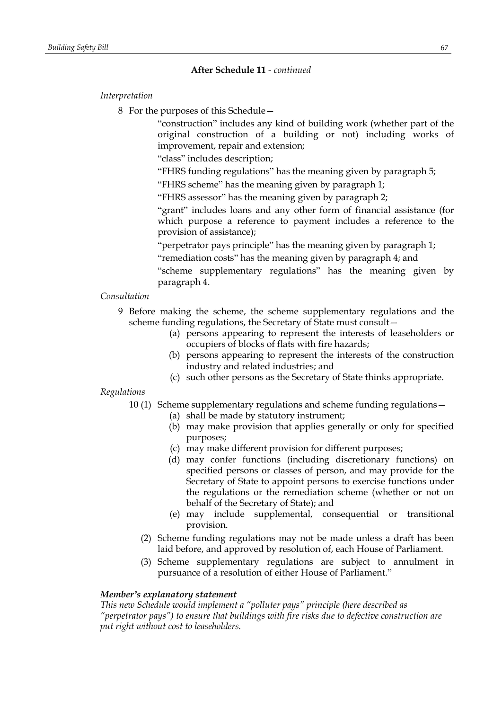## *Interpretation*

8 For the purposes of this Schedule—

"construction" includes any kind of building work (whether part of the original construction of a building or not) including works of improvement, repair and extension;

"class" includes description;

"FHRS funding regulations" has the meaning given by paragraph 5;

"FHRS scheme" has the meaning given by paragraph 1;

"FHRS assessor" has the meaning given by paragraph 2;

"grant" includes loans and any other form of financial assistance (for which purpose a reference to payment includes a reference to the provision of assistance);

"perpetrator pays principle" has the meaning given by paragraph 1;

"remediation costs" has the meaning given by paragraph 4; and

"scheme supplementary regulations" has the meaning given by paragraph 4.

## *Consultation*

- 9 Before making the scheme, the scheme supplementary regulations and the scheme funding regulations, the Secretary of State must consult—
	- (a) persons appearing to represent the interests of leaseholders or occupiers of blocks of flats with fire hazards;
	- (b) persons appearing to represent the interests of the construction industry and related industries; and
	- (c) such other persons as the Secretary of State thinks appropriate.

## *Regulations*

- 10 (1) Scheme supplementary regulations and scheme funding regulations—
	- (a) shall be made by statutory instrument;
	- (b) may make provision that applies generally or only for specified purposes;
	- (c) may make different provision for different purposes;
	- (d) may confer functions (including discretionary functions) on specified persons or classes of person, and may provide for the Secretary of State to appoint persons to exercise functions under the regulations or the remediation scheme (whether or not on behalf of the Secretary of State); and
	- (e) may include supplemental, consequential or transitional provision.
	- (2) Scheme funding regulations may not be made unless a draft has been laid before, and approved by resolution of, each House of Parliament.
	- (3) Scheme supplementary regulations are subject to annulment in pursuance of a resolution of either House of Parliament."

## *Member's explanatory statement*

*This new Schedule would implement a "polluter pays" principle (here described as "perpetrator pays") to ensure that buildings with fire risks due to defective construction are put right without cost to leaseholders.*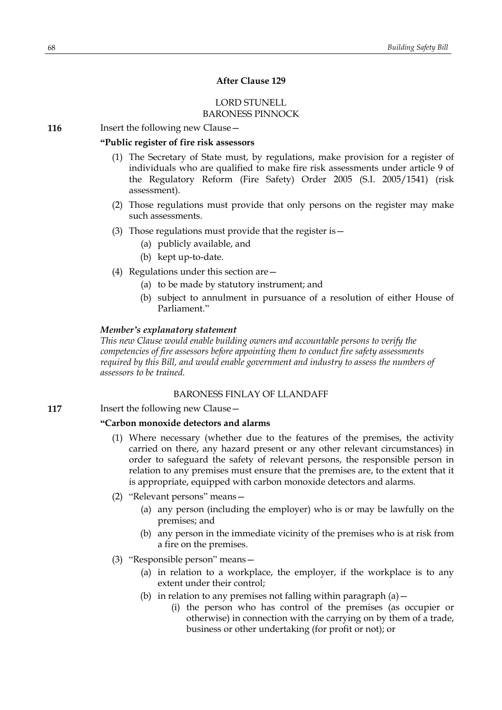## **After Clause 129**

## LORD STUNELL BARONESS PINNOCK

**116** Insert the following new Clause -

## **"Public register of fire risk assessors**

- (1) The Secretary of State must, by regulations, make provision for a register of individuals who are qualified to make fire risk assessments under article 9 of the Regulatory Reform (Fire Safety) Order 2005 (S.I. 2005/1541) (risk assessment).
- (2) Those regulations must provide that only persons on the register may make such assessments.
- (3) Those regulations must provide that the register is—
	- (a) publicly available, and
	- (b) kept up-to-date.
- (4) Regulations under this section are—
	- (a) to be made by statutory instrument; and
	- (b) subject to annulment in pursuance of a resolution of either House of Parliament."

### *Member's explanatory statement*

*This new Clause would enable building owners and accountable persons to verify the competencies of fire assessors before appointing them to conduct fire safety assessments required by this Bill, and would enable government and industry to assess the numbers of assessors to be trained.*

### BARONESS FINLAY OF LLANDAFF

**117** Insert the following new Clause –

### **"Carbon monoxide detectors and alarms**

- (1) Where necessary (whether due to the features of the premises, the activity carried on there, any hazard present or any other relevant circumstances) in order to safeguard the safety of relevant persons, the responsible person in relation to any premises must ensure that the premises are, to the extent that it is appropriate, equipped with carbon monoxide detectors and alarms.
- (2) "Relevant persons" means—
	- (a) any person (including the employer) who is or may be lawfully on the premises; and
	- (b) any person in the immediate vicinity of the premises who is at risk from a fire on the premises.
- (3) "Responsible person" means—
	- (a) in relation to a workplace, the employer, if the workplace is to any extent under their control;
	- (b) in relation to any premises not falling within paragraph  $(a)$  -
		- (i) the person who has control of the premises (as occupier or otherwise) in connection with the carrying on by them of a trade, business or other undertaking (for profit or not); or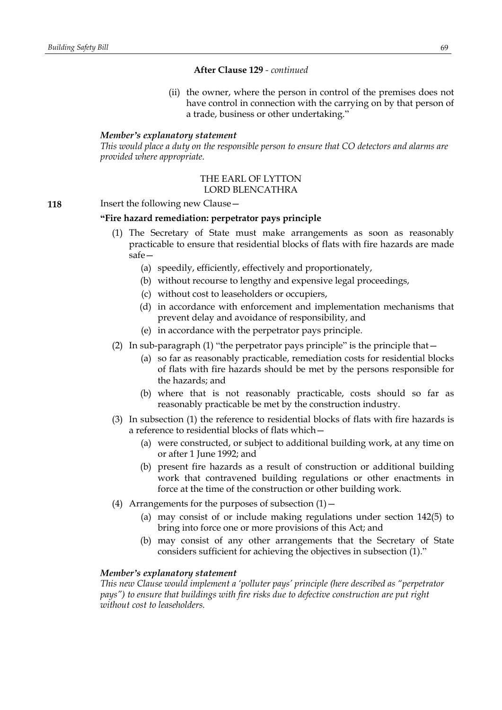(ii) the owner, where the person in control of the premises does not have control in connection with the carrying on by that person of a trade, business or other undertaking."

#### *Member's explanatory statement*

*This would place a duty on the responsible person to ensure that CO detectors and alarms are provided where appropriate.*

#### THE EARL OF LYTTON LORD BLENCATHRA

**118** Insert the following new Clause -

## **"Fire hazard remediation: perpetrator pays principle**

- (1) The Secretary of State must make arrangements as soon as reasonably practicable to ensure that residential blocks of flats with fire hazards are made safe—
	- (a) speedily, efficiently, effectively and proportionately,
	- (b) without recourse to lengthy and expensive legal proceedings,
	- (c) without cost to leaseholders or occupiers,
	- (d) in accordance with enforcement and implementation mechanisms that prevent delay and avoidance of responsibility, and
	- (e) in accordance with the perpetrator pays principle.
- (2) In sub-paragraph (1) "the perpetrator pays principle" is the principle that—
	- (a) so far as reasonably practicable, remediation costs for residential blocks of flats with fire hazards should be met by the persons responsible for the hazards; and
	- (b) where that is not reasonably practicable, costs should so far as reasonably practicable be met by the construction industry.
- (3) In subsection (1) the reference to residential blocks of flats with fire hazards is a reference to residential blocks of flats which—
	- (a) were constructed, or subject to additional building work, at any time on or after 1 June 1992; and
	- (b) present fire hazards as a result of construction or additional building work that contravened building regulations or other enactments in force at the time of the construction or other building work.
- (4) Arrangements for the purposes of subsection  $(1)$  -
	- (a) may consist of or include making regulations under section 142(5) to bring into force one or more provisions of this Act; and
	- (b) may consist of any other arrangements that the Secretary of State considers sufficient for achieving the objectives in subsection (1)."

## *Member's explanatory statement*

*This new Clause would implement a 'polluter pays' principle (here described as "perpetrator pays") to ensure that buildings with fire risks due to defective construction are put right without cost to leaseholders.*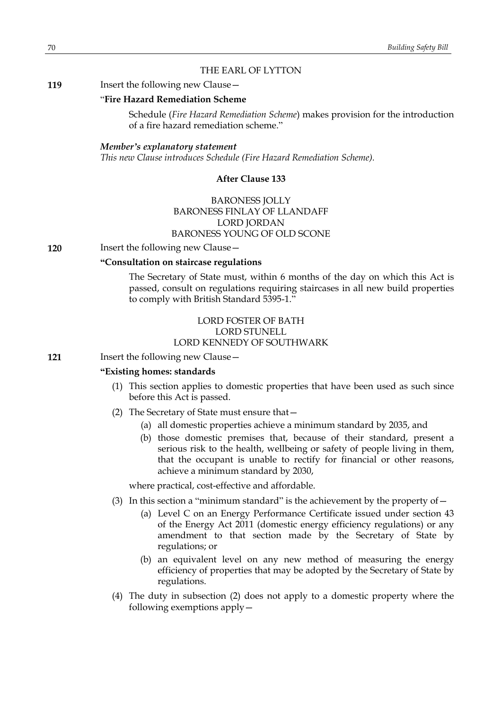## THE EARL OF LYTTON

#### **119** Insert the following new Clause -

### "**Fire Hazard Remediation Scheme**

Schedule (*Fire Hazard Remediation Scheme*) makes provision for the introduction of a fire hazard remediation scheme."

#### *Member's explanatory statement*

*This new Clause introduces Schedule (Fire Hazard Remediation Scheme).*

#### **After Clause 133**

# BARONESS JOLLY BARONESS FINLAY OF LLANDAFF LORD JORDAN BARONESS YOUNG OF OLD SCONE

#### **120** Insert the following new Clause -

#### **"Consultation on staircase regulations**

The Secretary of State must, within 6 months of the day on which this Act is passed, consult on regulations requiring staircases in all new build properties to comply with British Standard 5395-1."

## LORD FOSTER OF BATH LORD STUNELL LORD KENNEDY OF SOUTHWARK

**121** Insert the following new Clause—

#### **"Existing homes: standards**

- (1) This section applies to domestic properties that have been used as such since before this Act is passed.
- (2) The Secretary of State must ensure that—
	- (a) all domestic properties achieve a minimum standard by 2035, and
	- (b) those domestic premises that, because of their standard, present a serious risk to the health, wellbeing or safety of people living in them, that the occupant is unable to rectify for financial or other reasons, achieve a minimum standard by 2030,

where practical, cost-effective and affordable.

- (3) In this section a "minimum standard" is the achievement by the property of  $-$ 
	- (a) Level C on an Energy Performance Certificate issued under section 43 of the Energy Act 2011 (domestic energy efficiency regulations) or any amendment to that section made by the Secretary of State by regulations; or
	- (b) an equivalent level on any new method of measuring the energy efficiency of properties that may be adopted by the Secretary of State by regulations.
- (4) The duty in subsection (2) does not apply to a domestic property where the following exemptions apply—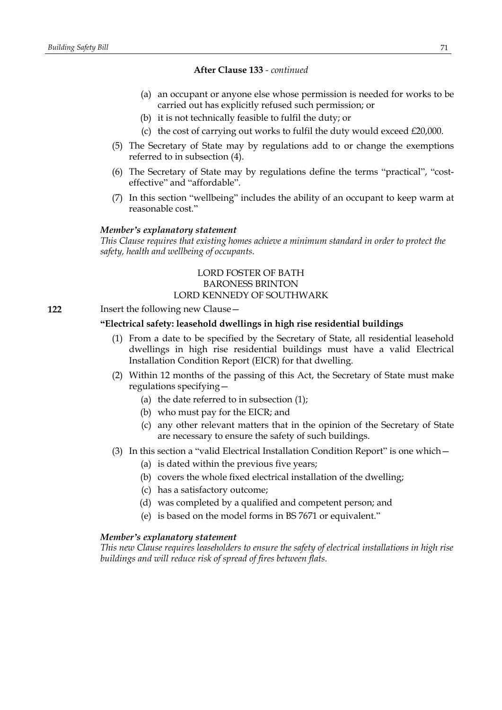- (a) an occupant or anyone else whose permission is needed for works to be carried out has explicitly refused such permission; or
- (b) it is not technically feasible to fulfil the duty; or
- (c) the cost of carrying out works to fulfil the duty would exceed £20,000.
- (5) The Secretary of State may by regulations add to or change the exemptions referred to in subsection (4).
- (6) The Secretary of State may by regulations define the terms "practical", "costeffective" and "affordable".
- (7) In this section "wellbeing" includes the ability of an occupant to keep warm at reasonable cost."

#### *Member's explanatory statement*

*This Clause requires that existing homes achieve a minimum standard in order to protect the safety, health and wellbeing of occupants.*

## LORD FOSTER OF BATH BARONESS BRINTON LORD KENNEDY OF SOUTHWARK

#### **122** Insert the following new Clause—

## **"Electrical safety: leasehold dwellings in high rise residential buildings**

- (1) From a date to be specified by the Secretary of State, all residential leasehold dwellings in high rise residential buildings must have a valid Electrical Installation Condition Report (EICR) for that dwelling.
- (2) Within 12 months of the passing of this Act, the Secretary of State must make regulations specifying—
	- (a) the date referred to in subsection  $(1)$ ;
	- (b) who must pay for the EICR; and
	- (c) any other relevant matters that in the opinion of the Secretary of State are necessary to ensure the safety of such buildings.
- (3) In this section a "valid Electrical Installation Condition Report" is one which—
	- (a) is dated within the previous five years;
	- (b) covers the whole fixed electrical installation of the dwelling;
	- (c) has a satisfactory outcome;
	- (d) was completed by a qualified and competent person; and
	- (e) is based on the model forms in BS 7671 or equivalent."

### *Member's explanatory statement*

*This new Clause requires leaseholders to ensure the safety of electrical installations in high rise buildings and will reduce risk of spread of fires between flats.*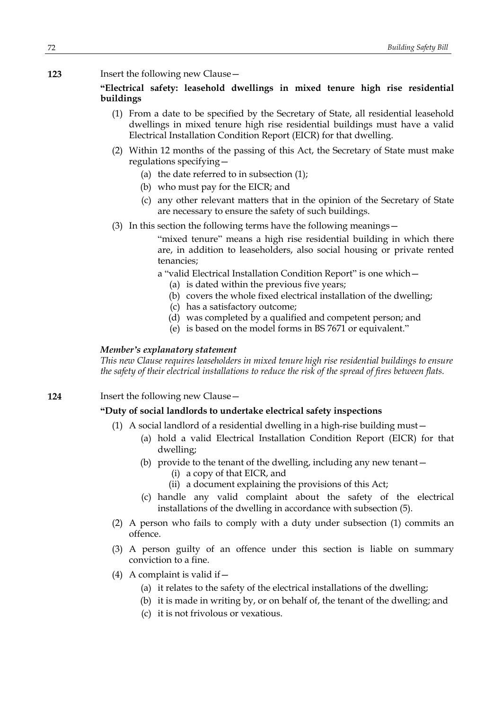**123** Insert the following new Clause—

**"Electrical safety: leasehold dwellings in mixed tenure high rise residential buildings**

- (1) From a date to be specified by the Secretary of State, all residential leasehold dwellings in mixed tenure high rise residential buildings must have a valid Electrical Installation Condition Report (EICR) for that dwelling.
- (2) Within 12 months of the passing of this Act, the Secretary of State must make regulations specifying—
	- (a) the date referred to in subsection (1);
	- (b) who must pay for the EICR; and
	- (c) any other relevant matters that in the opinion of the Secretary of State are necessary to ensure the safety of such buildings.
- (3) In this section the following terms have the following meanings—

"mixed tenure" means a high rise residential building in which there are, in addition to leaseholders, also social housing or private rented tenancies;

- a "valid Electrical Installation Condition Report" is one which—
	- (a) is dated within the previous five years;
	- (b) covers the whole fixed electrical installation of the dwelling;
	- (c) has a satisfactory outcome;
	- (d) was completed by a qualified and competent person; and
	- (e) is based on the model forms in BS 7671 or equivalent."

### *Member's explanatory statement*

*This new Clause requires leaseholders in mixed tenure high rise residential buildings to ensure the safety of their electrical installations to reduce the risk of the spread of fires between flats.*

**124** Insert the following new Clause—

## **"Duty of social landlords to undertake electrical safety inspections**

- (1) A social landlord of a residential dwelling in a high-rise building must—
	- (a) hold a valid Electrical Installation Condition Report (EICR) for that dwelling;
	- (b) provide to the tenant of the dwelling, including any new tenant—
		- (i) a copy of that EICR, and
		- (ii) a document explaining the provisions of this Act;
	- (c) handle any valid complaint about the safety of the electrical installations of the dwelling in accordance with subsection (5).
- (2) A person who fails to comply with a duty under subsection (1) commits an offence.
- (3) A person guilty of an offence under this section is liable on summary conviction to a fine.
- (4) A complaint is valid if  $-$ 
	- (a) it relates to the safety of the electrical installations of the dwelling;
	- (b) it is made in writing by, or on behalf of, the tenant of the dwelling; and
	- (c) it is not frivolous or vexatious.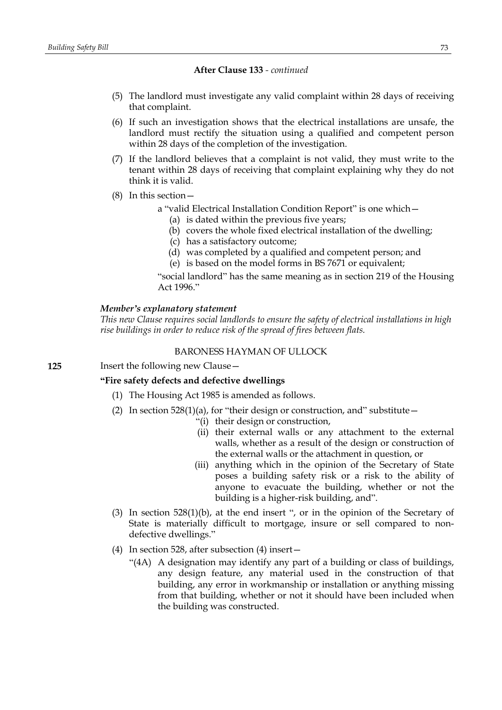- (5) The landlord must investigate any valid complaint within 28 days of receiving that complaint.
- (6) If such an investigation shows that the electrical installations are unsafe, the landlord must rectify the situation using a qualified and competent person within 28 days of the completion of the investigation.
- (7) If the landlord believes that a complaint is not valid, they must write to the tenant within 28 days of receiving that complaint explaining why they do not think it is valid.
- (8) In this section
	- a "valid Electrical Installation Condition Report" is one which—
		- (a) is dated within the previous five years;
		- (b) covers the whole fixed electrical installation of the dwelling;
		- (c) has a satisfactory outcome;
		- (d) was completed by a qualified and competent person; and
		- (e) is based on the model forms in BS 7671 or equivalent;

"social landlord" has the same meaning as in section 219 of the Housing Act 1996."

#### *Member's explanatory statement*

*This new Clause requires social landlords to ensure the safety of electrical installations in high rise buildings in order to reduce risk of the spread of fires between flats.*

## BARONESS HAYMAN OF ULLOCK

**125** Insert the following new Clause—

#### **"Fire safety defects and defective dwellings**

- (1) The Housing Act 1985 is amended as follows.
- (2) In section  $528(1)(a)$ , for "their design or construction, and" substitute  $-$ 
	- "(i) their design or construction,
	- (ii) their external walls or any attachment to the external walls, whether as a result of the design or construction of the external walls or the attachment in question, or
	- (iii) anything which in the opinion of the Secretary of State poses a building safety risk or a risk to the ability of anyone to evacuate the building, whether or not the building is a higher-risk building, and".
- (3) In section 528(1)(b), at the end insert ", or in the opinion of the Secretary of State is materially difficult to mortgage, insure or sell compared to nondefective dwellings."
- (4) In section 528, after subsection (4) insert—
	- "(4A) A designation may identify any part of a building or class of buildings, any design feature, any material used in the construction of that building, any error in workmanship or installation or anything missing from that building, whether or not it should have been included when the building was constructed.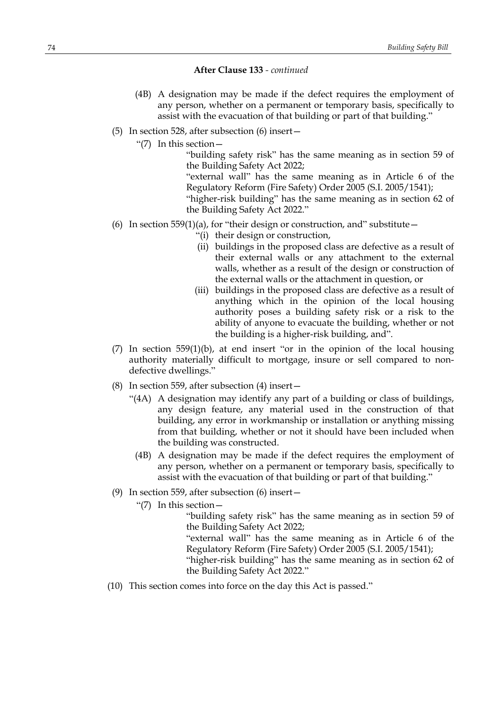- (4B) A designation may be made if the defect requires the employment of any person, whether on a permanent or temporary basis, specifically to assist with the evacuation of that building or part of that building."
- (5) In section 528, after subsection (6) insert—
	- "(7) In this section—

"building safety risk" has the same meaning as in section 59 of the Building Safety Act 2022;

"external wall" has the same meaning as in Article 6 of the Regulatory Reform (Fire Safety) Order 2005 (S.I. 2005/1541); "higher-risk building" has the same meaning as in section 62 of

the Building Safety Act 2022."

- (6) In section 559(1)(a), for "their design or construction, and" substitute  $-$ 
	- "(i) their design or construction,
	- (ii) buildings in the proposed class are defective as a result of their external walls or any attachment to the external walls, whether as a result of the design or construction of the external walls or the attachment in question, or
	- (iii) buildings in the proposed class are defective as a result of anything which in the opinion of the local housing authority poses a building safety risk or a risk to the ability of anyone to evacuate the building, whether or not the building is a higher-risk building, and".
- $(7)$  In section 559(1)(b), at end insert "or in the opinion of the local housing authority materially difficult to mortgage, insure or sell compared to nondefective dwellings."
- (8) In section 559, after subsection (4) insert—
	- "(4A) A designation may identify any part of a building or class of buildings, any design feature, any material used in the construction of that building, any error in workmanship or installation or anything missing from that building, whether or not it should have been included when the building was constructed.
		- (4B) A designation may be made if the defect requires the employment of any person, whether on a permanent or temporary basis, specifically to assist with the evacuation of that building or part of that building."
- (9) In section 559, after subsection (6) insert—
	- "(7) In this section—

"building safety risk" has the same meaning as in section 59 of the Building Safety Act 2022;

"external wall" has the same meaning as in Article 6 of the Regulatory Reform (Fire Safety) Order 2005 (S.I. 2005/1541);

"higher-risk building" has the same meaning as in section 62 of the Building Safety Act 2022."

(10) This section comes into force on the day this Act is passed."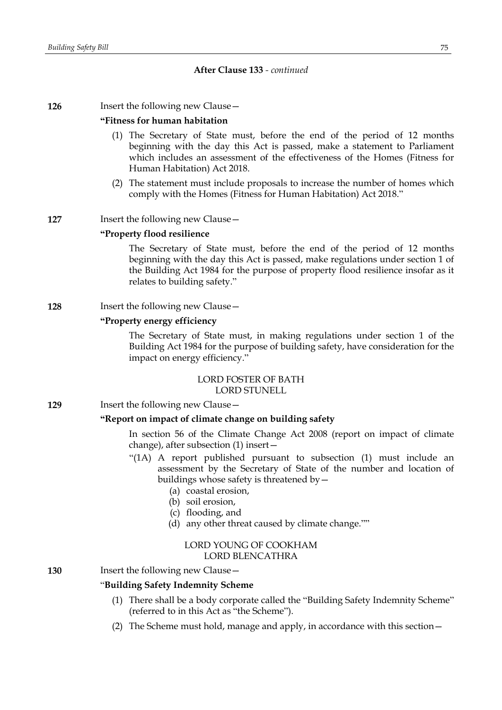#### **126** Insert the following new Clause -

#### **"Fitness for human habitation**

- (1) The Secretary of State must, before the end of the period of 12 months beginning with the day this Act is passed, make a statement to Parliament which includes an assessment of the effectiveness of the Homes (Fitness for Human Habitation) Act 2018.
- (2) The statement must include proposals to increase the number of homes which comply with the Homes (Fitness for Human Habitation) Act 2018."

## **127** Insert the following new Clause –

#### **"Property flood resilience**

The Secretary of State must, before the end of the period of 12 months beginning with the day this Act is passed, make regulations under section 1 of the Building Act 1984 for the purpose of property flood resilience insofar as it relates to building safety."

#### **128** Insert the following new Clause—

# **"Property energy efficiency**

The Secretary of State must, in making regulations under section 1 of the Building Act 1984 for the purpose of building safety, have consideration for the impact on energy efficiency."

### LORD FOSTER OF BATH LORD STUNELL

**129** Insert the following new Clause -

# **"Report on impact of climate change on building safety**

In section 56 of the Climate Change Act 2008 (report on impact of climate change), after subsection (1) insert—

- "(1A) A report published pursuant to subsection (1) must include an assessment by the Secretary of State of the number and location of buildings whose safety is threatened by—
	- (a) coastal erosion,
	- (b) soil erosion,
	- (c) flooding, and
	- (d) any other threat caused by climate change.""

## LORD YOUNG OF COOKHAM LORD BLENCATHRA

## **130** Insert the following new Clause—

## "**Building Safety Indemnity Scheme**

- (1) There shall be a body corporate called the "Building Safety Indemnity Scheme" (referred to in this Act as "the Scheme").
- (2) The Scheme must hold, manage and apply, in accordance with this section—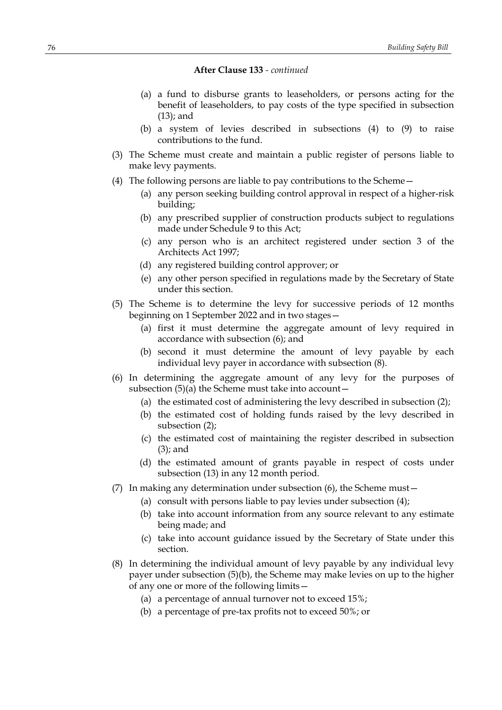- (a) a fund to disburse grants to leaseholders, or persons acting for the benefit of leaseholders, to pay costs of the type specified in subsection (13); and
- (b) a system of levies described in subsections (4) to (9) to raise contributions to the fund.
- (3) The Scheme must create and maintain a public register of persons liable to make levy payments.
- (4) The following persons are liable to pay contributions to the Scheme—
	- (a) any person seeking building control approval in respect of a higher-risk building;
	- (b) any prescribed supplier of construction products subject to regulations made under Schedule 9 to this Act;
	- (c) any person who is an architect registered under section 3 of the Architects Act 1997;
	- (d) any registered building control approver; or
	- (e) any other person specified in regulations made by the Secretary of State under this section.
- (5) The Scheme is to determine the levy for successive periods of 12 months beginning on 1 September 2022 and in two stages—
	- (a) first it must determine the aggregate amount of levy required in accordance with subsection (6); and
	- (b) second it must determine the amount of levy payable by each individual levy payer in accordance with subsection (8).
- (6) In determining the aggregate amount of any levy for the purposes of subsection  $(5)(a)$  the Scheme must take into account  $-$ 
	- (a) the estimated cost of administering the levy described in subsection (2);
	- (b) the estimated cost of holding funds raised by the levy described in subsection (2);
	- (c) the estimated cost of maintaining the register described in subsection (3); and
	- (d) the estimated amount of grants payable in respect of costs under subsection (13) in any 12 month period.
- (7) In making any determination under subsection (6), the Scheme must—
	- (a) consult with persons liable to pay levies under subsection (4);
	- (b) take into account information from any source relevant to any estimate being made; and
	- (c) take into account guidance issued by the Secretary of State under this section.
- (8) In determining the individual amount of levy payable by any individual levy payer under subsection (5)(b), the Scheme may make levies on up to the higher of any one or more of the following limits—
	- (a) a percentage of annual turnover not to exceed 15%;
	- (b) a percentage of pre-tax profits not to exceed 50%; or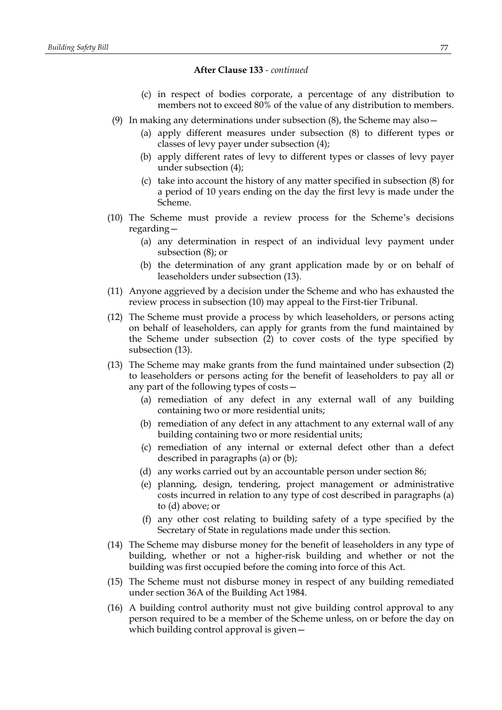- (c) in respect of bodies corporate, a percentage of any distribution to members not to exceed 80% of the value of any distribution to members.
- (9) In making any determinations under subsection  $(8)$ , the Scheme may also  $-$ 
	- (a) apply different measures under subsection (8) to different types or classes of levy payer under subsection (4);
	- (b) apply different rates of levy to different types or classes of levy payer under subsection (4);
	- (c) take into account the history of any matter specified in subsection (8) for a period of 10 years ending on the day the first levy is made under the Scheme.
- (10) The Scheme must provide a review process for the Scheme's decisions regarding—
	- (a) any determination in respect of an individual levy payment under subsection (8); or
	- (b) the determination of any grant application made by or on behalf of leaseholders under subsection (13).
- (11) Anyone aggrieved by a decision under the Scheme and who has exhausted the review process in subsection (10) may appeal to the First-tier Tribunal.
- (12) The Scheme must provide a process by which leaseholders, or persons acting on behalf of leaseholders, can apply for grants from the fund maintained by the Scheme under subsection (2) to cover costs of the type specified by subsection (13).
- (13) The Scheme may make grants from the fund maintained under subsection (2) to leaseholders or persons acting for the benefit of leaseholders to pay all or any part of the following types of costs—
	- (a) remediation of any defect in any external wall of any building containing two or more residential units;
	- (b) remediation of any defect in any attachment to any external wall of any building containing two or more residential units;
	- (c) remediation of any internal or external defect other than a defect described in paragraphs (a) or (b);
	- (d) any works carried out by an accountable person under section 86;
	- (e) planning, design, tendering, project management or administrative costs incurred in relation to any type of cost described in paragraphs (a) to (d) above; or
	- (f) any other cost relating to building safety of a type specified by the Secretary of State in regulations made under this section.
- (14) The Scheme may disburse money for the benefit of leaseholders in any type of building, whether or not a higher-risk building and whether or not the building was first occupied before the coming into force of this Act.
- (15) The Scheme must not disburse money in respect of any building remediated under section 36A of the Building Act 1984.
- (16) A building control authority must not give building control approval to any person required to be a member of the Scheme unless, on or before the day on which building control approval is given—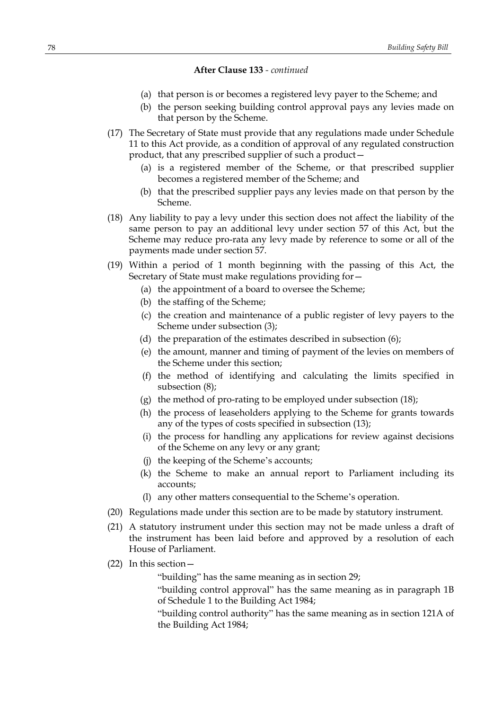- (a) that person is or becomes a registered levy payer to the Scheme; and
- (b) the person seeking building control approval pays any levies made on that person by the Scheme.
- (17) The Secretary of State must provide that any regulations made under Schedule 11 to this Act provide, as a condition of approval of any regulated construction product, that any prescribed supplier of such a product—
	- (a) is a registered member of the Scheme, or that prescribed supplier becomes a registered member of the Scheme; and
	- (b) that the prescribed supplier pays any levies made on that person by the Scheme.
- (18) Any liability to pay a levy under this section does not affect the liability of the same person to pay an additional levy under section 57 of this Act, but the Scheme may reduce pro-rata any levy made by reference to some or all of the payments made under section 57.
- (19) Within a period of 1 month beginning with the passing of this Act, the Secretary of State must make regulations providing for—
	- (a) the appointment of a board to oversee the Scheme;
	- (b) the staffing of the Scheme;
	- (c) the creation and maintenance of a public register of levy payers to the Scheme under subsection (3);
	- (d) the preparation of the estimates described in subsection (6);
	- (e) the amount, manner and timing of payment of the levies on members of the Scheme under this section;
	- (f) the method of identifying and calculating the limits specified in subsection (8);
	- (g) the method of pro-rating to be employed under subsection (18);
	- (h) the process of leaseholders applying to the Scheme for grants towards any of the types of costs specified in subsection (13);
	- (i) the process for handling any applications for review against decisions of the Scheme on any levy or any grant;
	- (j) the keeping of the Scheme's accounts;
	- (k) the Scheme to make an annual report to Parliament including its accounts;
	- (l) any other matters consequential to the Scheme's operation.
- (20) Regulations made under this section are to be made by statutory instrument.
- (21) A statutory instrument under this section may not be made unless a draft of the instrument has been laid before and approved by a resolution of each House of Parliament.
- (22) In this section—
	- "building" has the same meaning as in section 29;

"building control approval" has the same meaning as in paragraph 1B of Schedule 1 to the Building Act 1984;

"building control authority" has the same meaning as in section 121A of the Building Act 1984;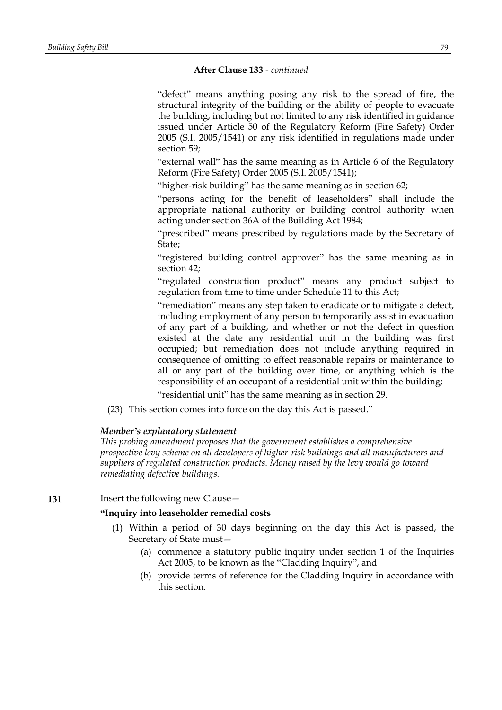"defect" means anything posing any risk to the spread of fire, the structural integrity of the building or the ability of people to evacuate the building, including but not limited to any risk identified in guidance issued under Article 50 of the Regulatory Reform (Fire Safety) Order 2005 (S.I. 2005/1541) or any risk identified in regulations made under section 59;

"external wall" has the same meaning as in Article 6 of the Regulatory Reform (Fire Safety) Order 2005 (S.I. 2005/1541);

"higher-risk building" has the same meaning as in section 62;

"persons acting for the benefit of leaseholders" shall include the appropriate national authority or building control authority when acting under section 36A of the Building Act 1984;

"prescribed" means prescribed by regulations made by the Secretary of State;

"registered building control approver" has the same meaning as in section 42;

"regulated construction product" means any product subject to regulation from time to time under Schedule 11 to this Act;

"remediation" means any step taken to eradicate or to mitigate a defect, including employment of any person to temporarily assist in evacuation of any part of a building, and whether or not the defect in question existed at the date any residential unit in the building was first occupied; but remediation does not include anything required in consequence of omitting to effect reasonable repairs or maintenance to all or any part of the building over time, or anything which is the responsibility of an occupant of a residential unit within the building; "residential unit" has the same meaning as in section 29.

(23) This section comes into force on the day this Act is passed."

#### *Member's explanatory statement*

*This probing amendment proposes that the government establishes a comprehensive prospective levy scheme on all developers of higher-risk buildings and all manufacturers and suppliers of regulated construction products. Money raised by the levy would go toward remediating defective buildings.*

#### **131** Insert the following new Clause –

## **"Inquiry into leaseholder remedial costs**

- (1) Within a period of 30 days beginning on the day this Act is passed, the Secretary of State must—
	- (a) commence a statutory public inquiry under section 1 of the Inquiries Act 2005, to be known as the "Cladding Inquiry", and
	- (b) provide terms of reference for the Cladding Inquiry in accordance with this section.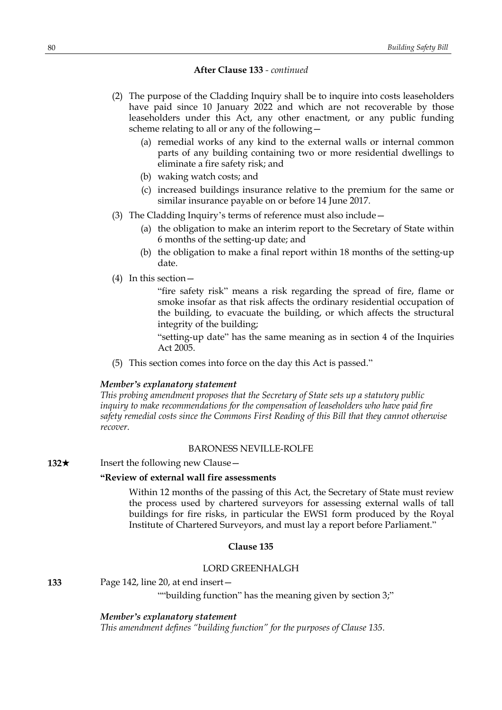- (2) The purpose of the Cladding Inquiry shall be to inquire into costs leaseholders have paid since 10 January 2022 and which are not recoverable by those leaseholders under this Act, any other enactment, or any public funding scheme relating to all or any of the following—
	- (a) remedial works of any kind to the external walls or internal common parts of any building containing two or more residential dwellings to eliminate a fire safety risk; and
	- (b) waking watch costs; and
	- (c) increased buildings insurance relative to the premium for the same or similar insurance payable on or before 14 June 2017.
- (3) The Cladding Inquiry's terms of reference must also include—
	- (a) the obligation to make an interim report to the Secretary of State within 6 months of the setting-up date; and
	- (b) the obligation to make a final report within 18 months of the setting-up date.
- (4) In this section—

"fire safety risk" means a risk regarding the spread of fire, flame or smoke insofar as that risk affects the ordinary residential occupation of the building, to evacuate the building, or which affects the structural integrity of the building;

"setting-up date" has the same meaning as in section 4 of the Inquiries Act 2005.

(5) This section comes into force on the day this Act is passed."

## *Member's explanatory statement*

*This probing amendment proposes that the Secretary of State sets up a statutory public inquiry to make recommendations for the compensation of leaseholders who have paid fire safety remedial costs since the Commons First Reading of this Bill that they cannot otherwise recover.*

## BARONESS NEVILLE-ROLFE

## **132**★ Insert the following new Clause

# **"Review of external wall fire assessments**

Within 12 months of the passing of this Act, the Secretary of State must review the process used by chartered surveyors for assessing external walls of tall buildings for fire risks, in particular the EWS1 form produced by the Royal Institute of Chartered Surveyors, and must lay a report before Parliament."

#### **Clause 135**

# LORD GREENHALGH

**133** Page 142, line 20, at end insert—

""building function" has the meaning given by section 3;"

*Member's explanatory statement*

*This amendment defines "building function" for the purposes of Clause 135.*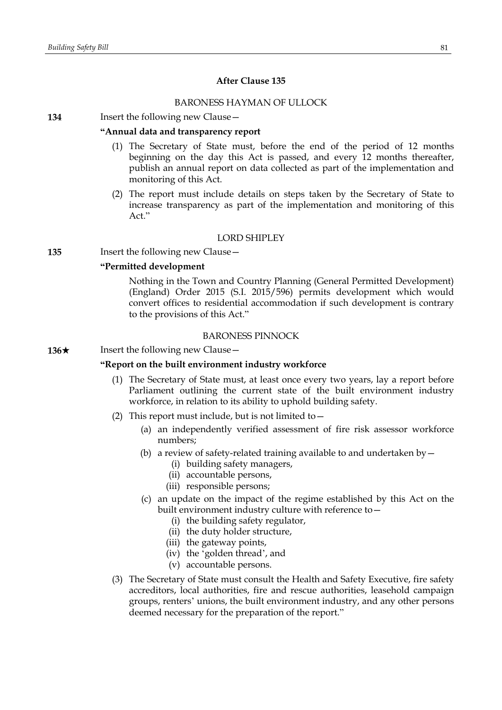# **After Clause 135**

# BARONESS HAYMAN OF ULLOCK

#### **134** Insert the following new Clause—

## **"Annual data and transparency report**

- (1) The Secretary of State must, before the end of the period of 12 months beginning on the day this Act is passed, and every 12 months thereafter, publish an annual report on data collected as part of the implementation and monitoring of this Act.
- (2) The report must include details on steps taken by the Secretary of State to increase transparency as part of the implementation and monitoring of this Act."

## LORD SHIPLEY

**135** Insert the following new Clause—

## **"Permitted development**

Nothing in the Town and Country Planning (General Permitted Development) (England) Order 2015 (S.I. 2015/596) permits development which would convert offices to residential accommodation if such development is contrary to the provisions of this Act."

#### BARONESS PINNOCK

**136**★ Insert the following new Clause

#### **"Report on the built environment industry workforce**

- (1) The Secretary of State must, at least once every two years, lay a report before Parliament outlining the current state of the built environment industry workforce, in relation to its ability to uphold building safety.
- (2) This report must include, but is not limited to  $-$ 
	- (a) an independently verified assessment of fire risk assessor workforce numbers;
	- (b) a review of safety-related training available to and undertaken by  $-$ 
		- (i) building safety managers,
		- (ii) accountable persons,
		- (iii) responsible persons;
	- (c) an update on the impact of the regime established by this Act on the built environment industry culture with reference to—
		- (i) the building safety regulator,
		- (ii) the duty holder structure,
		- (iii) the gateway points,
		- (iv) the 'golden thread', and
		- (v) accountable persons.
- (3) The Secretary of State must consult the Health and Safety Executive, fire safety accreditors, local authorities, fire and rescue authorities, leasehold campaign groups, renters' unions, the built environment industry, and any other persons deemed necessary for the preparation of the report."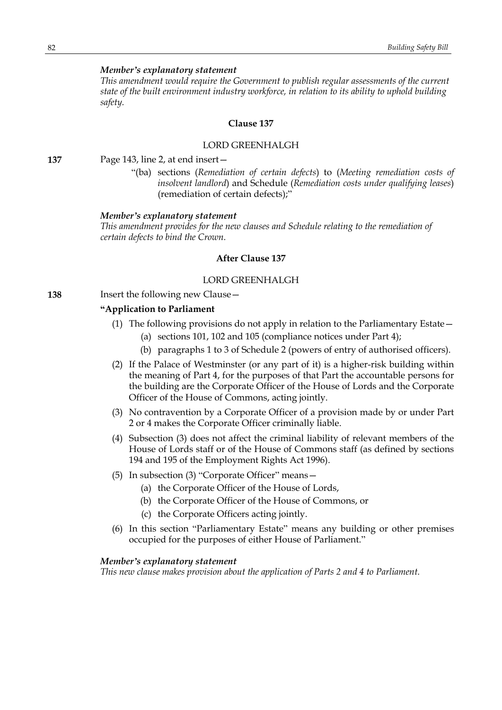## *Member's explanatory statement*

*This amendment would require the Government to publish regular assessments of the current state of the built environment industry workforce, in relation to its ability to uphold building safety.*

## **Clause 137**

## LORD GREENHALGH

**137** Page 143, line 2, at end insert—

"(ba) sections (*Remediation of certain defects*) to (*Meeting remediation costs of insolvent landlord*) and Schedule (*Remediation costs under qualifying leases*) (remediation of certain defects);"

## *Member's explanatory statement*

*This amendment provides for the new clauses and Schedule relating to the remediation of certain defects to bind the Crown.*

#### **After Clause 137**

#### LORD GREENHALGH

**138** Insert the following new Clause—

## **"Application to Parliament**

- (1) The following provisions do not apply in relation to the Parliamentary Estate—
	- (a) sections 101, 102 and 105 (compliance notices under Part 4);
	- (b) paragraphs 1 to 3 of Schedule 2 (powers of entry of authorised officers).
- (2) If the Palace of Westminster (or any part of it) is a higher-risk building within the meaning of Part 4, for the purposes of that Part the accountable persons for the building are the Corporate Officer of the House of Lords and the Corporate Officer of the House of Commons, acting jointly.
- (3) No contravention by a Corporate Officer of a provision made by or under Part 2 or 4 makes the Corporate Officer criminally liable.
- (4) Subsection (3) does not affect the criminal liability of relevant members of the House of Lords staff or of the House of Commons staff (as defined by sections 194 and 195 of the Employment Rights Act 1996).
- (5) In subsection (3) "Corporate Officer" means—
	- (a) the Corporate Officer of the House of Lords,
	- (b) the Corporate Officer of the House of Commons, or
	- (c) the Corporate Officers acting jointly.
- (6) In this section "Parliamentary Estate" means any building or other premises occupied for the purposes of either House of Parliament."

## *Member's explanatory statement*

*This new clause makes provision about the application of Parts 2 and 4 to Parliament.*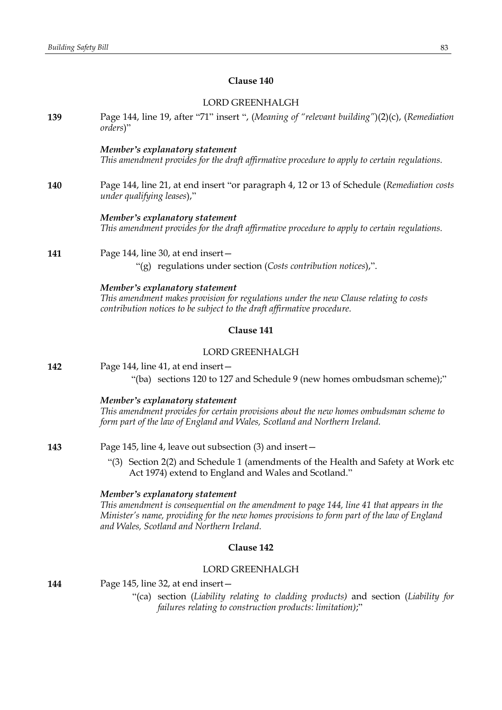# **Clause 140**

# LORD GREENHALGH

| 139 | Page 144, line 19, after "71" insert ", (Meaning of "relevant building")(2)(c), (Remediation<br>orders)"                                                                                                                                                               |
|-----|------------------------------------------------------------------------------------------------------------------------------------------------------------------------------------------------------------------------------------------------------------------------|
|     | Member's explanatory statement<br>This amendment provides for the draft affirmative procedure to apply to certain regulations.                                                                                                                                         |
| 140 | Page 144, line 21, at end insert "or paragraph 4, 12 or 13 of Schedule (Remediation costs<br>under qualifying leases),"                                                                                                                                                |
|     | Member's explanatory statement<br>This amendment provides for the draft affirmative procedure to apply to certain regulations.                                                                                                                                         |
| 141 | Page 144, line 30, at end insert-<br>"(g) regulations under section (Costs contribution notices),".                                                                                                                                                                    |
|     | Member's explanatory statement<br>This amendment makes provision for regulations under the new Clause relating to costs<br>contribution notices to be subject to the draft affirmative procedure.                                                                      |
|     | Clause 141                                                                                                                                                                                                                                                             |
|     | <b>LORD GREENHALGH</b>                                                                                                                                                                                                                                                 |
| 142 | Page 144, line 41, at end insert-<br>"(ba) sections 120 to 127 and Schedule 9 (new homes ombudsman scheme);"                                                                                                                                                           |
|     | Member's explanatory statement<br>This amendment provides for certain provisions about the new homes ombudsman scheme to<br>form part of the law of England and Wales, Scotland and Northern Ireland.                                                                  |
| 143 | Page 145, line 4, leave out subsection (3) and insert -                                                                                                                                                                                                                |
|     | "(3) Section 2(2) and Schedule 1 (amendments of the Health and Safety at Work etc<br>Act 1974) extend to England and Wales and Scotland."                                                                                                                              |
|     | Member's explanatory statement<br>This amendment is consequential on the amendment to page 144, line 41 that appears in the<br>Minister's name, providing for the new homes provisions to form part of the law of England<br>and Wales, Scotland and Northern Ireland. |
|     | Clause 142                                                                                                                                                                                                                                                             |
|     | <b>LORD GREENHALGH</b>                                                                                                                                                                                                                                                 |
| 144 | Page 145, line 32, at end insert -<br>"(ca) section (Liability relating to cladding products) and section (Liability for                                                                                                                                               |

*failures relating to construction products: limitation)*;"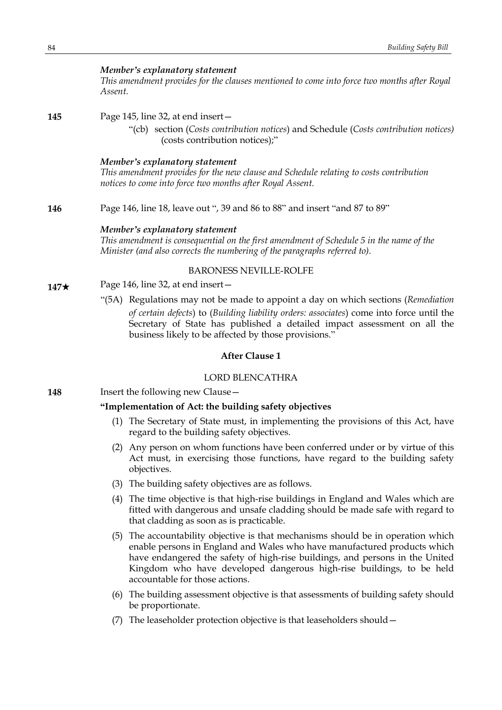#### *Member's explanatory statement*

*This amendment provides for the clauses mentioned to come into force two months after Royal Assent.*

**145** Page 145, line 32, at end insert—

"(cb) section (*Costs contribution notices*) and Schedule (*Costs contribution notices)* (costs contribution notices);"

#### *Member's explanatory statement*

*This amendment provides for the new clause and Schedule relating to costs contribution notices to come into force two months after Royal Assent.*

**146** Page 146, line 18, leave out ", 39 and 86 to 88" and insert "and 87 to 89"

#### *Member's explanatory statement*

*This amendment is consequential on the first amendment of Schedule 5 in the name of the Minister (and also corrects the numbering of the paragraphs referred to).*

#### BARONESS NEVILLE-ROLFE

- **147**\* Page 146, line 32, at end insert—
	- "(5A) Regulations may not be made to appoint a day on which sections (*Remediation of certain defects*) to (*Building liability orders: associates*) come into force until the Secretary of State has published a detailed impact assessment on all the business likely to be affected by those provisions."

# **After Clause 1**

#### LORD BLENCATHRA

**148** Insert the following new Clause -

#### **"Implementation of Act: the building safety objectives**

- (1) The Secretary of State must, in implementing the provisions of this Act, have regard to the building safety objectives.
- (2) Any person on whom functions have been conferred under or by virtue of this Act must, in exercising those functions, have regard to the building safety objectives.
- (3) The building safety objectives are as follows.
- (4) The time objective is that high-rise buildings in England and Wales which are fitted with dangerous and unsafe cladding should be made safe with regard to that cladding as soon as is practicable.
- (5) The accountability objective is that mechanisms should be in operation which enable persons in England and Wales who have manufactured products which have endangered the safety of high-rise buildings, and persons in the United Kingdom who have developed dangerous high-rise buildings, to be held accountable for those actions.
- (6) The building assessment objective is that assessments of building safety should be proportionate.
- (7) The leaseholder protection objective is that leaseholders should—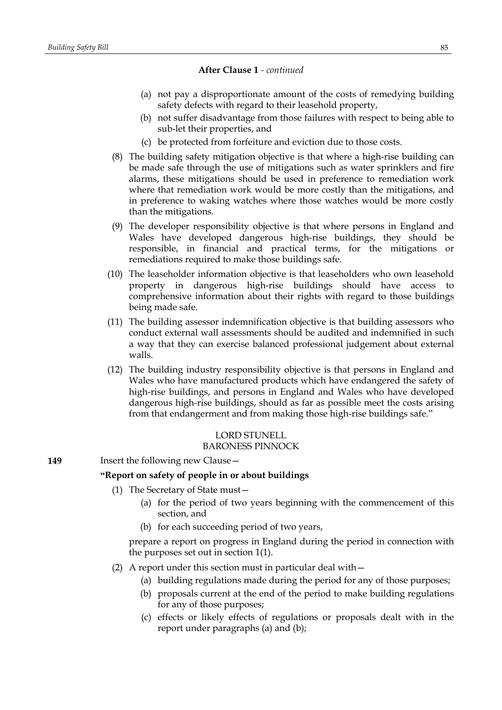- (a) not pay a disproportionate amount of the costs of remedying building safety defects with regard to their leasehold property,
- (b) not suffer disadvantage from those failures with respect to being able to sub-let their properties, and
- (c) be protected from forfeiture and eviction due to those costs.
- (8) The building safety mitigation objective is that where a high-rise building can be made safe through the use of mitigations such as water sprinklers and fire alarms, these mitigations should be used in preference to remediation work where that remediation work would be more costly than the mitigations, and in preference to waking watches where those watches would be more costly than the mitigations.
- (9) The developer responsibility objective is that where persons in England and Wales have developed dangerous high-rise buildings, they should be responsible, in financial and practical terms, for the mitigations or remediations required to make those buildings safe.
- (10) The leaseholder information objective is that leaseholders who own leasehold property in dangerous high-rise buildings should have access to comprehensive information about their rights with regard to those buildings being made safe.
- (11) The building assessor indemnification objective is that building assessors who conduct external wall assessments should be audited and indemnified in such a way that they can exercise balanced professional judgement about external walls.
- (12) The building industry responsibility objective is that persons in England and Wales who have manufactured products which have endangered the safety of high-rise buildings, and persons in England and Wales who have developed dangerous high-rise buildings, should as far as possible meet the costs arising from that endangerment and from making those high-rise buildings safe."

## LORD STUNELL BARONESS PINNOCK

**149** Insert the following new Clause -

## **"Report on safety of people in or about buildings**

- (1) The Secretary of State must—
	- (a) for the period of two years beginning with the commencement of this section, and
	- (b) for each succeeding period of two years,

prepare a report on progress in England during the period in connection with the purposes set out in section 1(1).

- (2) A report under this section must in particular deal with—
	- (a) building regulations made during the period for any of those purposes;
	- (b) proposals current at the end of the period to make building regulations for any of those purposes;
	- (c) effects or likely effects of regulations or proposals dealt with in the report under paragraphs (a) and (b);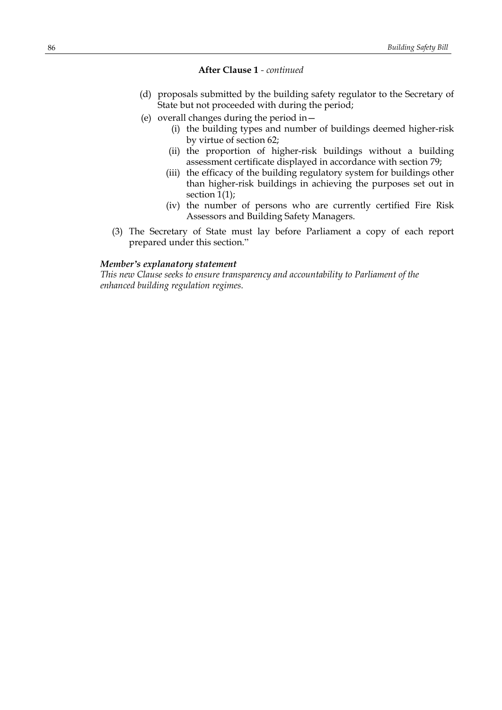- (d) proposals submitted by the building safety regulator to the Secretary of State but not proceeded with during the period;
- (e) overall changes during the period in—
	- (i) the building types and number of buildings deemed higher-risk by virtue of section 62;
	- (ii) the proportion of higher-risk buildings without a building assessment certificate displayed in accordance with section 79;
	- (iii) the efficacy of the building regulatory system for buildings other than higher-risk buildings in achieving the purposes set out in section 1(1);
	- (iv) the number of persons who are currently certified Fire Risk Assessors and Building Safety Managers.
- (3) The Secretary of State must lay before Parliament a copy of each report prepared under this section."

## *Member's explanatory statement*

*This new Clause seeks to ensure transparency and accountability to Parliament of the enhanced building regulation regimes.*